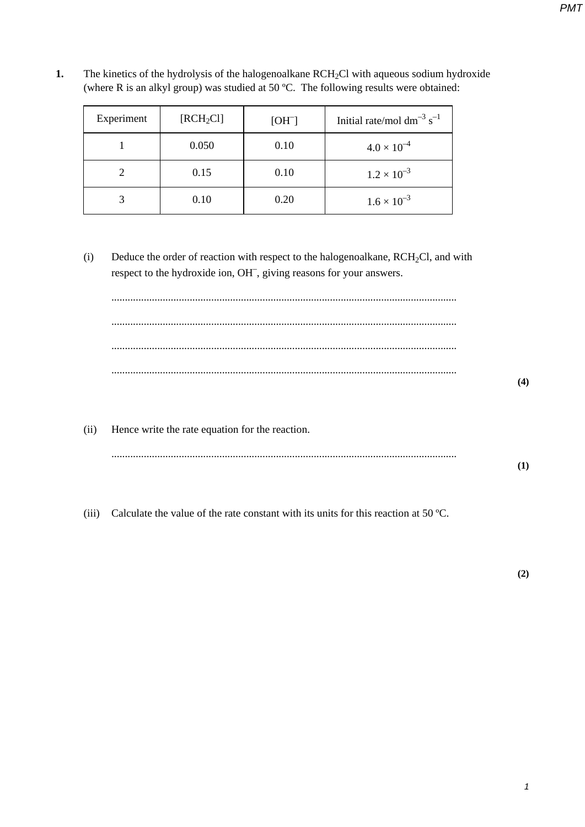**1.** The kinetics of the hydrolysis of the halogenoalkane RCH<sub>2</sub>Cl with aqueous sodium hydroxide (where R is an alkyl group) was studied at 50 ºC. The following results were obtained:

| Experiment | [RCH <sub>2</sub> Cl] | $[OH^-]$ | Initial rate/mol dm <sup>-3</sup> s <sup>-1</sup> |
|------------|-----------------------|----------|---------------------------------------------------|
|            | 0.050                 | 0.10     | $4.0 \times 10^{-4}$                              |
|            | 0.15                  | 0.10     | $1.2 \times 10^{-3}$                              |
|            | 0.10                  | 0.20     | $1.6 \times 10^{-3}$                              |

(i) Deduce the order of reaction with respect to the halogenoalkane,  $RCH<sub>2</sub>Cl$ , and with respect to the hydroxide ion, OH<sup>-</sup>, giving reasons for your answers.

................................................................................................................................ ................................................................................................................................ ................................................................................................................................ ................................................................................................................................

(ii) Hence write the rate equation for the reaction. ................................................................................................................................ **(1)**

(iii) Calculate the value of the rate constant with its units for this reaction at 50 ºC.

**(2)**

**(4)**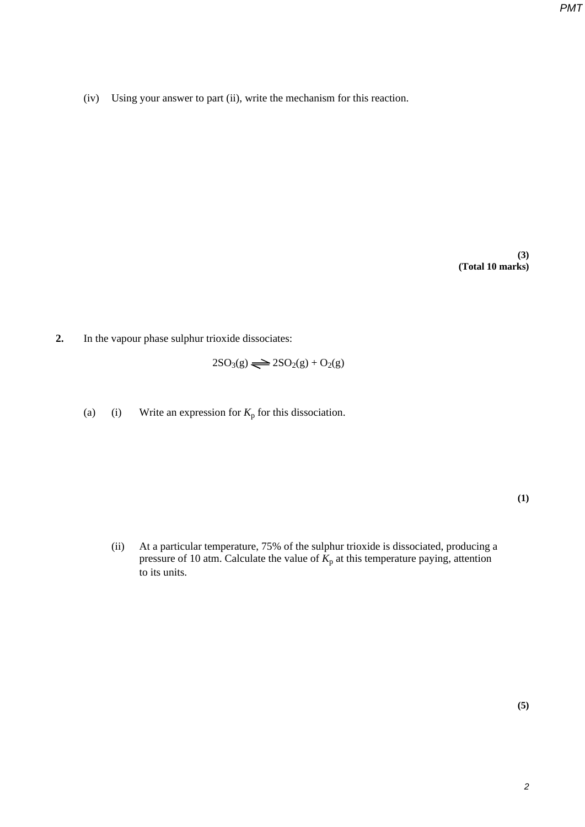(iv) Using your answer to part (ii), write the mechanism for this reaction.

**(3) (Total 10 marks)**

**2.** In the vapour phase sulphur trioxide dissociates:

 $2SO_3(g) \longrightarrow 2SO_2(g) + O_2(g)$ 

(a) (i) Write an expression for  $K_p$  for this dissociation.

**(1)**

(ii) At a particular temperature, 75% of the sulphur trioxide is dissociated, producing a pressure of 10 atm. Calculate the value of  $K_p$  at this temperature paying, attention to its units.

**(5)**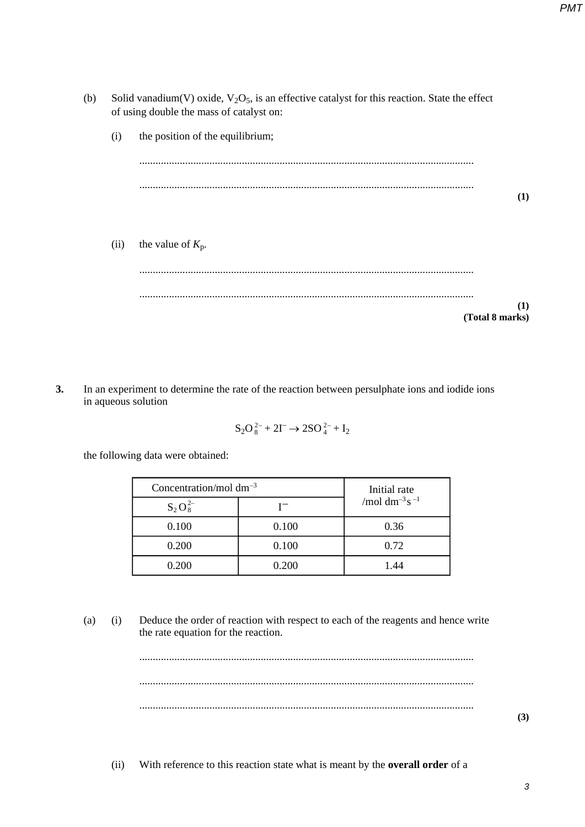- (b) Solid vanadium(V) oxide,  $V_2O_5$ , is an effective catalyst for this reaction. State the effect of using double the mass of catalyst on:
	- (i) the position of the equilibrium;

............................................................................................................................ ............................................................................................................................ **(1)**

(ii) the value of  $K_p$ .

............................................................................................................................ ............................................................................................................................ **(1) (Total 8 marks)**

**3.** In an experiment to determine the rate of the reaction between persulphate ions and iodide ions in aqueous solution

$$
S_2O_8^{2-} + 2I^- \rightarrow 2SO_4^{2-} + I_2
$$

the following data were obtained:

| Concentration/mol dm <sup>-3</sup> | Initial rate |                                       |  |  |  |  |
|------------------------------------|--------------|---------------------------------------|--|--|--|--|
| $S_2O_8^{2-}$                      | r-           | /mol dm <sup>-3</sup> s <sup>-1</sup> |  |  |  |  |
| 0.100                              | 0.100        | 0.36                                  |  |  |  |  |
| 0.200                              | 0.100        | 0.72                                  |  |  |  |  |
| 0.200                              | 0.200        | 1.44                                  |  |  |  |  |

(a) (i) Deduce the order of reaction with respect to each of the reagents and hence write the rate equation for the reaction.

> ............................................................................................................................ ............................................................................................................................ ............................................................................................................................

**(3)**

(ii) With reference to this reaction state what is meant by the **overall order** of a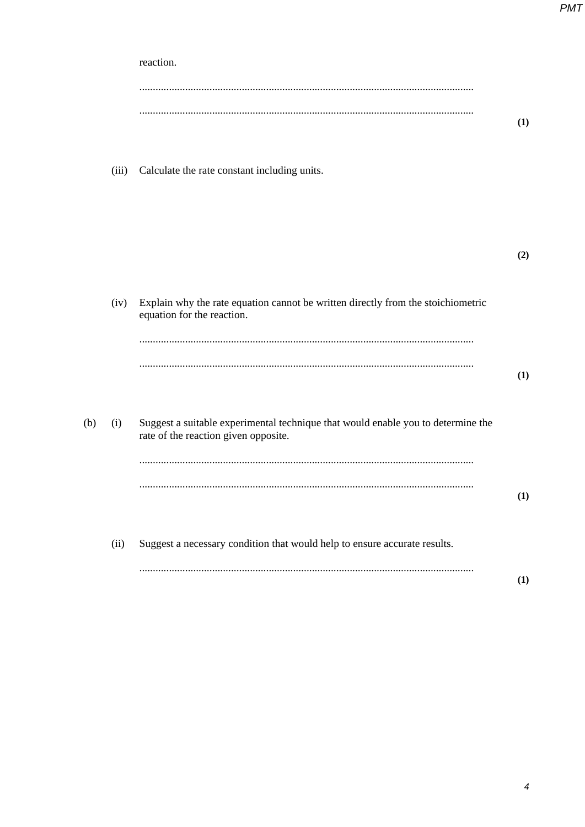|     |       | reaction.                                                                                                                |     |
|-----|-------|--------------------------------------------------------------------------------------------------------------------------|-----|
|     |       |                                                                                                                          |     |
|     |       |                                                                                                                          | (1) |
|     |       |                                                                                                                          |     |
|     | (iii) | Calculate the rate constant including units.                                                                             |     |
|     |       |                                                                                                                          |     |
|     |       |                                                                                                                          | (2) |
|     |       |                                                                                                                          |     |
|     | (iv)  | Explain why the rate equation cannot be written directly from the stoichiometric<br>equation for the reaction.           |     |
|     |       |                                                                                                                          |     |
|     |       |                                                                                                                          | (1) |
|     |       |                                                                                                                          |     |
| (b) | (i)   | Suggest a suitable experimental technique that would enable you to determine the<br>rate of the reaction given opposite. |     |
|     |       |                                                                                                                          |     |
|     |       |                                                                                                                          | (1) |
|     | (ii)  | Suggest a necessary condition that would help to ensure accurate results.                                                |     |
|     |       |                                                                                                                          |     |
|     |       |                                                                                                                          | (1) |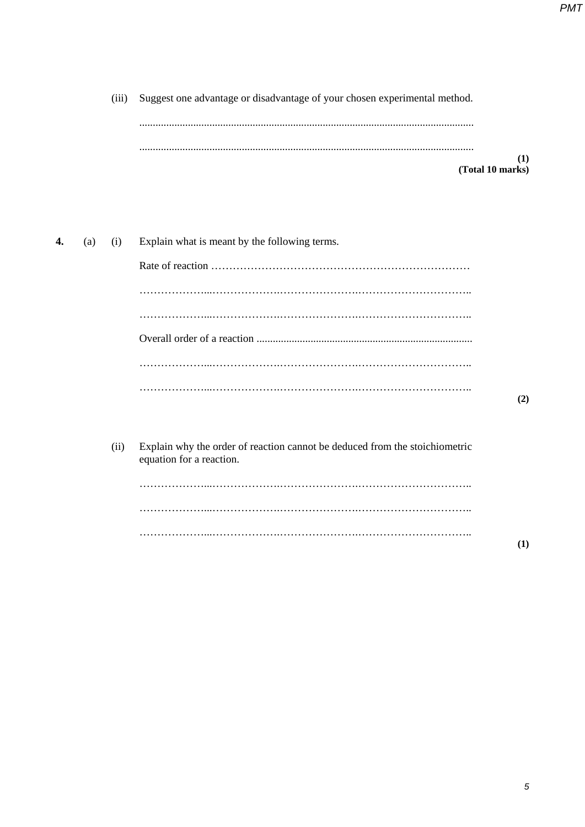(iii) Suggest one advantage or disadvantage of your chosen experimental method.

 $(1)$ (Total 10 marks)

| 4. | (a) | (i)  | Explain what is meant by the following terms.                                                           |     |
|----|-----|------|---------------------------------------------------------------------------------------------------------|-----|
|    |     |      |                                                                                                         |     |
|    |     |      |                                                                                                         |     |
|    |     |      |                                                                                                         |     |
|    |     |      |                                                                                                         |     |
|    |     |      |                                                                                                         |     |
|    |     |      |                                                                                                         | (2) |
|    |     |      |                                                                                                         |     |
|    |     | (ii) | Explain why the order of reaction cannot be deduced from the stoichiometric<br>equation for a reaction. |     |
|    |     |      |                                                                                                         |     |
|    |     |      |                                                                                                         |     |
|    |     |      |                                                                                                         | (1) |
|    |     |      |                                                                                                         |     |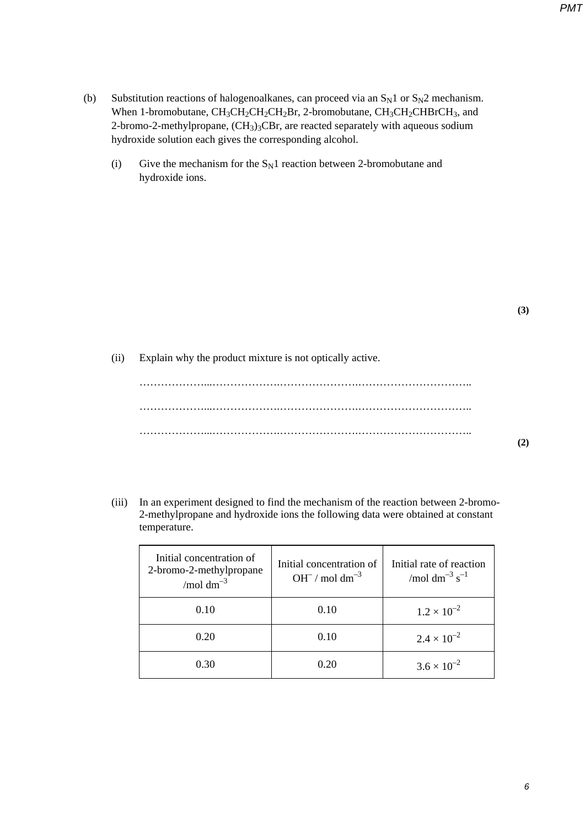- (b) Substitution reactions of halogenoalkanes, can proceed via an  $S_N1$  or  $S_N2$  mechanism. When 1-bromobutane,  $CH_3CH_2CH_2CH_2Br$ , 2-bromobutane,  $CH_3CH_2CHBrCH_3$ , and 2-bromo-2-methylpropane,  $(CH_3)_3CBr$ , are reacted separately with aqueous sodium hydroxide solution each gives the corresponding alcohol.
	- (i) Give the mechanism for the  $S_N1$  reaction between 2-bromobutane and hydroxide ions.

**(3)**

*PMT*

**(2)**

(ii) Explain why the product mixture is not optically active.

………………...……………….………………….………………………….. ………………...……………….………………….………………………….. ………………...……………….………………….…………………………..

- 
- (iii) In an experiment designed to find the mechanism of the reaction between 2-bromo-2-methylpropane and hydroxide ions the following data were obtained at constant temperature.

| Initial concentration of<br>2-bromo-2-methylpropane<br>/mol $dm^{-3}$ | Initial concentration of<br>OH / mol $dm^{-3}$ | Initial rate of reaction<br>/mol dm <sup>-3</sup> s <sup>-1</sup> |
|-----------------------------------------------------------------------|------------------------------------------------|-------------------------------------------------------------------|
| 0.10                                                                  | 0.10                                           | $1.2 \times 10^{-2}$                                              |
| 0.20                                                                  | 0.10                                           | $2.4 \times 10^{-2}$                                              |
| 0.30                                                                  | 0.20                                           | $3.6 \times 10^{-2}$                                              |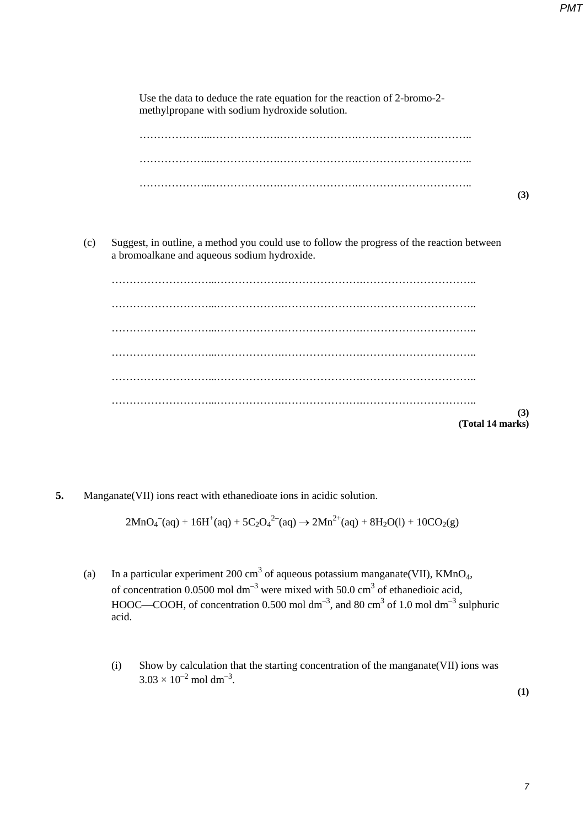Use the data to deduce the rate equation for the reaction of 2-bromo-2 methylpropane with sodium hydroxide solution. ………………...……………….………………….………………………….. ………………...……………….………………….………………………….. ………………...……………….………………….………………………….. **(3)** (c) Suggest, in outline, a method you could use to follow the progress of the reaction between a bromoalkane and aqueous sodium hydroxide. ………………………...……………….………………….………………………….. ………………………...……………….………………….………………………….. ………………………...……………….………………….………………………….. ………………………...……………….………………….………………………….. ………………………...……………….………………….………………………….. ………………………...……………….………………….………………………….. **(3) (Total 14 marks)**

**5.** Manganate(VII) ions react with ethanedioate ions in acidic solution.

 $2MnO<sub>4</sub><sup>-</sup>(aq) + 16H<sup>+</sup>(aq) + 5C<sub>2</sub>O<sub>4</sub><sup>2-</sup>(aq) \rightarrow 2Mn<sup>2+</sup>(aq) + 8H<sub>2</sub>O(l) + 10CO<sub>2</sub>(g)$ 

- (a) In a particular experiment 200 cm<sup>3</sup> of aqueous potassium manganate(VII), KMnO<sub>4</sub>, of concentration 0.0500 mol dm<sup>-3</sup> were mixed with 50.0 cm<sup>3</sup> of ethanedioic acid, HOOC—COOH, of concentration 0.500 mol dm<sup>-3</sup>, and 80 cm<sup>3</sup> of 1.0 mol dm<sup>-3</sup> sulphuric acid.
	- (i) Show by calculation that the starting concentration of the manganate(VII) ions was  $3.03 \times 10^{-2}$  mol dm<sup>-3</sup>.

**(1)**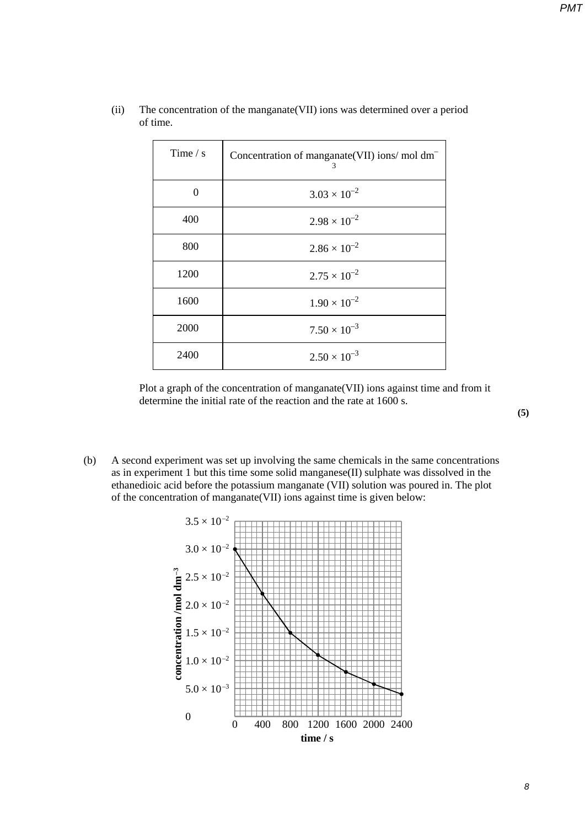| Time $/s$ | Concentration of manganate(VII) ions/mol dm <sup>-</sup><br>3 |
|-----------|---------------------------------------------------------------|
| $\Omega$  | $3.03 \times 10^{-2}$                                         |
| 400       | $2.98 \times 10^{-2}$                                         |
| 800       | $2.86 \times 10^{-2}$                                         |
| 1200      | $2.75 \times 10^{-2}$                                         |
| 1600      | $1.90 \times 10^{-2}$                                         |
| 2000      | $7.50 \times 10^{-3}$                                         |
| 2400      | $2.50 \times 10^{-3}$                                         |

(ii) The concentration of the manganate(VII) ions was determined over a period of time.

Plot a graph of the concentration of manganate(VII) ions against time and from it determine the initial rate of the reaction and the rate at 1600 s.

(b) A second experiment was set up involving the same chemicals in the same concentrations as in experiment 1 but this time some solid manganese(II) sulphate was dissolved in the ethanedioic acid before the potassium manganate (VII) solution was poured in. The plot of the concentration of manganate(VII) ions against time is given below:



**(5)**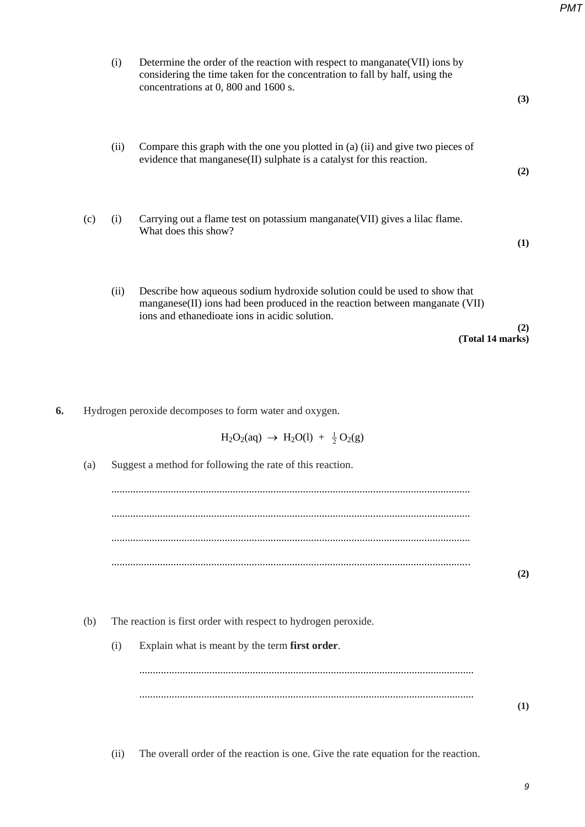|     | (i)  | Determine the order of the reaction with respect to manganate(VII) ions by<br>considering the time taken for the concentration to fall by half, using the<br>concentrations at 0, 800 and 1600 s.           | (3) |
|-----|------|-------------------------------------------------------------------------------------------------------------------------------------------------------------------------------------------------------------|-----|
|     |      |                                                                                                                                                                                                             |     |
|     | (ii) | Compare this graph with the one you plotted in (a) (ii) and give two pieces of<br>evidence that manganese(II) sulphate is a catalyst for this reaction.                                                     | (2) |
| (c) | (i)  | Carrying out a flame test on potassium manganate (VII) gives a lilac flame.<br>What does this show?                                                                                                         |     |
|     |      |                                                                                                                                                                                                             | (1) |
|     | (ii) | Describe how aqueous sodium hydroxide solution could be used to show that<br>manganese(II) ions had been produced in the reaction between manganate (VII)<br>ions and ethanedioate ions in acidic solution. |     |
|     |      |                                                                                                                                                                                                             | (2) |
|     |      | (Total 14 marks)<br>Hydrogen peroxide decomposes to form water and oxygen.                                                                                                                                  |     |
| (a) |      | $H_2O_2(aq) \rightarrow H_2O(l) + \frac{1}{2}O_2(g)$<br>Suggest a method for following the rate of this reaction.                                                                                           |     |
|     |      |                                                                                                                                                                                                             |     |
|     |      |                                                                                                                                                                                                             |     |
|     |      |                                                                                                                                                                                                             |     |
| (b) |      | The reaction is first order with respect to hydrogen peroxide.                                                                                                                                              |     |
|     | (i)  | Explain what is meant by the term first order.                                                                                                                                                              |     |
|     |      |                                                                                                                                                                                                             | (2) |

(ii) The overall order of the reaction is one. Give the rate equation for the reaction.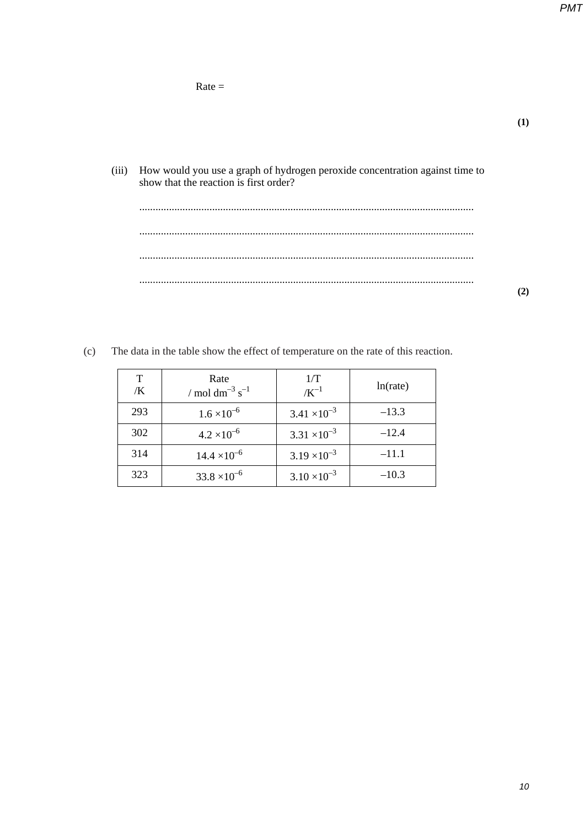$Rate =$ 

- **(1)**
- (iii) How would you use a graph of hydrogen peroxide concentration against time to show that the reaction is first order?

**(2)**

T  $/K$ Rate / mol dm<sup>-3</sup> s<sup>-1</sup>  $\frac{1/T}{\sqrt{K}^{-1}}$  $ln(rate)$ 293  $1.6 \times 10^{-6}$   $3.41 \times 10^{-3}$   $-13.3$ 

302  $4.2 \times 10^{-6}$  <br>3.31  $\times 10^{-3}$   $-12.4$ 

314  $14.4 \times 10^{-6}$   $3.19 \times 10^{-3}$   $-11.1$ 

323  $33.8 \times 10^{-6}$   $3.10 \times 10^{-3}$   $-10.3$ 

(c) The data in the table show the effect of temperature on the rate of this reaction.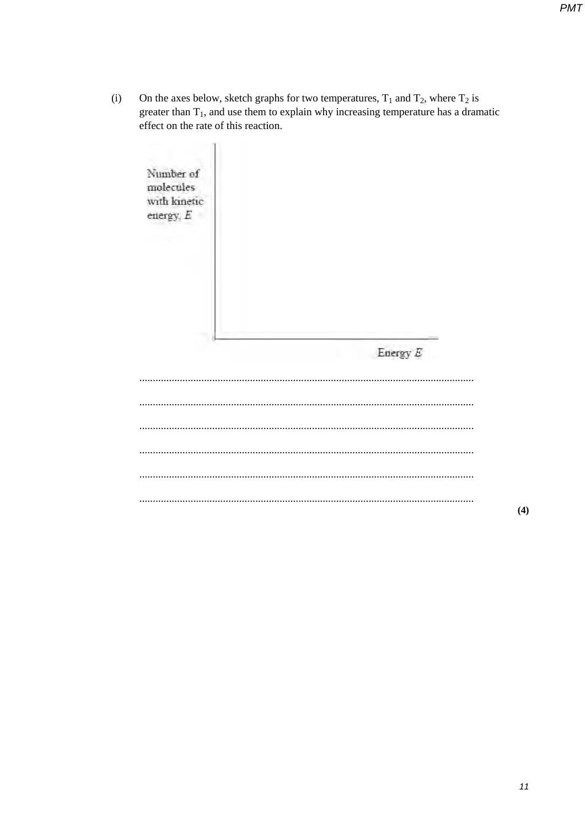On the axes below, sketch graphs for two temperatures,  $T_1$  and  $T_2$ , where  $T_2$  is greater than  $T_1$ , and use them to explain why increasing temperature has a dramatic  $(i)$ effect on the rate of this reaction.

| Number of<br>molecules<br>with kinetic<br>energy, E |            |     |
|-----------------------------------------------------|------------|-----|
|                                                     | Energy $E$ |     |
|                                                     |            |     |
|                                                     |            |     |
|                                                     |            |     |
|                                                     |            | (4) |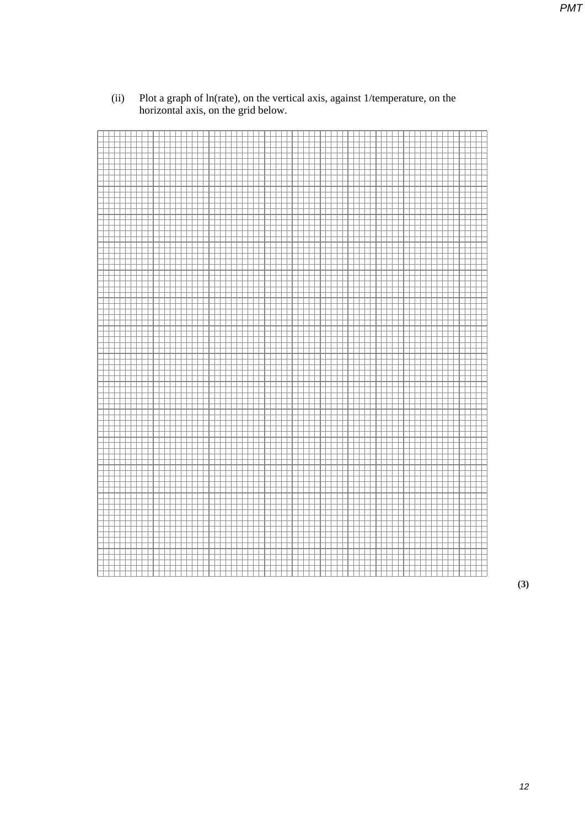(ii) Plot a graph of ln(rate), on the vertical axis, against 1/temperature, on the horizontal axis, on the grid below.

*PMT*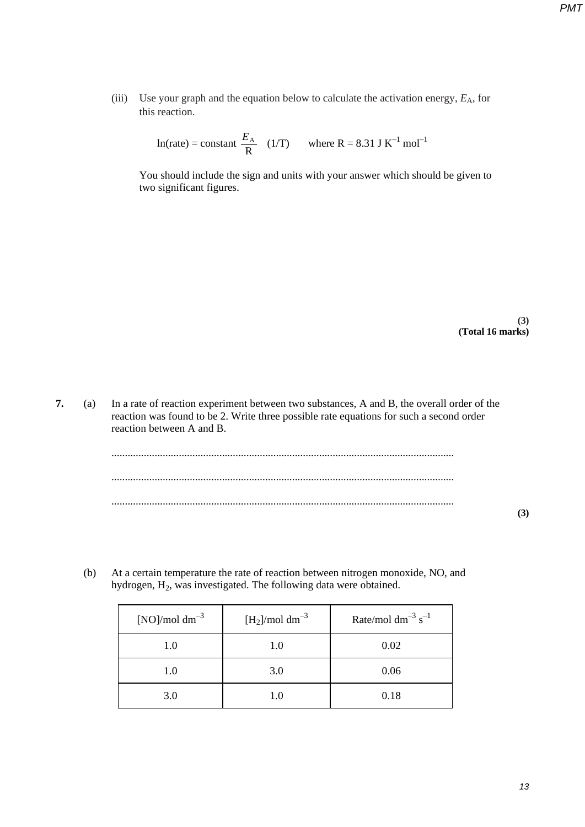(iii) Use your graph and the equation below to calculate the activation energy,  $E_A$ , for this reaction.

 $ln(\text{rate}) = \text{constant } \frac{E_A}{R}$  (1/T) where R = 8.31 J K<sup>-1</sup> mol<sup>-1</sup>

You should include the sign and units with your answer which should be given to two significant figures.

> **(3) (Total 16 marks)**

**7.** (a) In a rate of reaction experiment between two substances, A and B, the overall order of the reaction was found to be 2. Write three possible rate equations for such a second order reaction between A and B.

**(3)**

- [NO]/mol dm<sup>-3</sup>  $[H_2]$ /mol dm<sup>-3</sup> Rate/mol dm<sup>-3</sup> s<sup>-1</sup> 1.0 1.0 0.02 1.0 3.0 0.06 3.0 1.0 0.18
- (b) At a certain temperature the rate of reaction between nitrogen monoxide, NO, and hydrogen, H2, was investigated. The following data were obtained.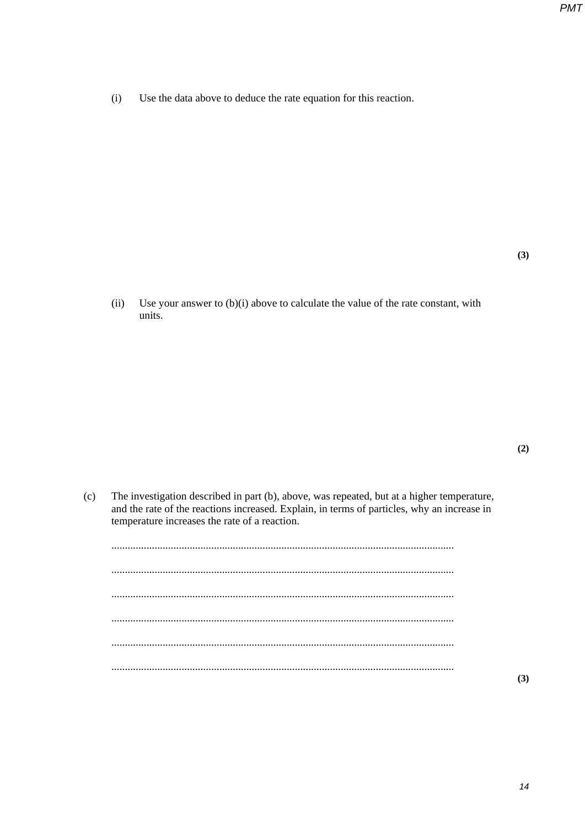$(i)$ Use the data above to deduce the rate equation for this reaction.

 $(3)$ 

Use your answer to  $(b)(i)$  above to calculate the value of the rate constant, with  $(ii)$ units.

The investigation described in part (b), above, was repeated, but at a higher temperature,  $(c)$ and the rate of the reactions increased. Explain, in terms of particles, why an increase in temperature increases the rate of a reaction.

 $(2)$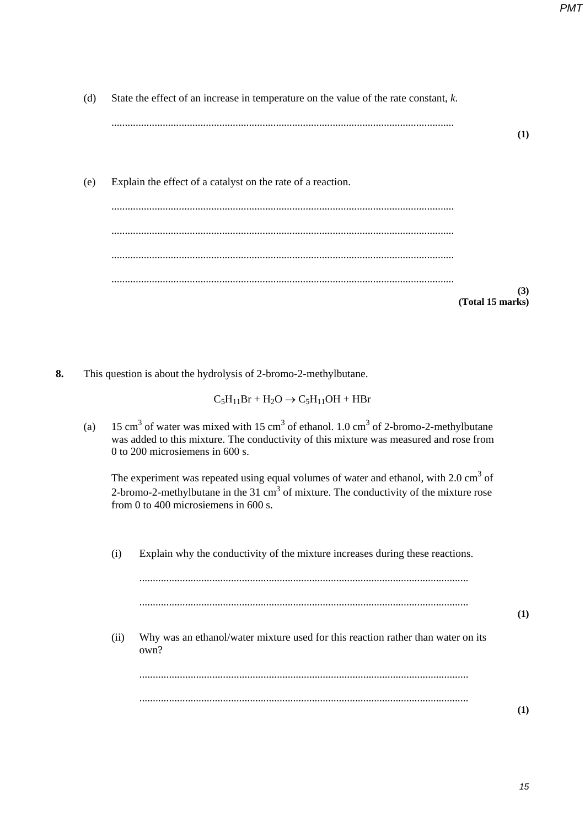| (d) | State the effect of an increase in temperature on the value of the rate constant, $k$ . |                  |
|-----|-----------------------------------------------------------------------------------------|------------------|
|     |                                                                                         | (1)              |
| (e) | Explain the effect of a catalyst on the rate of a reaction.                             |                  |
|     |                                                                                         |                  |
|     |                                                                                         |                  |
|     |                                                                                         | (3)              |
|     |                                                                                         | (Total 15 marks) |

**8.** This question is about the hydrolysis of 2-bromo-2-methylbutane.

 $C_5H_{11}Br + H_2O \rightarrow C_5H_{11}OH + HBr$ 

(a) 15 cm<sup>3</sup> of water was mixed with 15 cm<sup>3</sup> of ethanol. 1.0 cm<sup>3</sup> of 2-bromo-2-methylbutane was added to this mixture. The conductivity of this mixture was measured and rose from 0 to 200 microsiemens in 600 s.

The experiment was repeated using equal volumes of water and ethanol, with  $2.0 \text{ cm}^3$  of 2-bromo-2-methylbutane in the  $31 \text{ cm}^3$  of mixture. The conductivity of the mixture rose from 0 to 400 microsiemens in 600 s.

(i) Explain why the conductivity of the mixture increases during these reactions.

| (ii) | Why was an ethanol/water mixture used for this reaction rather than water on its<br>own? |  |  |  |  |  |  |  |  |
|------|------------------------------------------------------------------------------------------|--|--|--|--|--|--|--|--|
|      |                                                                                          |  |  |  |  |  |  |  |  |
|      |                                                                                          |  |  |  |  |  |  |  |  |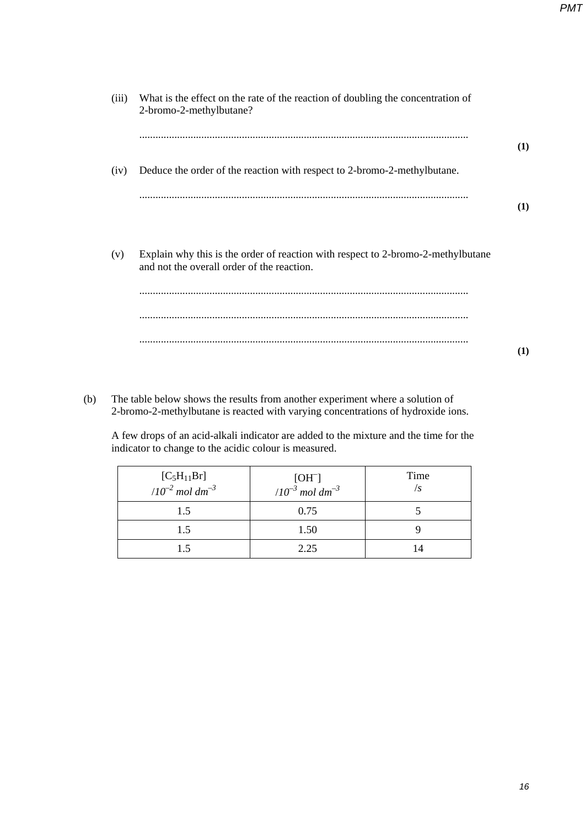| (iii) | What is the effect on the rate of the reaction of doubling the concentration of<br>2-bromo-2-methylbutane?                     |     |
|-------|--------------------------------------------------------------------------------------------------------------------------------|-----|
|       |                                                                                                                                | (1) |
| (iv)  | Deduce the order of the reaction with respect to 2-bromo-2-methylbutane.                                                       |     |
|       |                                                                                                                                | (1) |
|       |                                                                                                                                |     |
| (v)   | Explain why this is the order of reaction with respect to 2-bromo-2-methylbutane<br>and not the overall order of the reaction. |     |

(b) The table below shows the results from another experiment where a solution of 2-bromo-2-methylbutane is reacted with varying concentrations of hydroxide ions.

A few drops of an acid-alkali indicator are added to the mixture and the time for the indicator to change to the acidic colour is measured.

| $[C_5H_{11}Br]$<br>$10^{-2}$ mol dm <sup>-3</sup> | $[OH^-]$<br>$10^{-3}$ mol dm <sup>-3</sup> | Time |
|---------------------------------------------------|--------------------------------------------|------|
| 1.5                                               | 0.75                                       |      |
| 1.5                                               | 1.50                                       |      |
| 1.5                                               | 2.25                                       |      |

**(1)**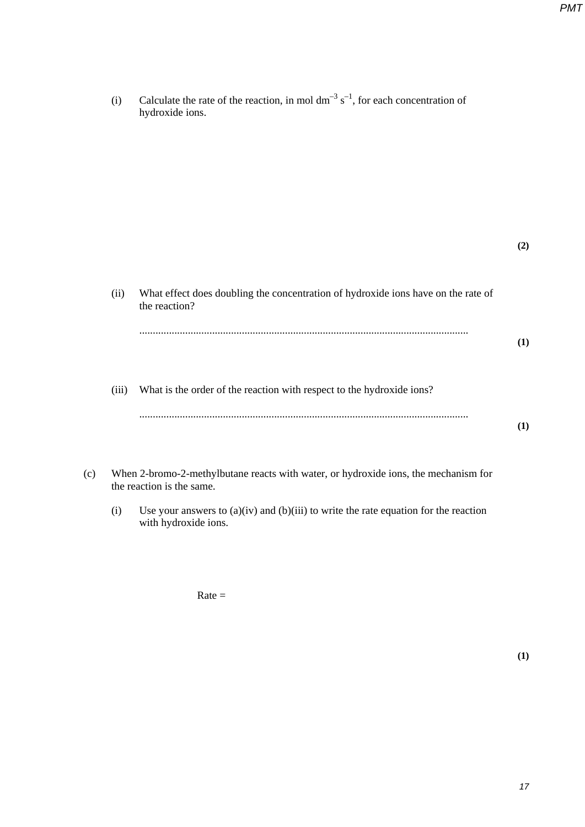|     | (i)   | Calculate the rate of the reaction, in mol $dm^{-3} s^{-1}$ , for each concentration of<br>hydroxide ions.       |     |
|-----|-------|------------------------------------------------------------------------------------------------------------------|-----|
|     |       |                                                                                                                  |     |
|     |       |                                                                                                                  |     |
|     |       |                                                                                                                  | (2) |
|     | (ii)  | What effect does doubling the concentration of hydroxide ions have on the rate of<br>the reaction?               |     |
|     |       |                                                                                                                  | (1) |
|     | (iii) | What is the order of the reaction with respect to the hydroxide ions?                                            |     |
|     |       |                                                                                                                  | (1) |
| (c) |       | When 2-bromo-2-methylbutane reacts with water, or hydroxide ions, the mechanism for<br>the reaction is the same. |     |
|     | (i)   | Use your answers to $(a)(iv)$ and $(b)(iii)$ to write the rate equation for the reaction<br>with hydroxide ions. |     |

 $Rate =$ 

**(1)**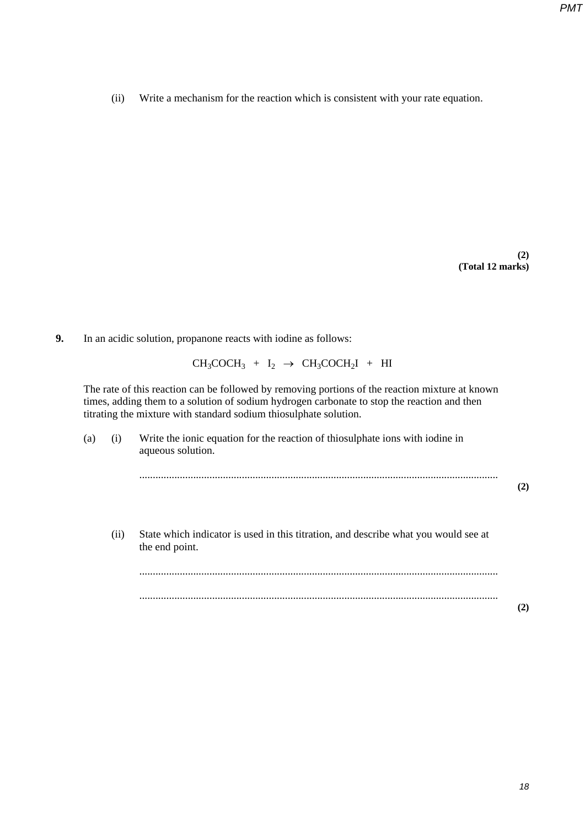(ii) Write a mechanism for the reaction which is consistent with your rate equation.

**(2) (Total 12 marks)**

**9.** In an acidic solution, propanone reacts with iodine as follows:

 $CH_3COCH_3 + I_2 \rightarrow CH_3COCH_2I + HI$ 

The rate of this reaction can be followed by removing portions of the reaction mixture at known times, adding them to a solution of sodium hydrogen carbonate to stop the reaction and then titrating the mixture with standard sodium thiosulphate solution.

(a) (i) Write the ionic equation for the reaction of thiosulphate ions with iodine in aqueous solution. ..................................................................................................................................... **(2)** (ii) State which indicator is used in this titration, and describe what you would see at the end point. ..................................................................................................................................... ..................................................................................................................................... **(2)**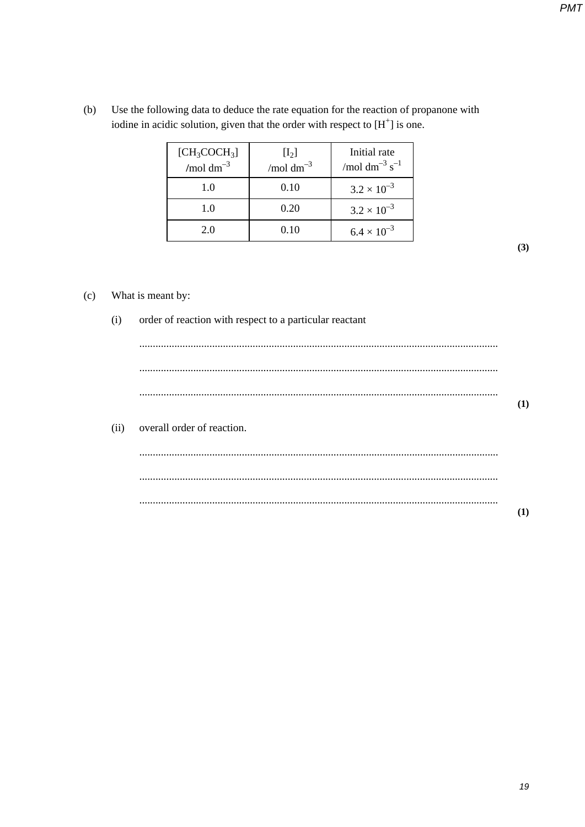| $[CH_3COCH_3]$<br>/mol $dm^{-3}$ | [I <sub>2</sub> ]<br>/mol $dm^{-3}$ | Initial rate<br>/mol dm <sup>-3</sup> $s^{-1}$ |
|----------------------------------|-------------------------------------|------------------------------------------------|
| 1.0                              | 0.10                                | $3.2 \times 10^{-3}$                           |
| 1.0                              | 0.20                                | $3.2 \times 10^{-3}$                           |
| 2.0                              | 0.10                                | $6.4 \times 10^{-3}$                           |

Use the following data to deduce the rate equation for the reaction of propanone with  $(b)$ iodine in acidic solution, given that the order with respect to  $[H<sup>+</sup>]$  is one.

 $(c)$ What is meant by:

> order of reaction with respect to a particular reactant  $(i)$

|      | <br>                       |  |
|------|----------------------------|--|
| (ii) | overall order of reaction. |  |
|      |                            |  |
|      | <br>                       |  |
|      |                            |  |

 $(3)$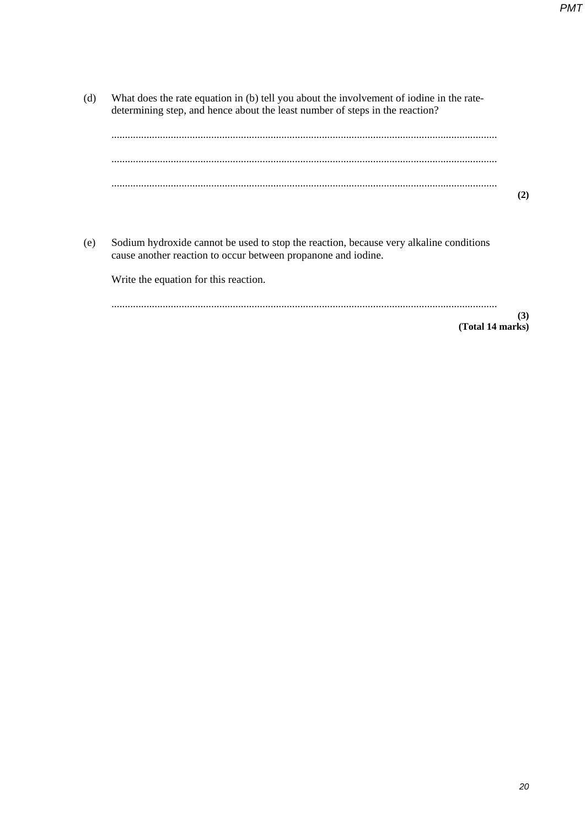(d) What does the rate equation in (b) tell you about the involvement of iodine in the ratedetermining step, and hence about the least number of steps in the reaction?

............................................................................................................................................... ............................................................................................................................................... ............................................................................................................................................... **(2)**

(e) Sodium hydroxide cannot be used to stop the reaction, because very alkaline conditions cause another reaction to occur between propanone and iodine.

Write the equation for this reaction.

...............................................................................................................................................

**(3) (Total 14 marks)**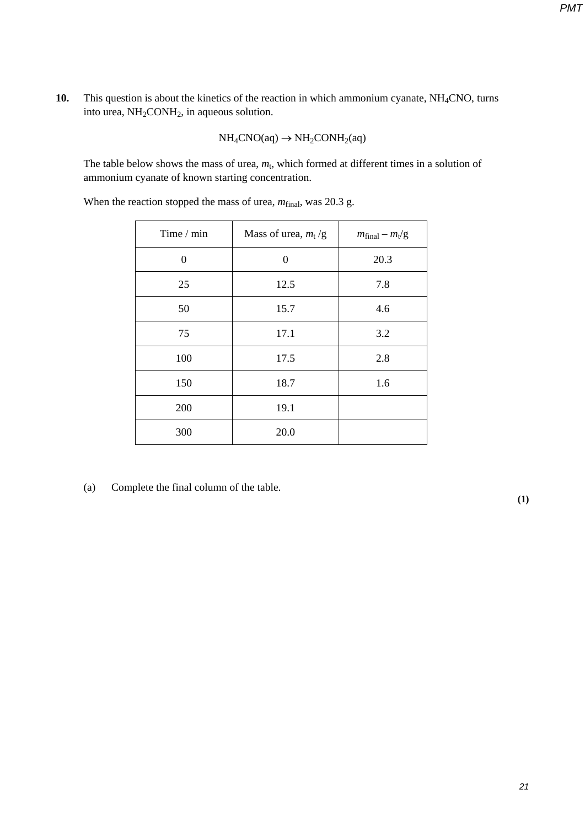**10.** This question is about the kinetics of the reaction in which ammonium cyanate, NH<sub>4</sub>CNO, turns into urea, NH<sub>2</sub>CONH<sub>2</sub>, in aqueous solution.

$$
NH_4CNO(aq) \to NH_2CONH_2(aq)
$$

The table below shows the mass of urea,  $m_t$ , which formed at different times in a solution of ammonium cyanate of known starting concentration.

| Time / min | Mass of urea, $m_t$ /g | $m_{\text{final}} - m_{\text{t}}/g$ |
|------------|------------------------|-------------------------------------|
| 0          | $\theta$               | 20.3                                |
| 25         | 12.5                   | 7.8                                 |
| 50         | 15.7                   | 4.6                                 |
| 75         | 17.1                   | 3.2                                 |
| 100        | 17.5                   | 2.8                                 |
| 150        | 18.7                   | 1.6                                 |
| 200        | 19.1                   |                                     |
| 300        | 20.0                   |                                     |

When the reaction stopped the mass of urea,  $m_{final}$ , was 20.3 g.

(a) Complete the final column of the table.

**(1)**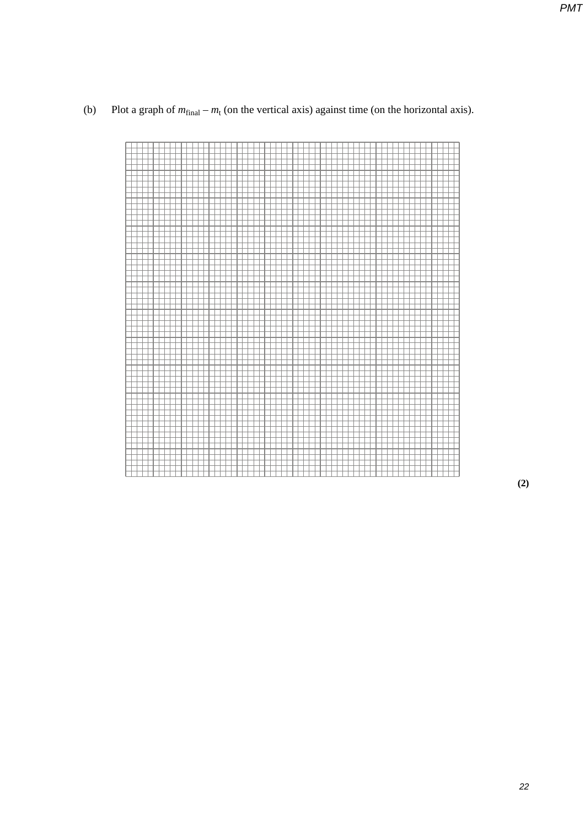(b) Plot a graph of  $m_{\text{final}} - m_t$  (on the vertical axis) against time (on the horizontal axis).

**(2)**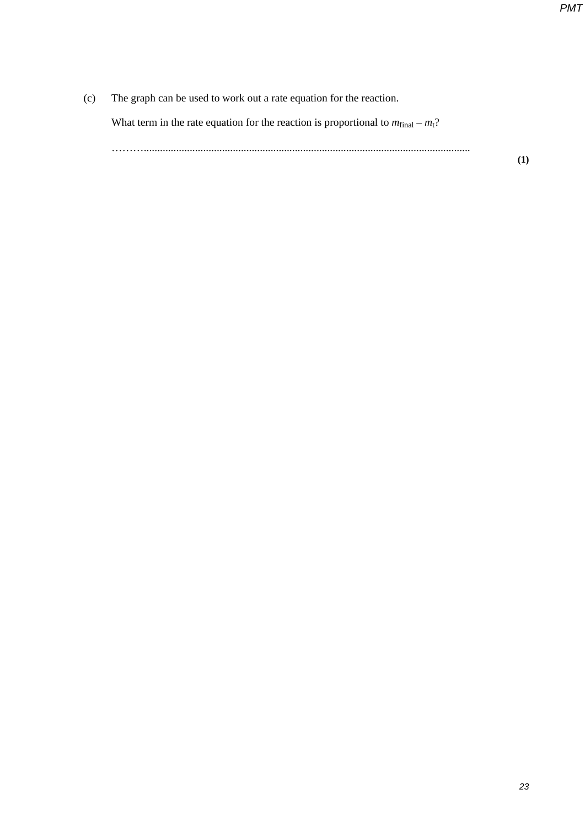$(1)$ 

 $(c)$ The graph can be used to work out a rate equation for the reaction.

What term in the rate equation for the reaction is proportional to  $m_{final} - m_t$ ?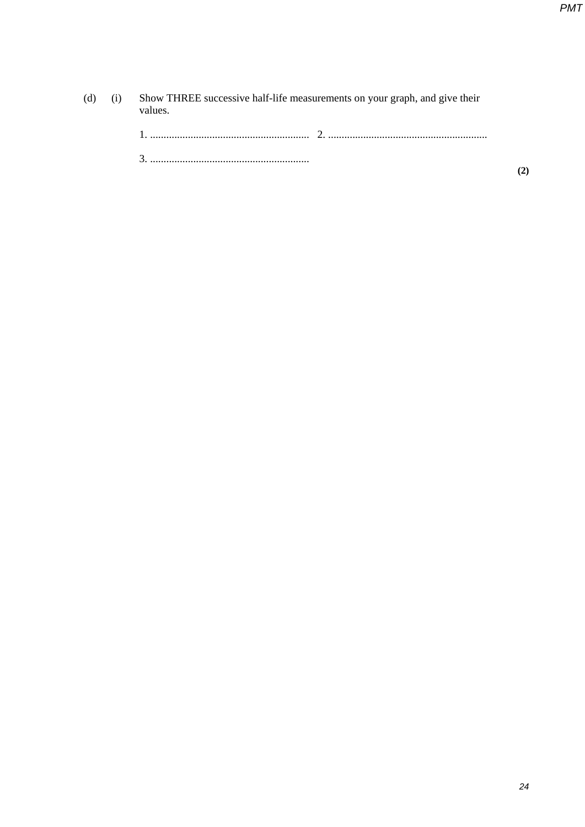$(2)$ 

| $(d)$ $(i)$ | Show THREE successive half-life measurements on your graph, and give their |
|-------------|----------------------------------------------------------------------------|
|             | values.                                                                    |

| $\overline{a}$ . |
|------------------|
|                  |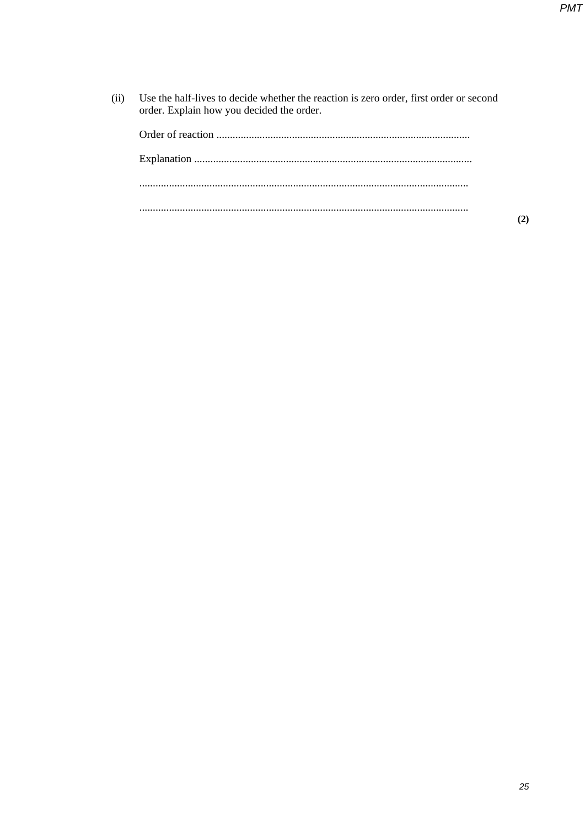$(2)$ 

Use the half-lives to decide whether the reaction is zero order, first order or second  $(ii)$ order. Explain how you decided the order.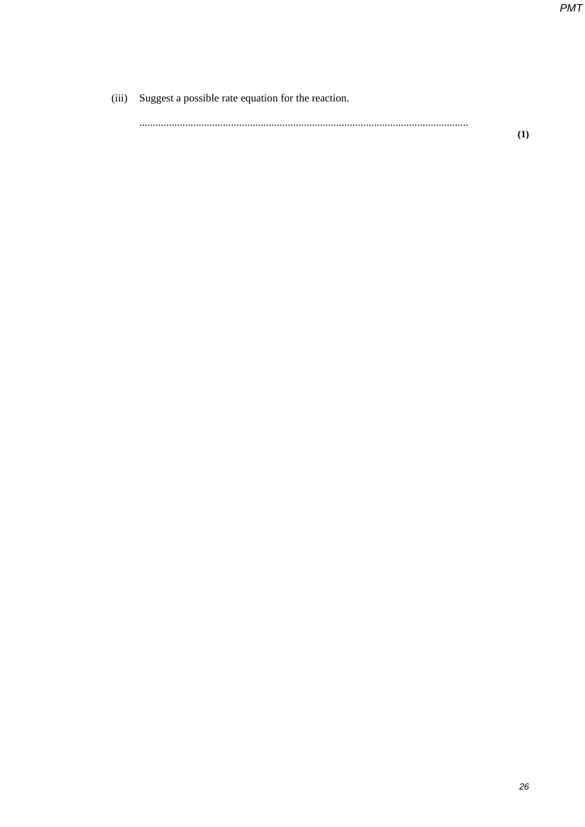(iii) Suggest a possible rate equation for the reaction.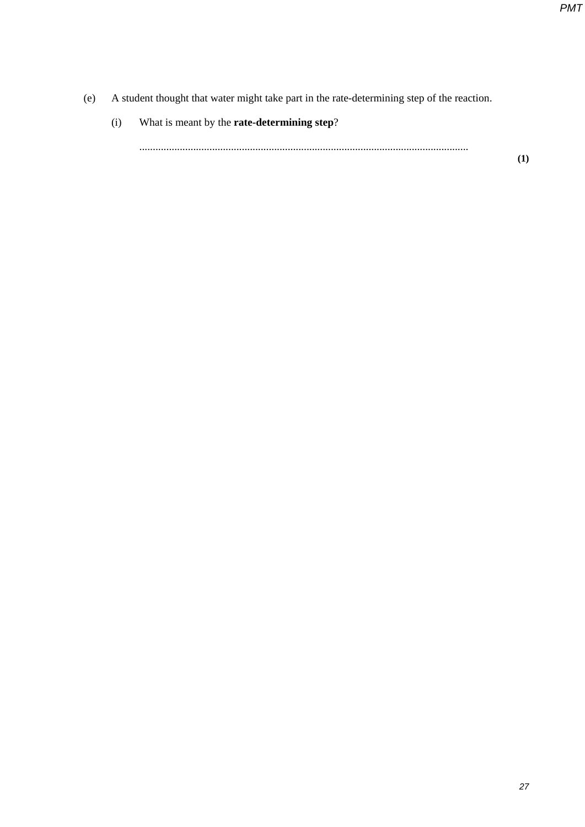- (e) A student thought that water might take part in the rate-determining step of the reaction.
	- (i) What is meant by the **rate-determining step**?

..........................................................................................................................

**(1)**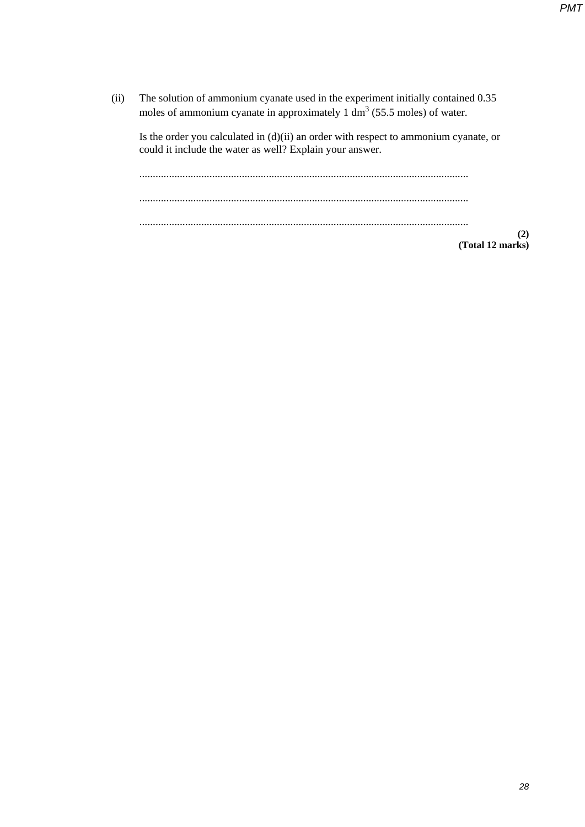(ii) The solution of ammonium cyanate used in the experiment initially contained 0.35 moles of ammonium cyanate in approximately  $1 \text{ dm}^3$  (55.5 moles) of water.

Is the order you calculated in (d)(ii) an order with respect to ammonium cyanate, or could it include the water as well? Explain your answer.

.......................................................................................................................... .......................................................................................................................... ..........................................................................................................................

**(2) (Total 12 marks)**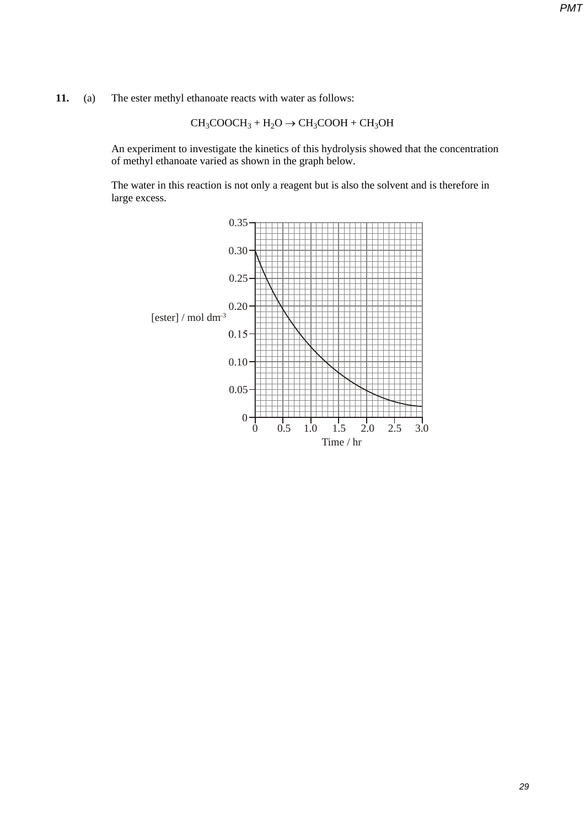## **11.** (a) The ester methyl ethanoate reacts with water as follows:

$$
CH_3COOCH_3 + H_2O \rightarrow CH_3COOH + CH_3OH
$$

An experiment to investigate the kinetics of this hydrolysis showed that the concentration of methyl ethanoate varied as shown in the graph below.

The water in this reaction is not only a reagent but is also the solvent and is therefore in large excess.

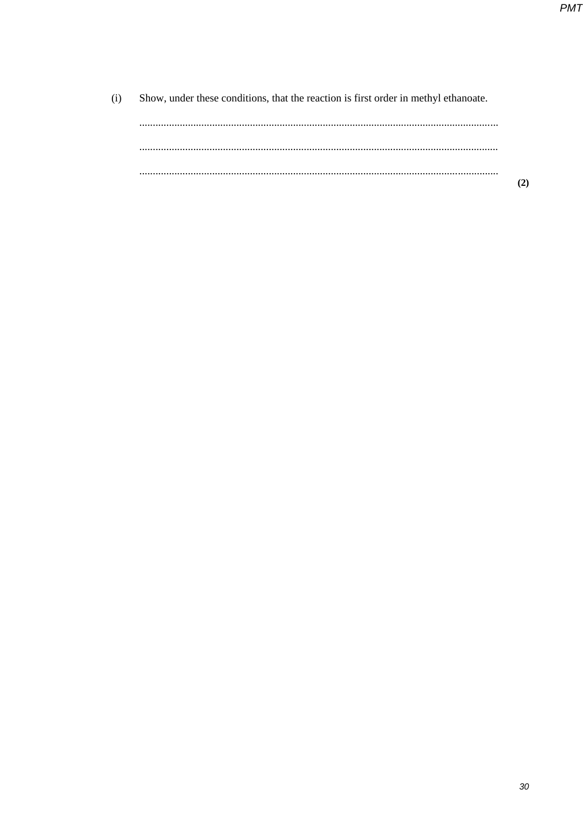$(2)$ 

Show, under these conditions, that the reaction is first order in methyl ethanoate.  $(i)$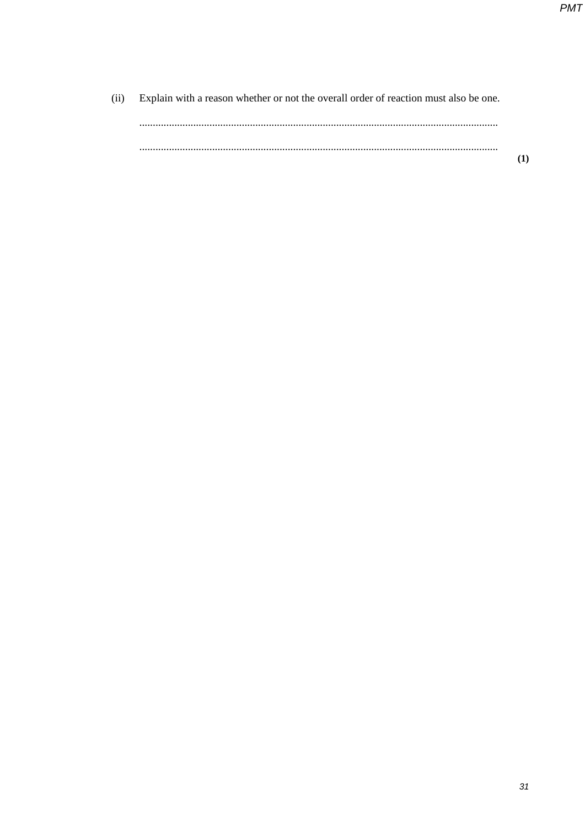$(1)$ 

Explain with a reason whether or not the overall order of reaction must also be one.  $(ii)$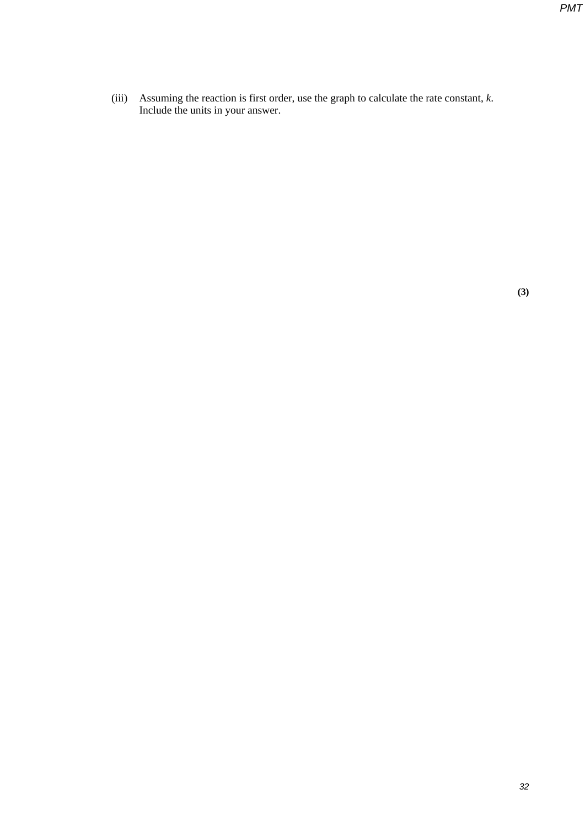(iii) Assuming the reaction is first order, use the graph to calculate the rate constant, *k*. Include the units in your answer.

**(3)**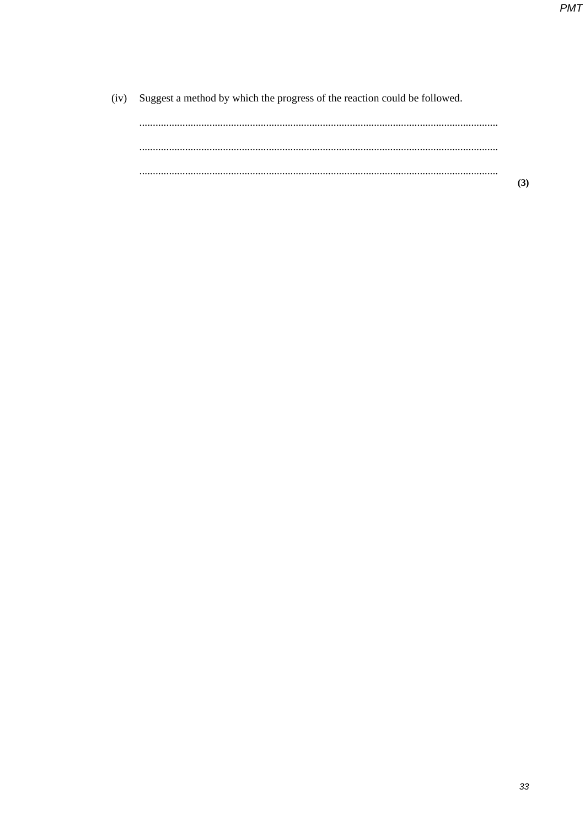$(3)$ 

(iv) Suggest a method by which the progress of the reaction could be followed.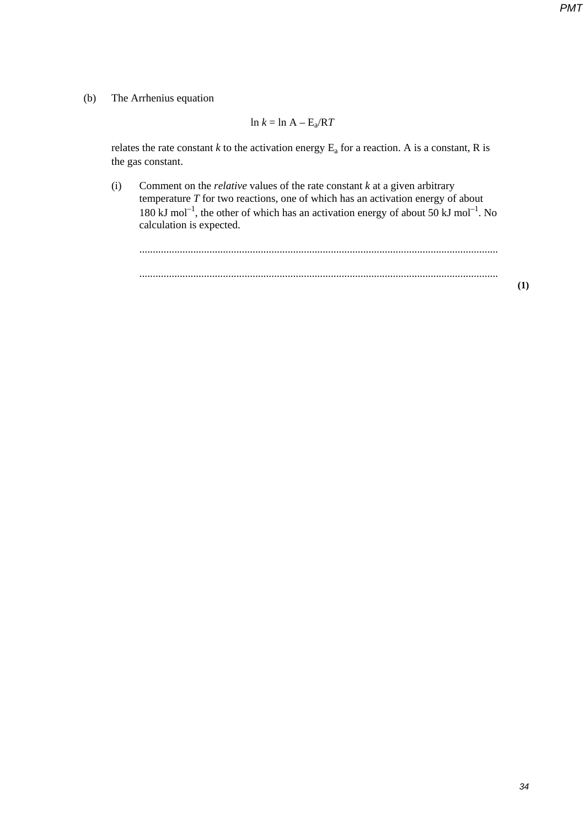## (b) The Arrhenius equation

$$
\ln k = \ln A - E_a / R T
$$

relates the rate constant  $k$  to the activation energy  $E_a$  for a reaction. A is a constant, R is the gas constant.

(i) Comment on the *relative* values of the rate constant *k* at a given arbitrary temperature *T* for two reactions, one of which has an activation energy of about 180 kJ mol<sup>-1</sup>, the other of which has an activation energy of about 50 kJ mol<sup>-1</sup>. No calculation is expected.

..................................................................................................................................... ..................................................................................................................................... **(1)**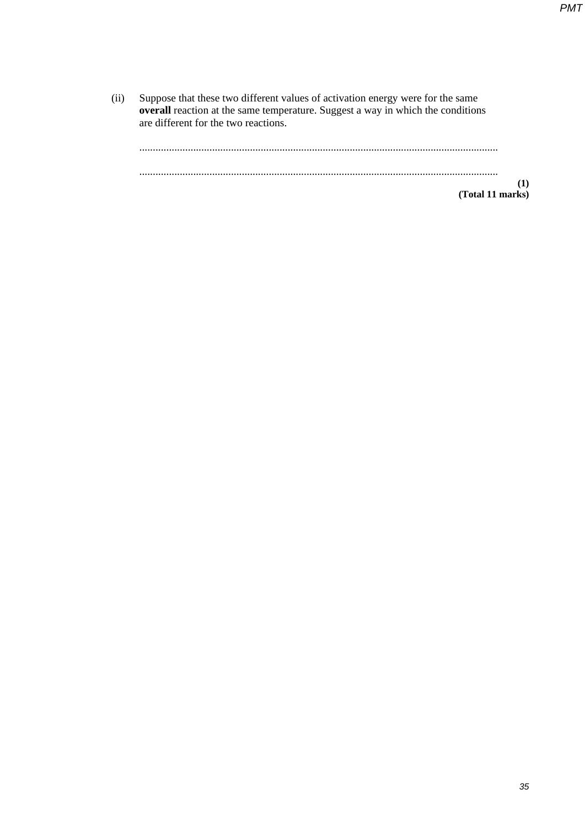(ii) Suppose that these two different values of activation energy were for the same **overall** reaction at the same temperature. Suggest a way in which the conditions are different for the two reactions.

..................................................................................................................................... ..................................................................................................................................... **(1)**

**(Total 11 marks)**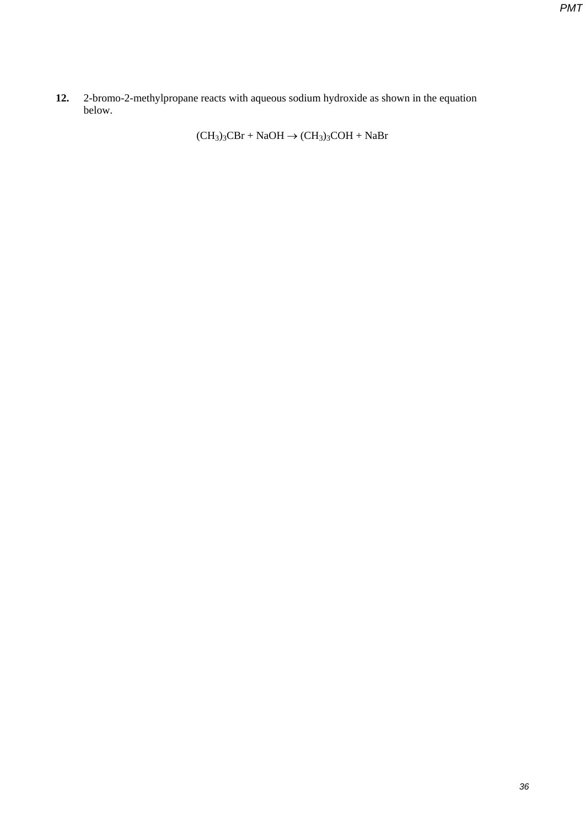**12.** 2-bromo-2-methylpropane reacts with aqueous sodium hydroxide as shown in the equation below.

 $(CH_3)_3CBr + NaOH \rightarrow (CH_3)_3COH + NaBr$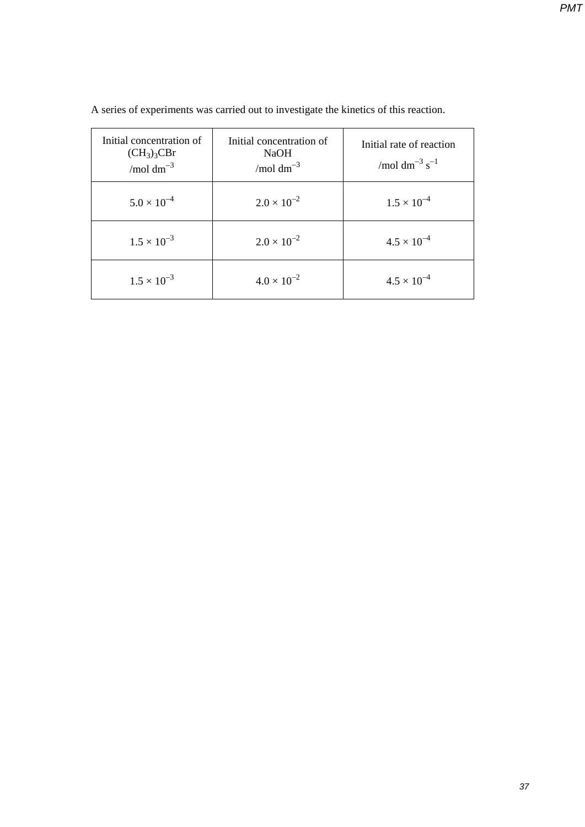| Initial concentration of<br>$(CH_3)_3$ CBr<br>/mol dm <sup><math>-3</math></sup> | Initial concentration of<br>NaOH<br>/mol $dm^{-3}$ | Initial rate of reaction<br>/mol dm <sup>-3</sup> $s^{-1}$ |
|----------------------------------------------------------------------------------|----------------------------------------------------|------------------------------------------------------------|
| $5.0 \times 10^{-4}$                                                             | $2.0 \times 10^{-2}$                               | $1.5 \times 10^{-4}$                                       |
| $1.5 \times 10^{-3}$                                                             | $2.0 \times 10^{-2}$                               | $4.5 \times 10^{-4}$                                       |
| $1.5 \times 10^{-3}$                                                             | $4.0 \times 10^{-2}$                               | $4.5 \times 10^{-4}$                                       |

A series of experiments was carried out to investigate the kinetics of this reaction.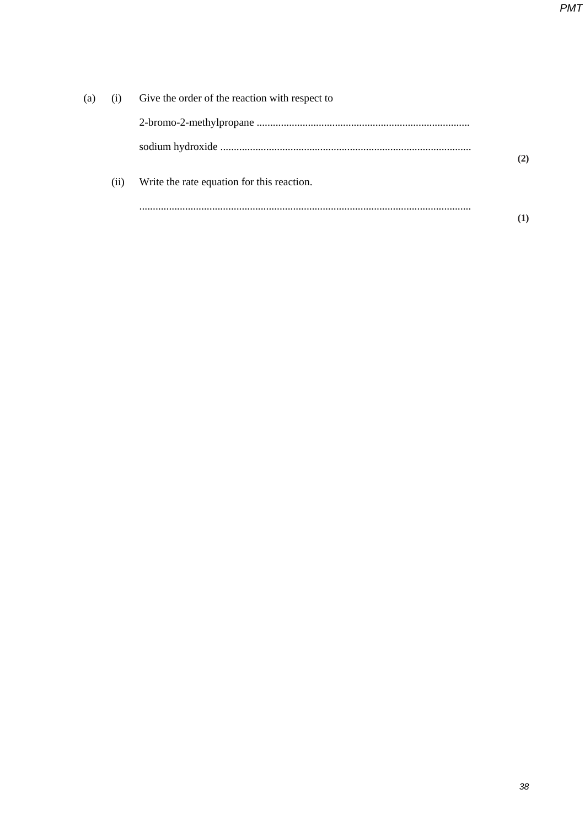| (a) | (i)  | Give the order of the reaction with respect to |     |
|-----|------|------------------------------------------------|-----|
|     |      |                                                |     |
|     |      |                                                | (2) |
|     | (ii) | Write the rate equation for this reaction.     |     |
|     |      |                                                |     |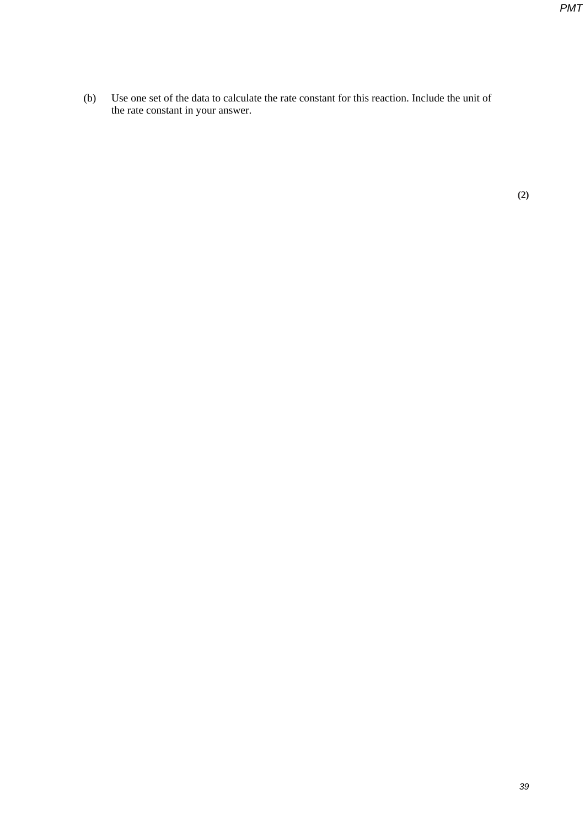(b) Use one set of the data to calculate the rate constant for this reaction. Include the unit of the rate constant in your answer.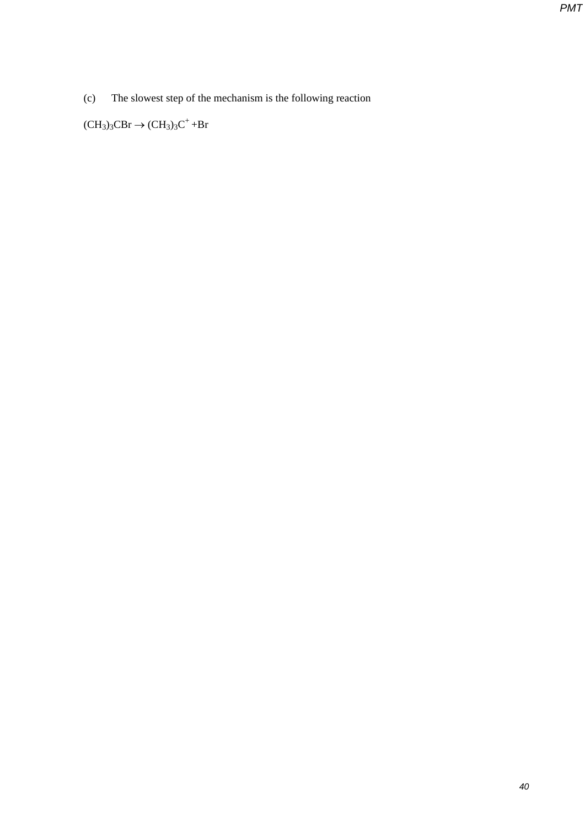(c) The slowest step of the mechanism is the following reaction

 $(CH_3)_3CBr \rightarrow (CH_3)_3C^+ + Br$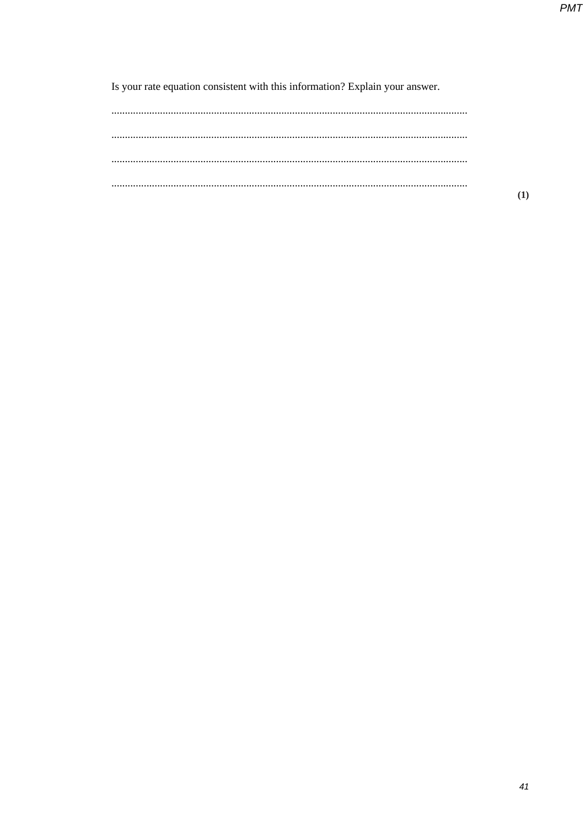Is your rate equation consistent with this information? Explain your answer.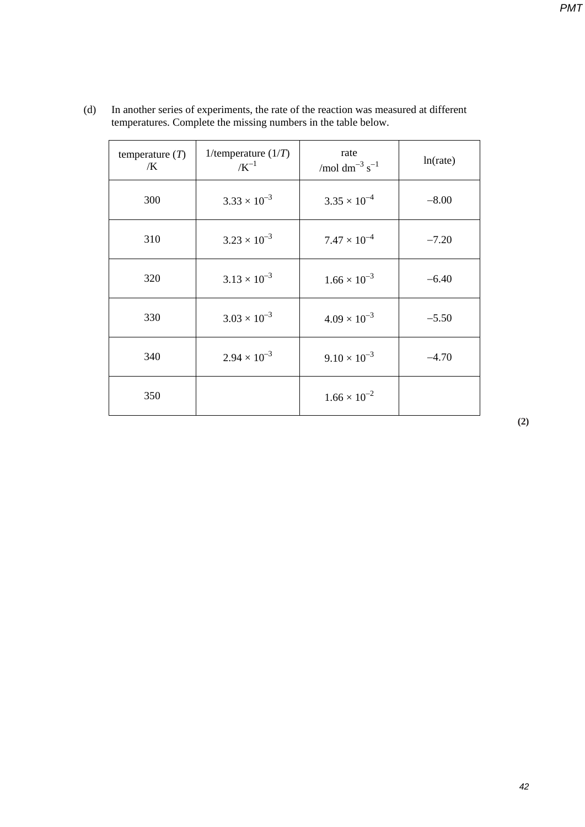| temperature $(T)$<br>/K | 1/temperature $(1/T)$<br>$/K^{-1}$ | rate<br>/mol dm <sup>-3</sup> $s^{-1}$ | $ln(\text{rate})$ |
|-------------------------|------------------------------------|----------------------------------------|-------------------|
| 300                     | $3.33 \times 10^{-3}$              | $3.35 \times 10^{-4}$                  | $-8.00$           |
| 310                     | $3.23 \times 10^{-3}$              | $7.47 \times 10^{-4}$                  | $-7.20$           |
| 320                     | $3.13 \times 10^{-3}$              | $1.66 \times 10^{-3}$                  | $-6.40$           |
| 330                     | $3.03 \times 10^{-3}$              | $4.09 \times 10^{-3}$                  | $-5.50$           |
| 340                     | $2.94 \times 10^{-3}$              | $9.10 \times 10^{-3}$                  | $-4.70$           |
| 350                     |                                    | $1.66 \times 10^{-2}$                  |                   |

(d) In another series of experiments, the rate of the reaction was measured at different temperatures. Complete the missing numbers in the table below.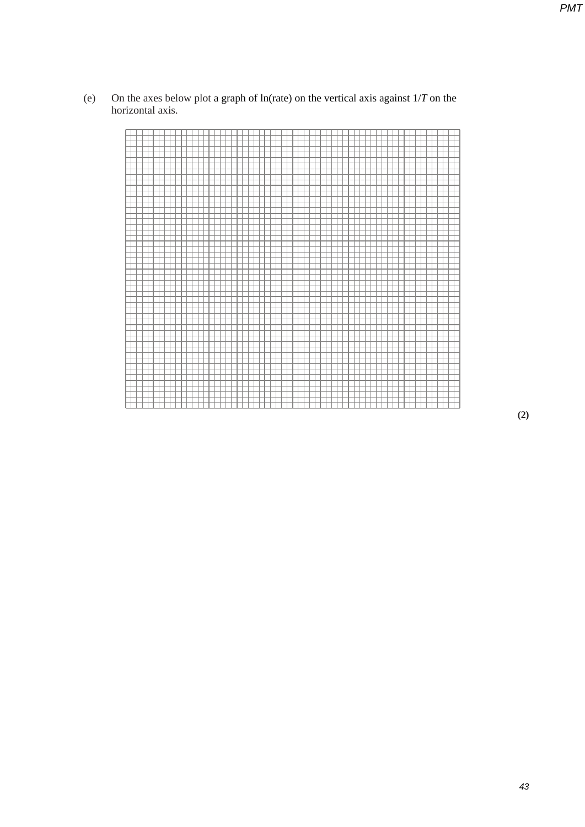(e) On the axes below plot a graph of ln(rate) on the vertical axis against 1/*T* on the horizontal axis.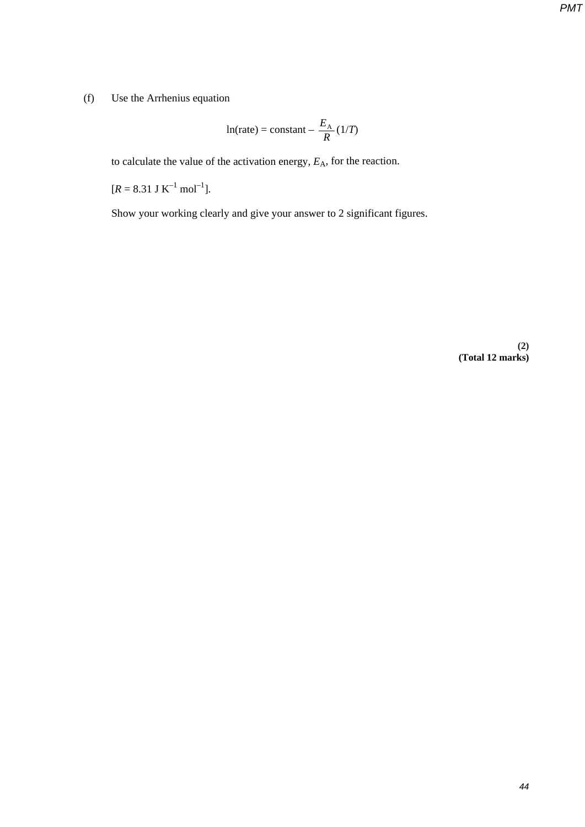# (f) Use the Arrhenius equation

$$
\ln(\text{rate}) = \text{constant} - \frac{E_{\text{A}}}{R} (1/T)
$$

to calculate the value of the activation energy,  $E_A$ , for the reaction.

 $[R = 8.31 \text{ J K}^{-1} \text{ mol}^{-1}].$ 

Show your working clearly and give your answer to 2 significant figures.

**(2) (Total 12 marks)**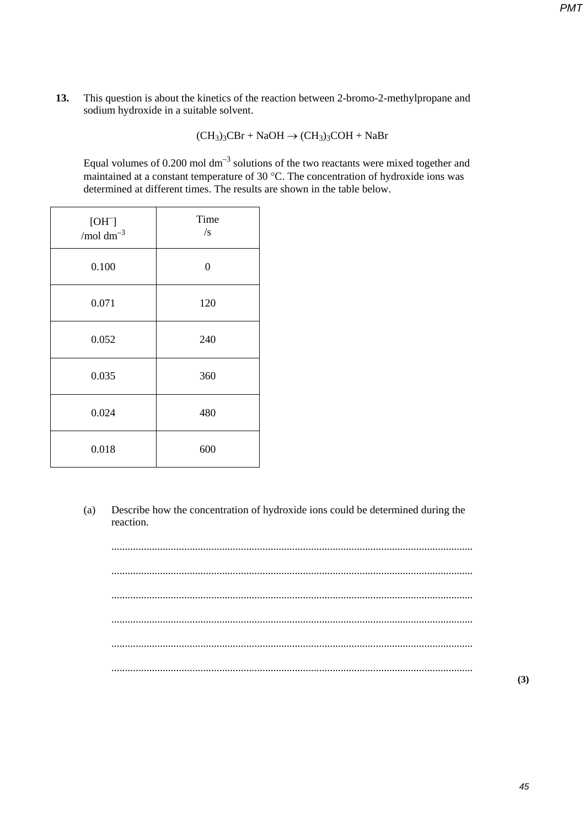**13.** This question is about the kinetics of the reaction between 2-bromo-2-methylpropane and sodium hydroxide in a suitable solvent.

 $(CH_3)_3CBr + NaOH \rightarrow (CH_3)_3COH + NaBr$ 

Equal volumes of  $0.200$  mol dm<sup>-3</sup> solutions of the two reactants were mixed together and maintained at a constant temperature of 30  $^{\circ}$ C. The concentration of hydroxide ions was determined at different times. The results are shown in the table below.

| $[OH^-]$<br>/mol $dm^{-3}$ | Time<br>$\sqrt{s}$ |
|----------------------------|--------------------|
| 0.100                      | 0                  |
| 0.071                      | 120                |
| 0.052                      | 240                |
| 0.035                      | 360                |
| 0.024                      | 480                |
| 0.018                      | 600                |

(a) Describe how the concentration of hydroxide ions could be determined during the reaction.

...................................................................................................................................... ...................................................................................................................................... ...................................................................................................................................... ...................................................................................................................................... ...................................................................................................................................... ......................................................................................................................................

*PMT*

**(3)**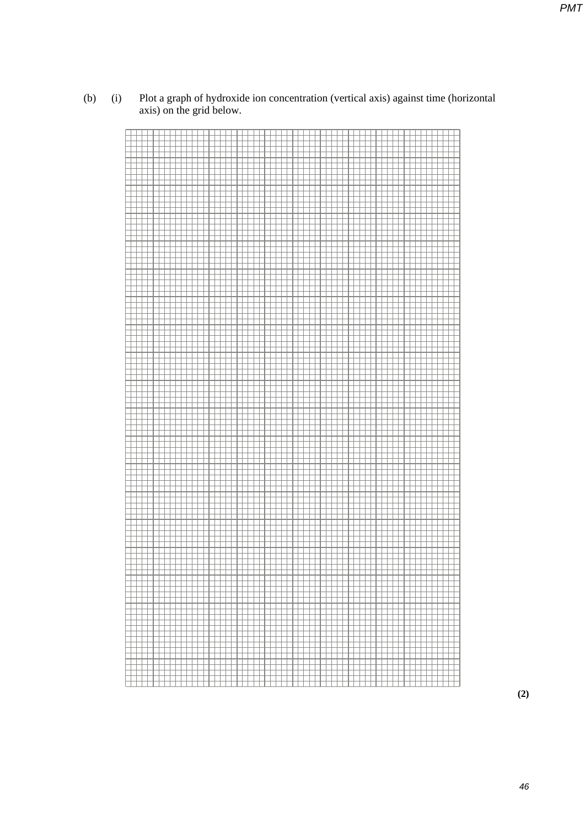(b) (i) Plot a graph of hydroxide ion concentration (vertical axis) against time (horizontal axis) on the grid below.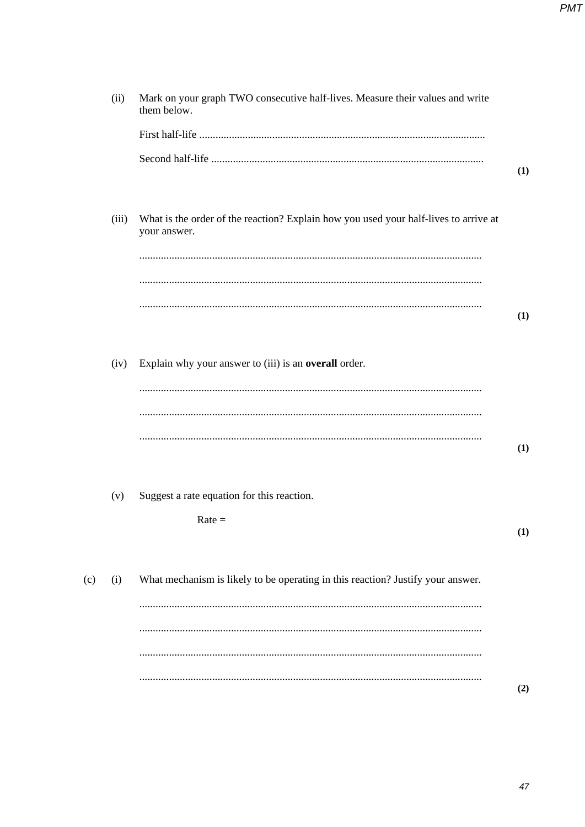|     | (ii)  | Mark on your graph TWO consecutive half-lives. Measure their values and write<br>them below.         |     |
|-----|-------|------------------------------------------------------------------------------------------------------|-----|
|     |       |                                                                                                      |     |
|     |       |                                                                                                      | (1) |
|     | (iii) | What is the order of the reaction? Explain how you used your half-lives to arrive at<br>your answer. |     |
|     |       |                                                                                                      |     |
|     |       |                                                                                                      | (1) |
|     | (iv)  | Explain why your answer to (iii) is an overall order.                                                |     |
|     |       |                                                                                                      | (1) |
|     | (v)   | Suggest a rate equation for this reaction.                                                           |     |
|     |       | $Rate =$                                                                                             | (1) |
| (c) | (i)   | What mechanism is likely to be operating in this reaction? Justify your answer.                      |     |
|     |       |                                                                                                      |     |
|     |       |                                                                                                      |     |
|     |       |                                                                                                      | (2) |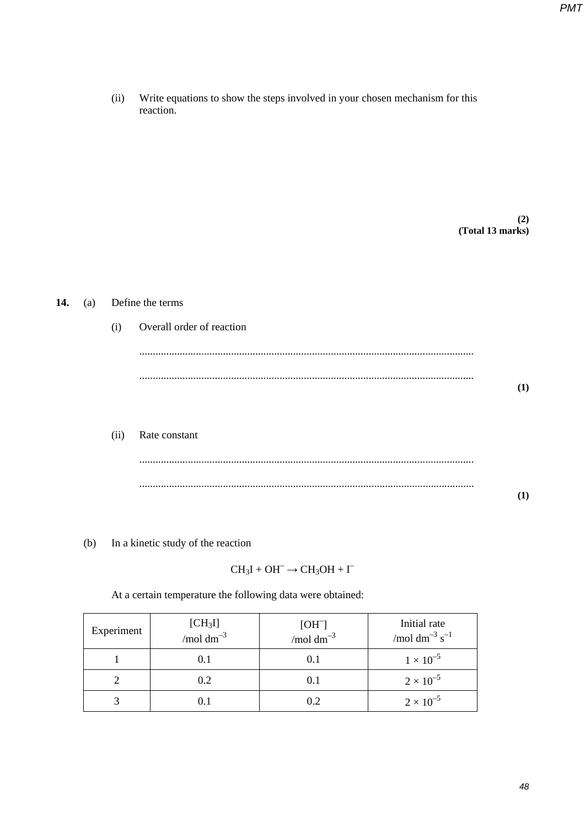(ii) Write equations to show the steps involved in your chosen mechanism for this reaction.

> **(2) (Total 13 marks)**

## **14.** (a) Define the terms

(i) Overall order of reaction ............................................................................................................................ ............................................................................................................................

**(1)**

#### (ii) Rate constant

(b) In a kinetic study of the reaction

$$
CH_3I + OH^- \rightarrow CH_3OH + I^-
$$

At a certain temperature the following data were obtained:

| Experiment | [CH <sub>3</sub> I]<br>/mol dm <sup>-3</sup> | [OH <sup>-</sup> ]<br>/mol dm <sup>-3</sup> | Initial rate<br>/mol dm <sup>-3</sup> $s^{-1}$ |
|------------|----------------------------------------------|---------------------------------------------|------------------------------------------------|
|            | 0.1                                          |                                             | $1 \times 10^{-5}$                             |
|            | 0.2                                          |                                             | $2\times10^{-5}$                               |
|            |                                              | 0.2                                         | $2\times10^{-5}$                               |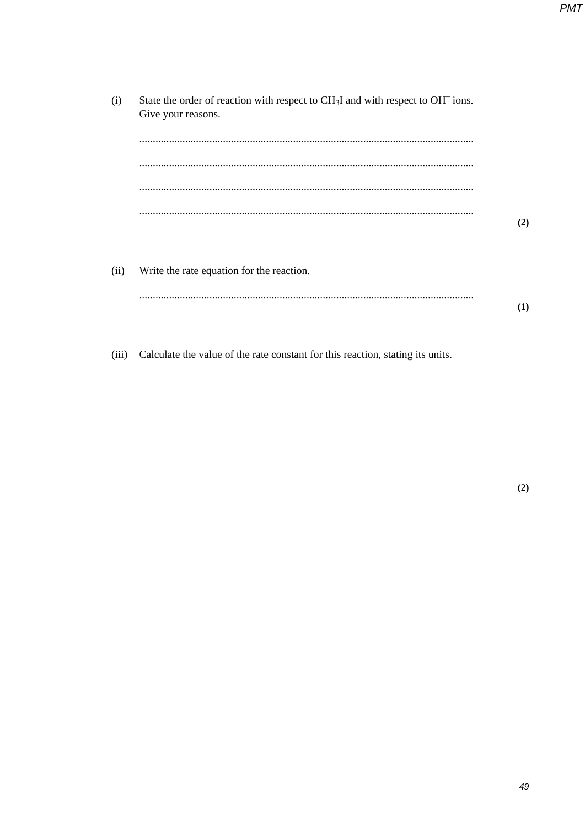| (i)  | State the order of reaction with respect to $CH3I$ and with respect to OH <sup><math>-</math></sup> ions.<br>Give your reasons. |     |
|------|---------------------------------------------------------------------------------------------------------------------------------|-----|
|      |                                                                                                                                 |     |
|      |                                                                                                                                 |     |
|      |                                                                                                                                 |     |
|      |                                                                                                                                 | (2) |
| (ii) | Write the rate equation for the reaction.                                                                                       |     |
|      |                                                                                                                                 | (1) |
|      |                                                                                                                                 |     |

(iii) Calculate the value of the rate constant for this reaction, stating its units.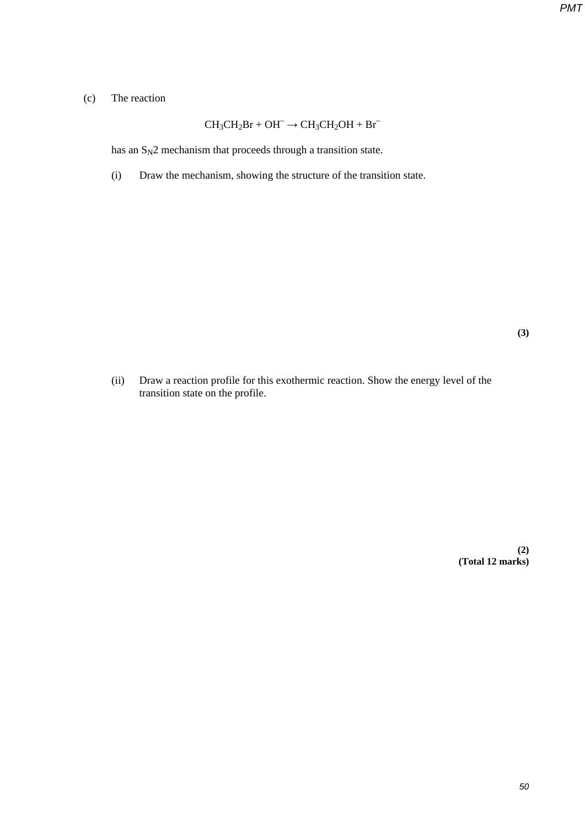*PMT*

### (c) The reaction

### $CH_3CH_2Br + OH^- \rightarrow CH_3CH_2OH + Br^-$

has an  $S_N2$  mechanism that proceeds through a transition state.

(i) Draw the mechanism, showing the structure of the transition state.

**(3)**

(ii) Draw a reaction profile for this exothermic reaction. Show the energy level of the transition state on the profile.

> **(2) (Total 12 marks)**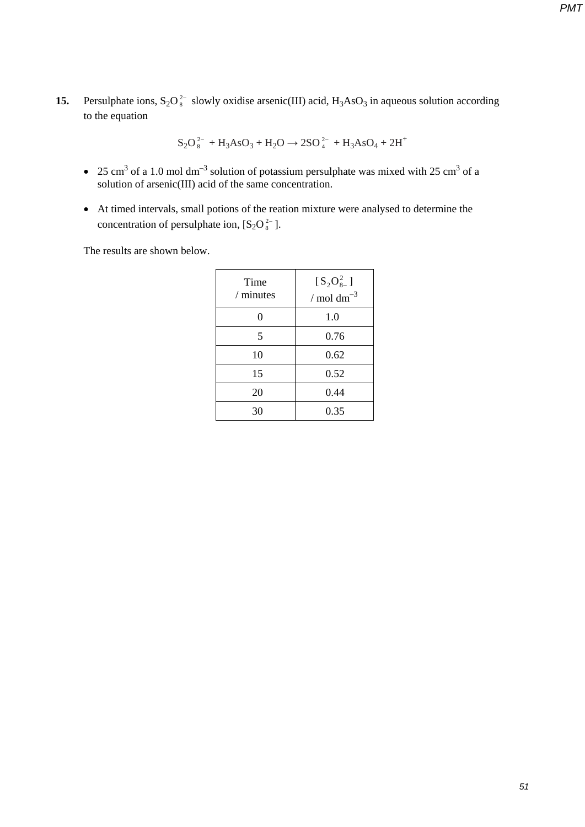**15.** Persulphate ions,  $S_2O_8^{2-}$  slowly oxidise arsenic(III) acid,  $H_3AsO_3$  in aqueous solution according to the equation

$$
S_2O_8^{2-} + H_3AsO_3 + H_2O \rightarrow 2SO_4^{2-} + H_3AsO_4 + 2H^+
$$

- 25 cm<sup>3</sup> of a 1.0 mol dm<sup>-3</sup> solution of potassium persulphate was mixed with 25 cm<sup>3</sup> of a solution of arsenic(III) acid of the same concentration.
- At timed intervals, small potions of the reation mixture were analysed to determine the concentration of persulphate ion,  $[S_2O_8^{2-}]$ .

The results are shown below.

| Time<br>$/$ minutes | $[S_2O_{8-}^2]$<br>/ mol dm <sup>-3</sup> |
|---------------------|-------------------------------------------|
| 0                   | 1.0                                       |
| 5                   | 0.76                                      |
| 10                  | 0.62                                      |
| 15                  | 0.52                                      |
| 20                  | 0.44                                      |
| 30                  | 0.35                                      |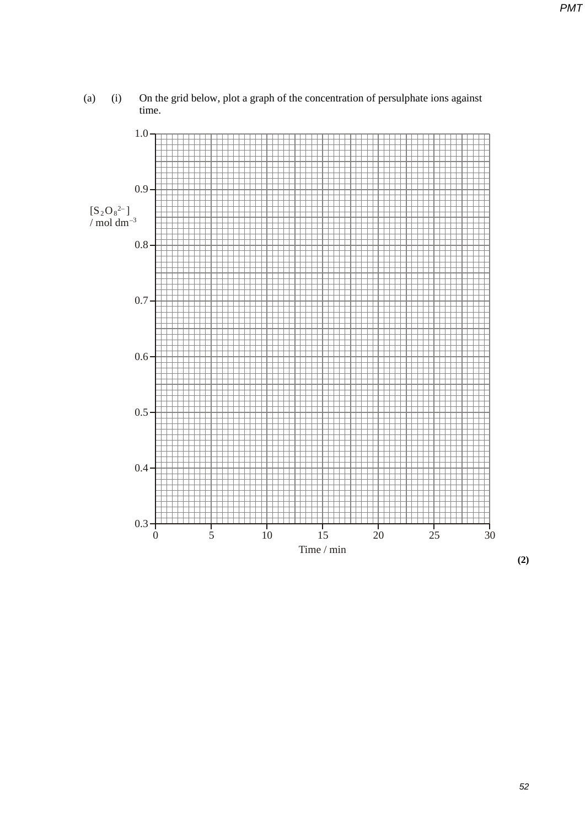

(a) (i) On the grid below, plot a graph of the concentration of persulphate ions against time.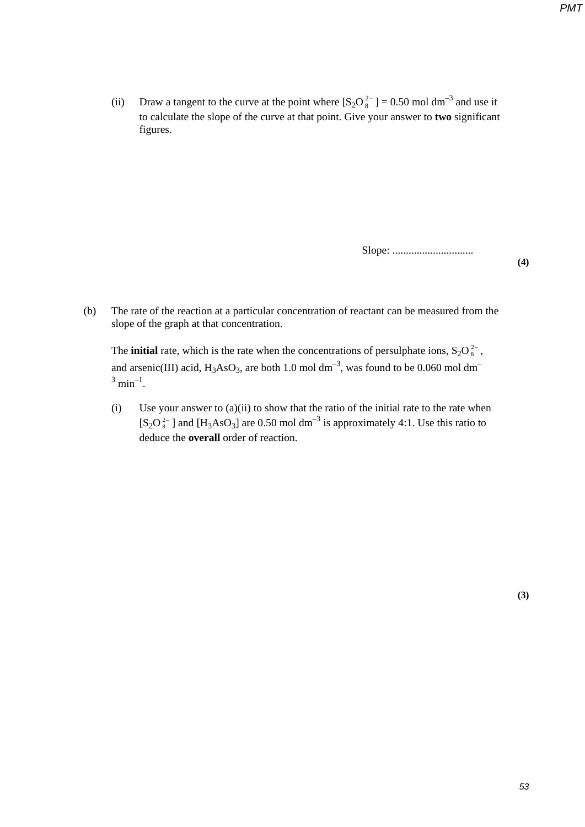(ii) Draw a tangent to the curve at the point where  $[S_2O_8^{2-}] = 0.50$  mol dm<sup>-3</sup> and use it to calculate the slope of the curve at that point. Give your answer to **two** significant figures.

Slope: ..............................

**(4)**

(b) The rate of the reaction at a particular concentration of reactant can be measured from the slope of the graph at that concentration.

The **initial** rate, which is the rate when the concentrations of persulphate ions,  $S_2O_8^{2-}$ , and arsenic(III) acid,  $H_3AsO_3$ , are both 1.0 mol dm<sup>-3</sup>, was found to be 0.060 mol dm<sup>-</sup>  $3 \text{ min}^{-1}$ 

(i) Use your answer to (a)(ii) to show that the ratio of the initial rate to the rate when  $[S_2O_8^{2-}]$  and  $[H_3AsO_3]$  are 0.50 mol dm<sup>-3</sup> is approximately 4:1. Use this ratio to deduce the **overall** order of reaction.

**(3)**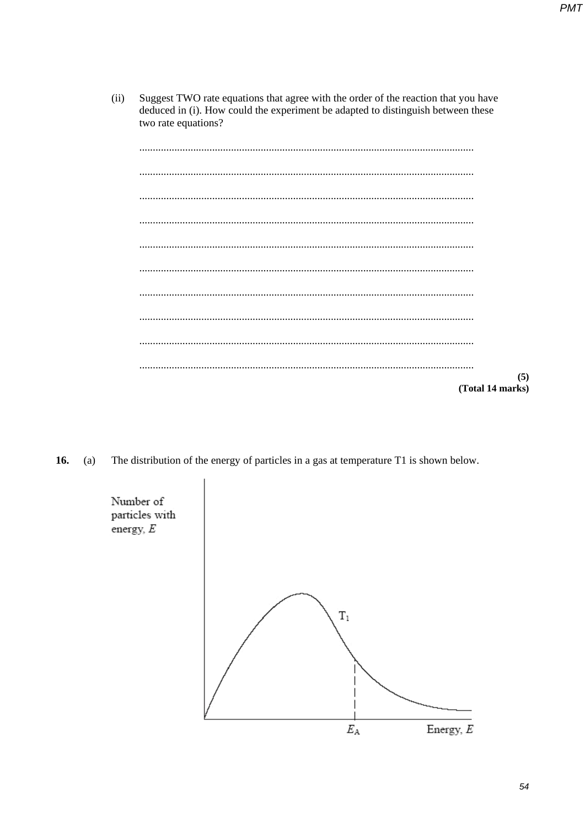Suggest TWO rate equations that agree with the order of the reaction that you have deduced in (i). How could the experiment be adapted to distinguish between these  $(ii)$ two rate equations?

|                  | (5) |
|------------------|-----|
| (Total 14 marks) |     |

The distribution of the energy of particles in a gas at temperature T1 is shown below. 16.  $(a)$ 

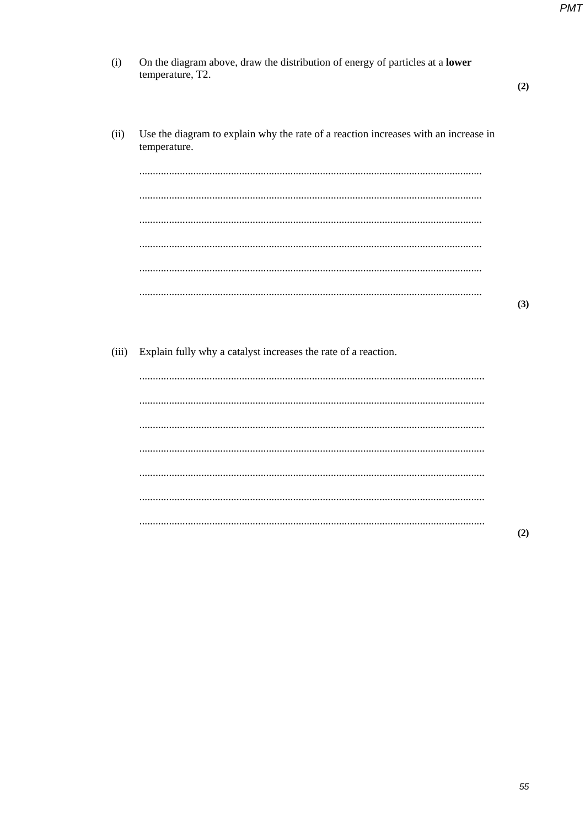**PMT** 

| (i)   | On the diagram above, draw the distribution of energy of particles at a lower<br>temperature, T2.   | (2) |
|-------|-----------------------------------------------------------------------------------------------------|-----|
| (ii)  | Use the diagram to explain why the rate of a reaction increases with an increase in<br>temperature. |     |
|       |                                                                                                     |     |
|       |                                                                                                     |     |
|       |                                                                                                     |     |
|       |                                                                                                     |     |
|       |                                                                                                     |     |
|       |                                                                                                     | (3) |
|       |                                                                                                     |     |
| (iii) | Explain fully why a catalyst increases the rate of a reaction.                                      |     |
|       |                                                                                                     |     |
|       |                                                                                                     |     |
|       |                                                                                                     |     |
|       |                                                                                                     |     |
|       |                                                                                                     |     |
|       |                                                                                                     |     |
|       |                                                                                                     | (2) |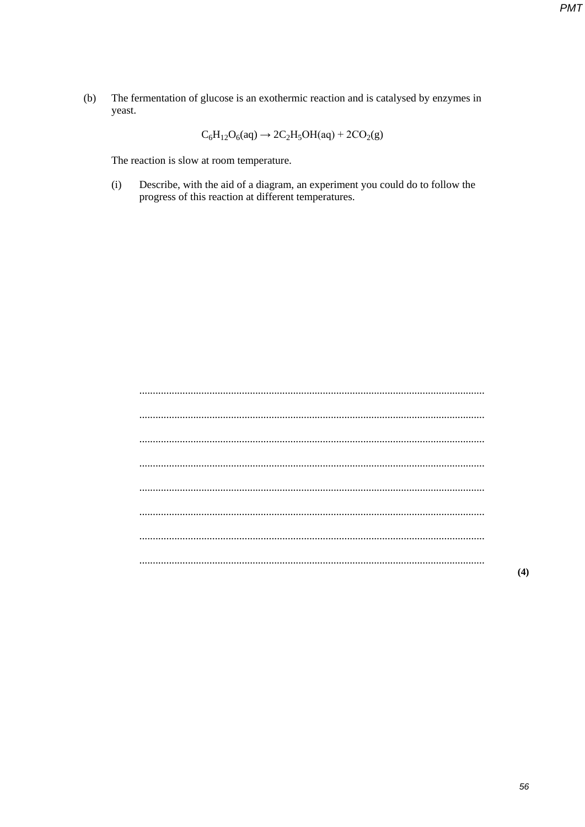The fermentation of glucose is an exothermic reaction and is catalysed by enzymes in  $(b)$ yeast.

 $C_6H_{12}O_6(aq) \rightarrow 2C_2H_5OH(aq) + 2CO_2(g)$ 

The reaction is slow at room temperature.

Describe, with the aid of a diagram, an experiment you could do to follow the  $(i)$ progress of this reaction at different temperatures.

 $(4)$ 

**PMT**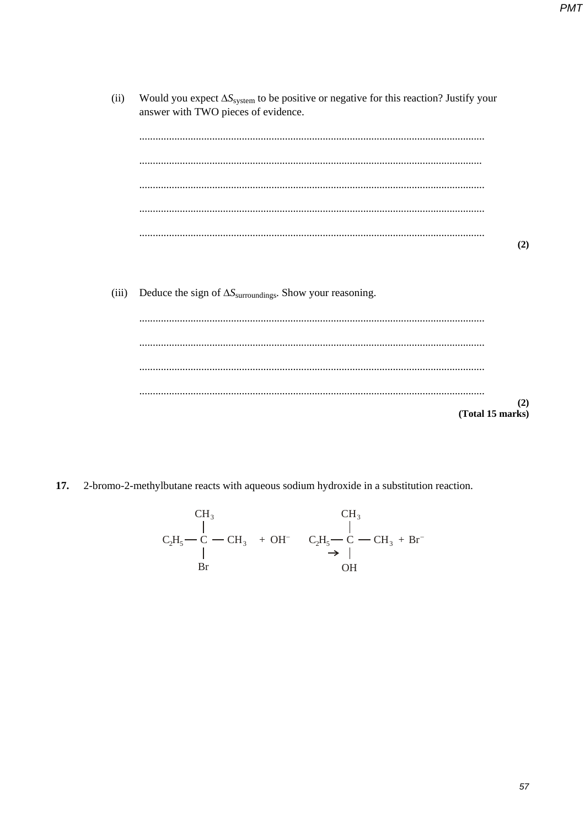

17. 2-bromo-2-methylbutane reacts with aqueous sodium hydroxide in a substitution reaction.

$$
\begin{array}{ccc}\n & \text{CH}_3 & & \text{CH}_3 \\
& \mid & & \mid \\
& \text{C}_2\text{H}_5 \longrightarrow \text{C} \longrightarrow \text{CH}_3 + \text{OH}^- & \text{C}_2\text{H}_5 \longrightarrow \text{C} \longrightarrow \text{CH}_3 + \text{Br}^-\n\end{array}
$$
\n
$$
\begin{array}{ccc}\n & \text{CH}_3 \\
& \mid & \text{O} \\
& \text{Br} & \text{O} \\
& \text{O} \\
& \text{O} \\
& \text{O} \\
& \text{O} \\
& \text{O} \\
& \text{O} \\
& \text{O} \\
& \text{O} \\
& \text{O} \\
& \text{O} \\
& \text{O} \\
& \text{O} \\
& \text{O} \\
& \text{O} \\
& \text{O} \\
& \text{O} \\
& \text{O} \\
& \text{O} \\
& \text{O} \\
& \text{O} \\
& \text{O} \\
& \text{O} \\
& \text{O} \\
& \text{O} \\
& \text{O} \\
& \text{O} \\
& \text{O} \\
& \text{O} \\
& \text{O} \\
& \text{O} \\
& \text{O} \\
& \text{O} \\
& \text{O} \\
& \text{O} \\
& \text{O} \\
& \text{O} \\
& \text{O} \\
& \text{O} \\
& \text{O} \\
& \text{O} \\
& \text{O} \\
& \text{O} \\
& \text{O} \\
& \text{O} \\
& \text{O} \\
& \text{O} \\
& \text{O} \\
& \text{O} \\
& \text{O} \\
& \text{O} \\
& \text{O} \\
& \text{O} \\
& \text{O} \\
& \text{O} \\
& \text{O} \\
& \text{O} \\
& \text{O} \\
& \text{O} \\
& \text{O} \\
& \text{O} \\
& \text{O} \\
& \text{O} \\
& \text{O} \\
& \text{O} \\
&
$$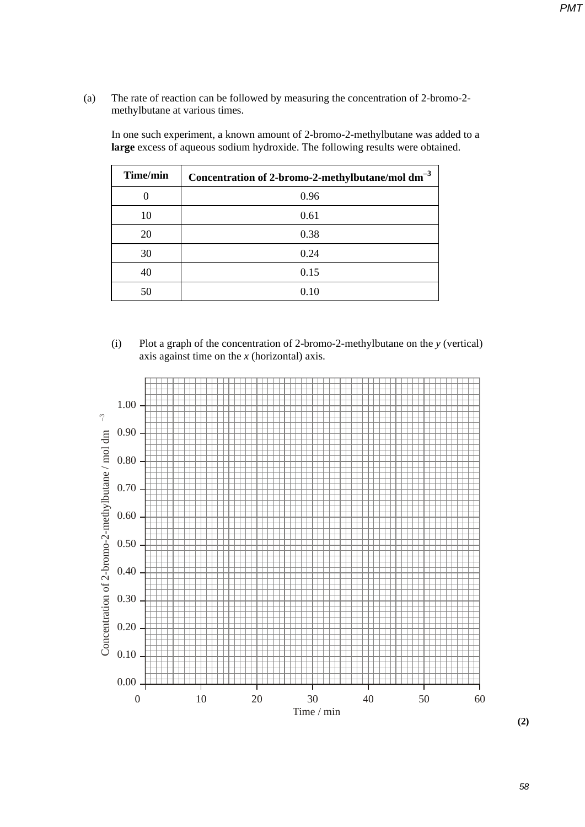(a) The rate of reaction can be followed by measuring the concentration of 2-bromo-2 methylbutane at various times.

In one such experiment, a known amount of 2-bromo-2-methylbutane was added to a **large** excess of aqueous sodium hydroxide. The following results were obtained.

| Time/min | Concentration of 2-bromo-2-methylbutane/mol dm <sup>-3</sup> |
|----------|--------------------------------------------------------------|
|          | 0.96                                                         |
| 10       | 0.61                                                         |
| 20       | 0.38                                                         |
| 30       | 0.24                                                         |
| 40       | 0.15                                                         |
| 50       | 0.10                                                         |

(i) Plot a graph of the concentration of 2-bromo-2-methylbutane on the *y* (vertical) axis against time on the *x* (horizontal) axis.

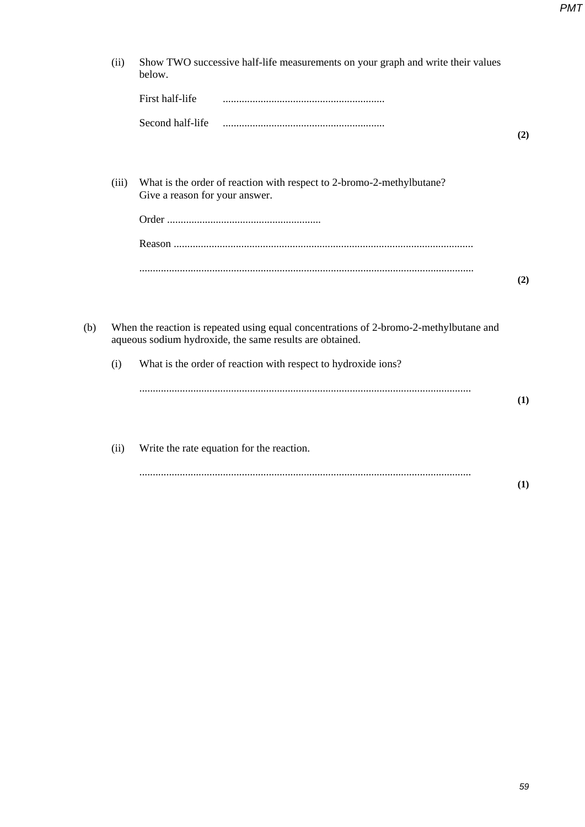| (ii)<br>below. |       | Show TWO successive half-life measurements on your graph and write their values                                                                    |     |
|----------------|-------|----------------------------------------------------------------------------------------------------------------------------------------------------|-----|
|                |       | First half-life                                                                                                                                    |     |
|                |       | Second half-life                                                                                                                                   | (2) |
|                | (iii) | What is the order of reaction with respect to 2-bromo-2-methylbutane?<br>Give a reason for your answer.                                            |     |
|                |       |                                                                                                                                                    |     |
|                |       |                                                                                                                                                    |     |
|                |       |                                                                                                                                                    | (2) |
| (b)            |       | When the reaction is repeated using equal concentrations of 2-bromo-2-methylbutane and<br>aqueous sodium hydroxide, the same results are obtained. |     |
|                | (i)   | What is the order of reaction with respect to hydroxide ions?                                                                                      |     |
|                |       |                                                                                                                                                    | (1) |
|                | (ii)  | Write the rate equation for the reaction.                                                                                                          |     |
|                |       |                                                                                                                                                    | (1) |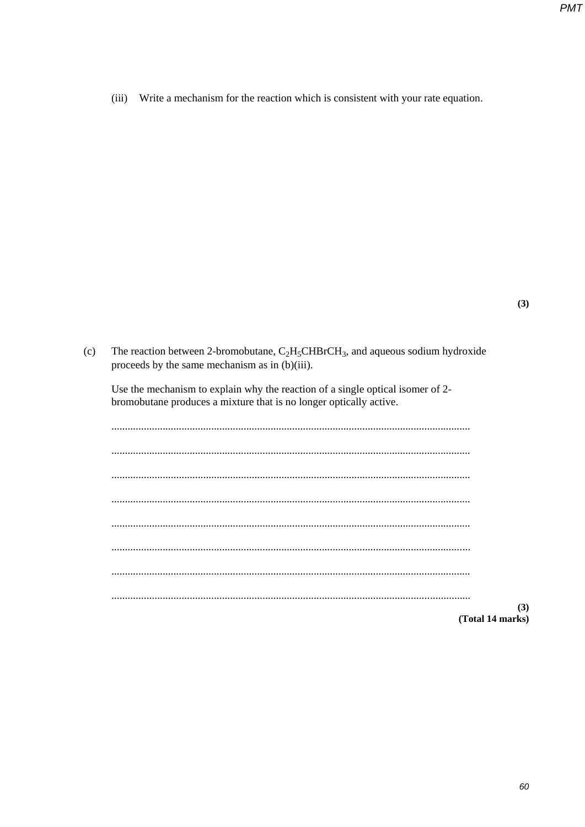(iii) Write a mechanism for the reaction which is consistent with your rate equation.

 $(3)$ 

 $(c)$ The reaction between 2-bromobutane,  $C_2H_5CHBrCH_3$ , and aqueous sodium hydroxide proceeds by the same mechanism as in  $(b)(iii)$ .

Use the mechanism to explain why the reaction of a single optical isomer of 2bromobutane produces a mixture that is no longer optically active.

(Total 14 marks)

 $(3)$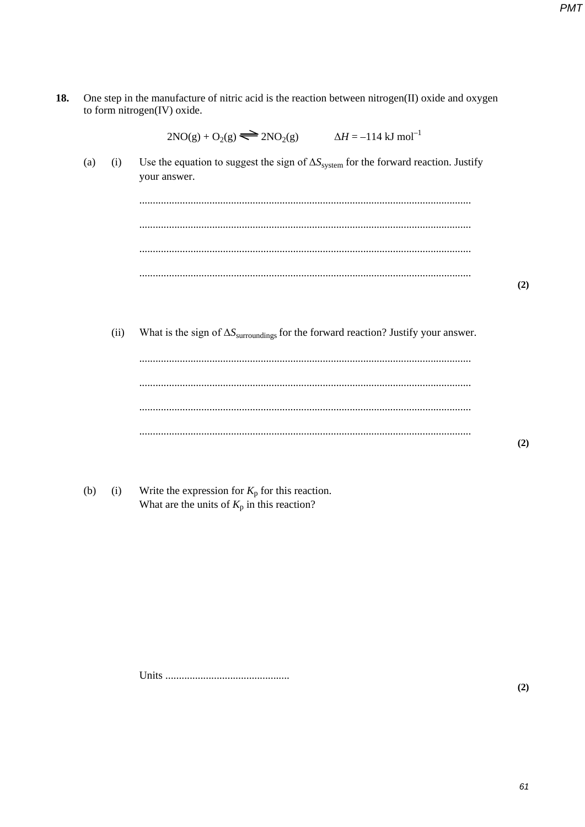One step in the manufacture of nitric acid is the reaction between nitrogen(II) oxide and oxygen 18. to form nitrogen(IV) oxide.

|     |      | $2NO(g) + O_2(g) \implies 2NO_2(g)$ $\Delta H = -114 \text{ kJ mol}^{-1}$                                            |     |
|-----|------|----------------------------------------------------------------------------------------------------------------------|-----|
| (a) | (i)  | Use the equation to suggest the sign of $\Delta S_{\text{system}}$ for the forward reaction. Justify<br>your answer. |     |
|     |      |                                                                                                                      |     |
|     |      |                                                                                                                      |     |
|     |      |                                                                                                                      |     |
|     |      |                                                                                                                      | (2) |
|     |      |                                                                                                                      |     |
|     | (ii) | What is the sign of $\Delta S_{\text{surroundings}}$ for the forward reaction? Justify your answer.                  |     |
|     |      |                                                                                                                      |     |
|     |      |                                                                                                                      |     |
|     |      |                                                                                                                      |     |
|     |      |                                                                                                                      |     |

 $(2)$ 

PMT

Write the expression for  $K_p$  for this reaction.<br>What are the units of  $K_p$  in this reaction?  $(b)$  $(i)$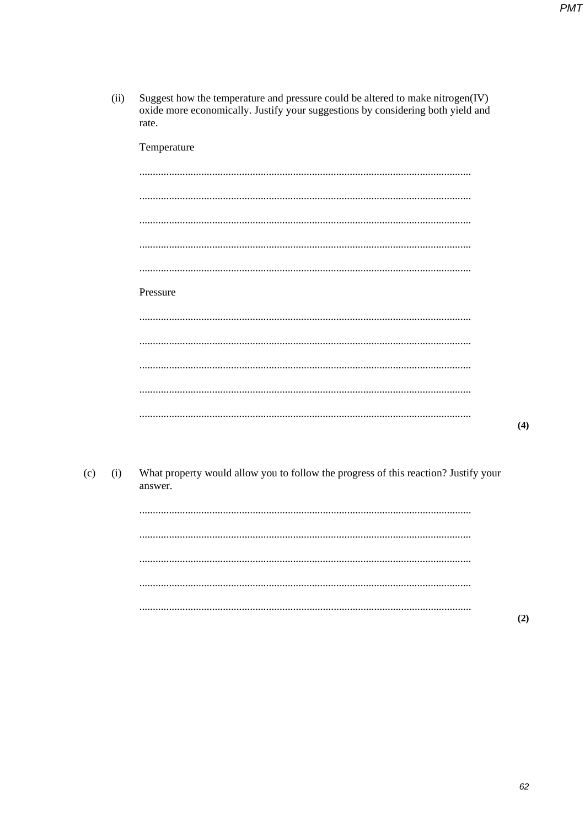|     | (ii) | Suggest how the temperature and pressure could be altered to make nitrogen(IV)<br>oxide more economically. Justify your suggestions by considering both yield and<br>rate. |     |
|-----|------|----------------------------------------------------------------------------------------------------------------------------------------------------------------------------|-----|
|     |      | Temperature                                                                                                                                                                |     |
|     |      |                                                                                                                                                                            |     |
|     |      |                                                                                                                                                                            |     |
|     |      |                                                                                                                                                                            |     |
|     |      |                                                                                                                                                                            |     |
|     |      |                                                                                                                                                                            |     |
|     |      | Pressure                                                                                                                                                                   |     |
|     |      |                                                                                                                                                                            |     |
|     |      |                                                                                                                                                                            |     |
|     |      |                                                                                                                                                                            |     |
|     |      |                                                                                                                                                                            |     |
|     |      |                                                                                                                                                                            | (4) |
|     |      |                                                                                                                                                                            |     |
| (c) | (i)  | What property would allow you to follow the progress of this reaction? Justify your<br>answer.                                                                             |     |
|     |      |                                                                                                                                                                            |     |
|     |      |                                                                                                                                                                            |     |
|     |      |                                                                                                                                                                            |     |
|     |      |                                                                                                                                                                            |     |
|     |      |                                                                                                                                                                            | (2) |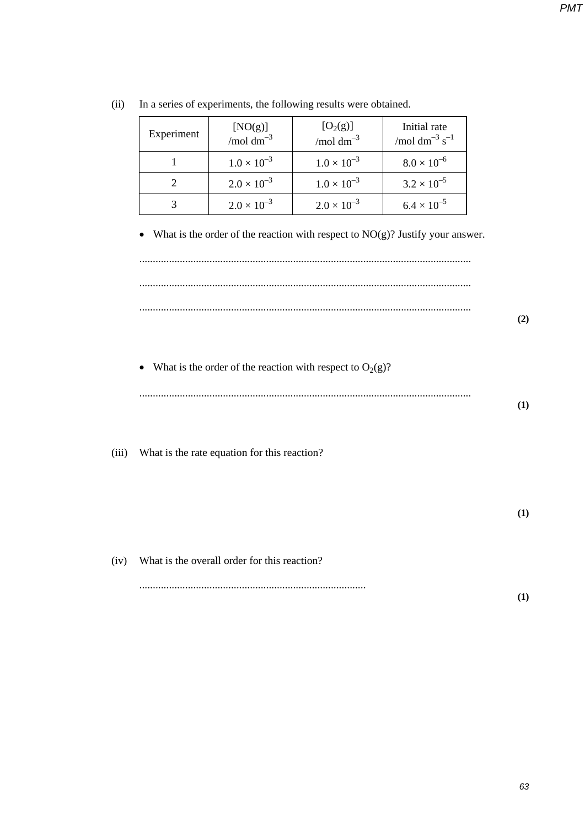| Experiment | [NO(g)]<br>/mol dm <sup>-3</sup> | $[O_2(g)]$<br>/mol $dm^{-3}$ | Initial rate<br>/mol dm <sup>-3</sup> s <sup>-1</sup> |
|------------|----------------------------------|------------------------------|-------------------------------------------------------|
|            | $1.0 \times 10^{-3}$             | $1.0 \times 10^{-3}$         | $8.0 \times 10^{-6}$                                  |
|            | $2.0 \times 10^{-3}$             | $1.0 \times 10^{-3}$         | $3.2 \times 10^{-5}$                                  |
|            | $2.0 \times 10^{-3}$             | $2.0 \times 10^{-3}$         | $6.4 \times 10^{-5}$                                  |

(ii) In a series of experiments, the following results were obtained.

• What is the order of the reaction with respect to  $NO(g)$ ? Justify your answer.

........................................................................................................................... ........................................................................................................................... ...........................................................................................................................

• What is the order of the reaction with respect to  $O_2(g)$ ?

........................................................................................................................... **(1)**

(iii) What is the rate equation for this reaction?

**(1)**

**(2)**

(iv) What is the overall order for this reaction? .................................................................................... **(1)**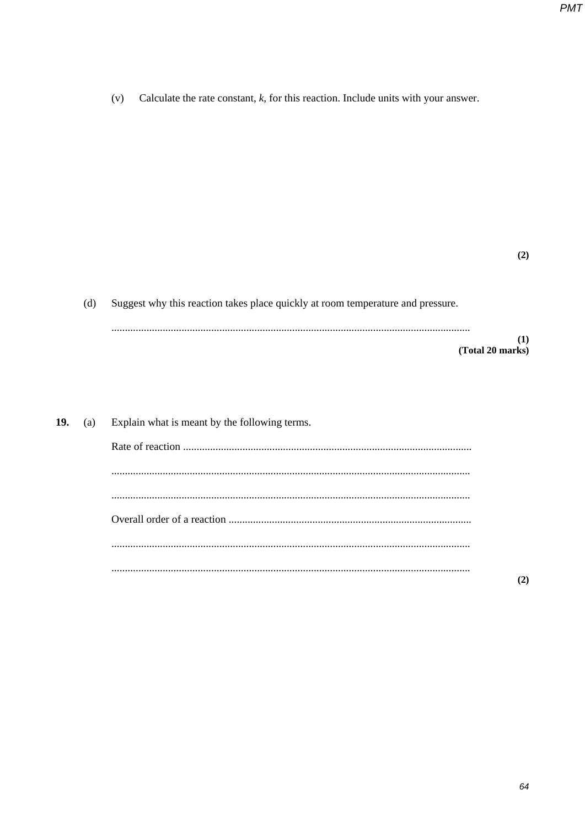$(v)$ Calculate the rate constant,  $k$ , for this reaction. Include units with your answer.

Suggest why this reaction takes place quickly at room temperature and pressure.  $(d)$ 

 $(1)$  $(Total 20 marks)$ 

| 19. (a) | Explain what is meant by the following terms. |
|---------|-----------------------------------------------|
|         |                                               |
|         |                                               |
|         |                                               |
|         |                                               |
|         |                                               |
|         |                                               |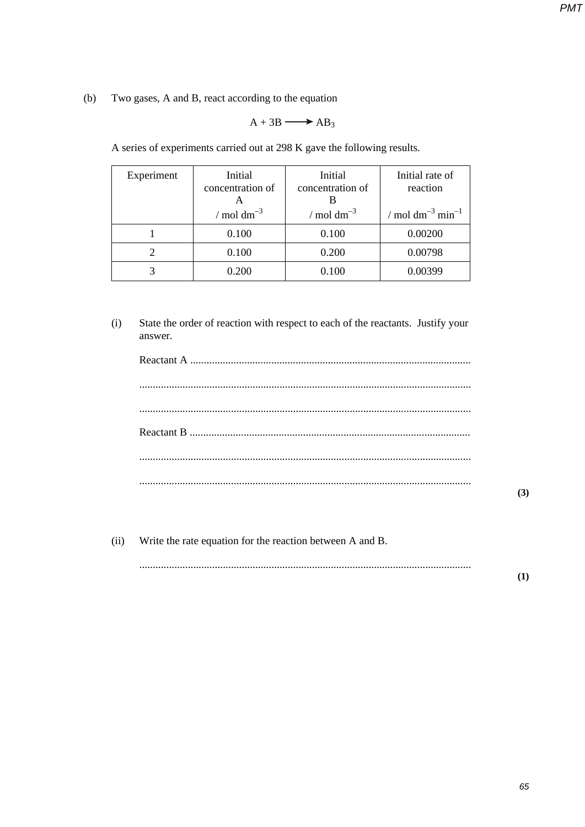*PMT*

(b) Two gases, A and B, react according to the equation

$$
A + 3B \longrightarrow AB_3
$$

A series of experiments carried out at 298 K gave the following results.

| Experiment | Initial<br>concentration of<br>A | Initial<br>concentration of         | Initial rate of<br>reaction                     |
|------------|----------------------------------|-------------------------------------|-------------------------------------------------|
|            | / mol dm <sup>-3</sup>           | / mol dm <sup><math>-3</math></sup> | $\gamma$ mol dm <sup>-3</sup> min <sup>-1</sup> |
|            | 0.100                            | 0.100                               | 0.00200                                         |
|            | 0.100                            | 0.200                               | 0.00798                                         |
|            | 0.200                            | 0.100                               | 0.00399                                         |

(i) State the order of reaction with respect to each of the reactants. Justify your answer.

...........................................................................................................................

(ii) Write the rate equation for the reaction between A and B.

**(3)**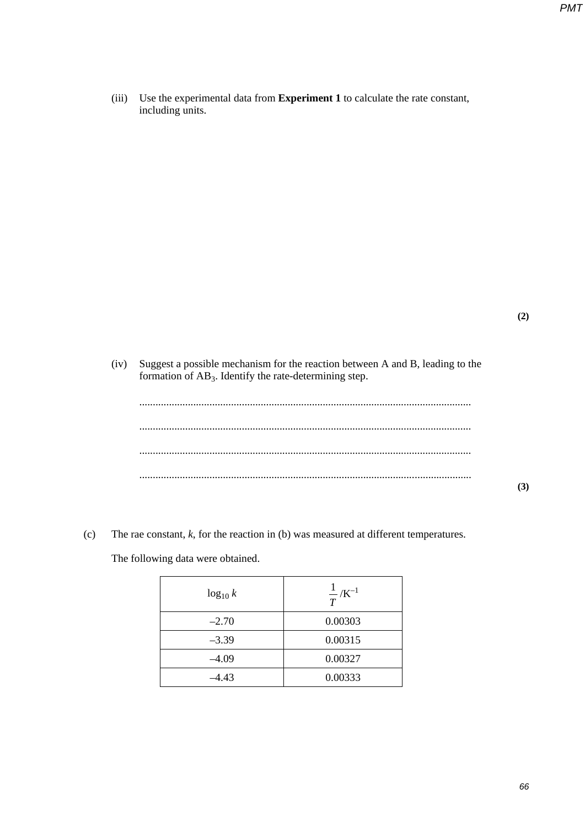(iii) Use the experimental data from **Experiment 1** to calculate the rate constant, including units.

**(2)**

(iv) Suggest a possible mechanism for the reaction between A and B, leading to the formation of AB3. Identify the rate-determining step.

**(3)**

(c) The rae constant, *k*, for the reaction in (b) was measured at different temperatures.

The following data were obtained.

| $\log_{10} k$ | $\frac{1}{T}$ /K <sup>-1</sup> |
|---------------|--------------------------------|
| $-2.70$       | 0.00303                        |
| $-3.39$       | 0.00315                        |
| $-4.09$       | 0.00327                        |
| -4.43         | 0.00333                        |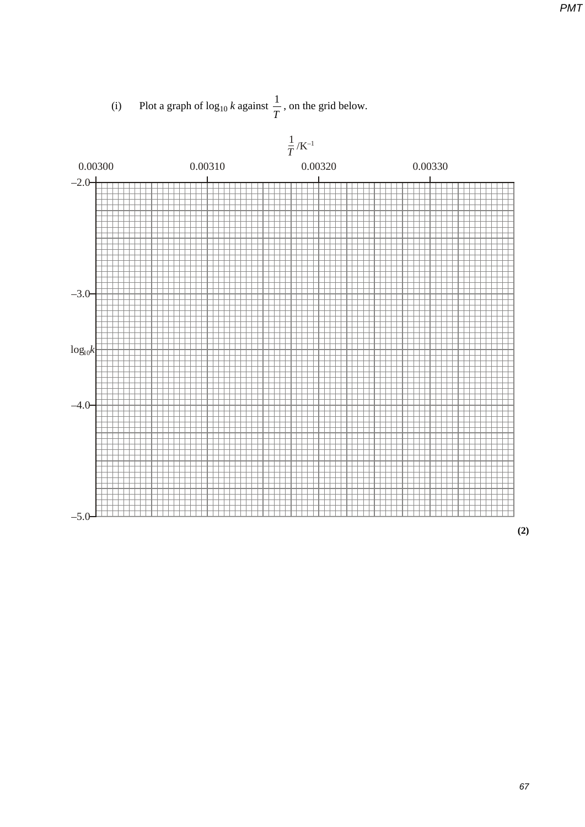

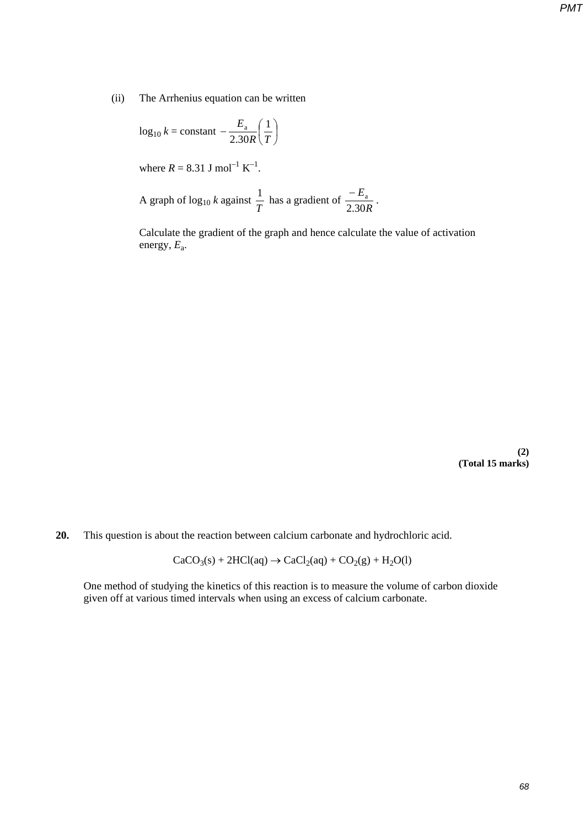(ii) The Arrhenius equation can be written

 $\log_{10} k = \text{constant} - \frac{E_a}{2.20 R} \left| \frac{1}{T} \right|$ J  $\left(\frac{1}{\pi}\right)$  $-\frac{E_{\rm a}}{2.30R}\left(\frac{1}{T}\right)$ 2.30 a

where  $R = 8.31$  J mol<sup>-1</sup> K<sup>-1</sup>.

A graph of  $\log_{10} k$  against  $\frac{1}{T}$  has a gradient of  $\frac{-E_a}{2.30R}$ 2.30  $-\frac{E_a}{20 R}$ .

Calculate the gradient of the graph and hence calculate the value of activation energy, *E*a.

> **(2) (Total 15 marks)**

**20.** This question is about the reaction between calcium carbonate and hydrochloric acid.

 $CaCO<sub>3</sub>(s) + 2HCl(aq) \rightarrow CaCl<sub>2</sub>(aq) + CO<sub>2</sub>(g) + H<sub>2</sub>O(l)$ 

One method of studying the kinetics of this reaction is to measure the volume of carbon dioxide given off at various timed intervals when using an excess of calcium carbonate.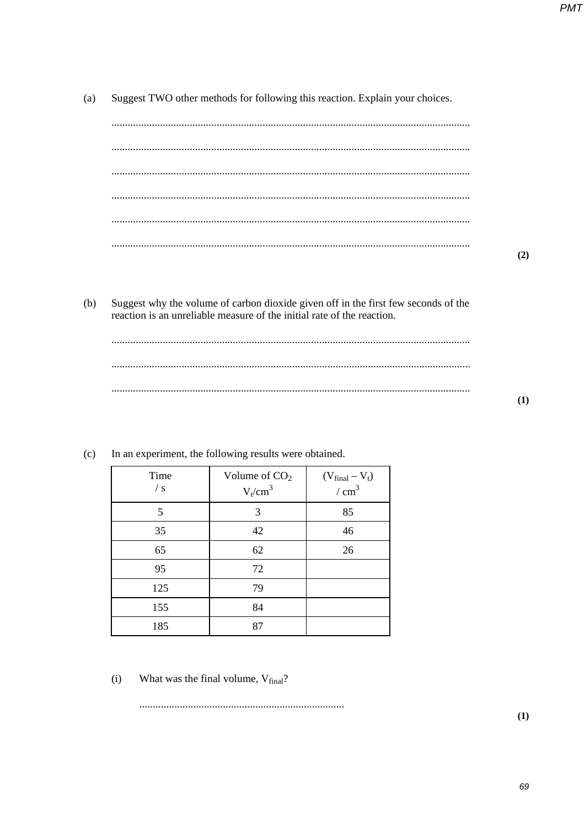Suggest TWO other methods for following this reaction. Explain your choices.  $(a)$ 

 $(2)$ 

Suggest why the volume of carbon dioxide given off in the first few seconds of the  $(b)$ reaction is an unreliable measure of the initial rate of the reaction.

 $(1)$ 

| Time<br>$\sqrt{s}$ | Volume of $CO2$<br>$V_t/cm^3$ | $(V_{final} - V_t)$<br>/ cm <sup>3</sup> |
|--------------------|-------------------------------|------------------------------------------|
| 5                  | 3                             | 85                                       |
| 35                 | 42                            | 46                                       |
| 65                 | 62                            | 26                                       |
| 95                 | 72                            |                                          |
| 125                | 79                            |                                          |
| 155                | 84                            |                                          |
| 185                | 87                            |                                          |

In an experiment, the following results were obtained.  $(c)$ 

> $(i)$ What was the final volume, V<sub>final</sub>?

 $(1)$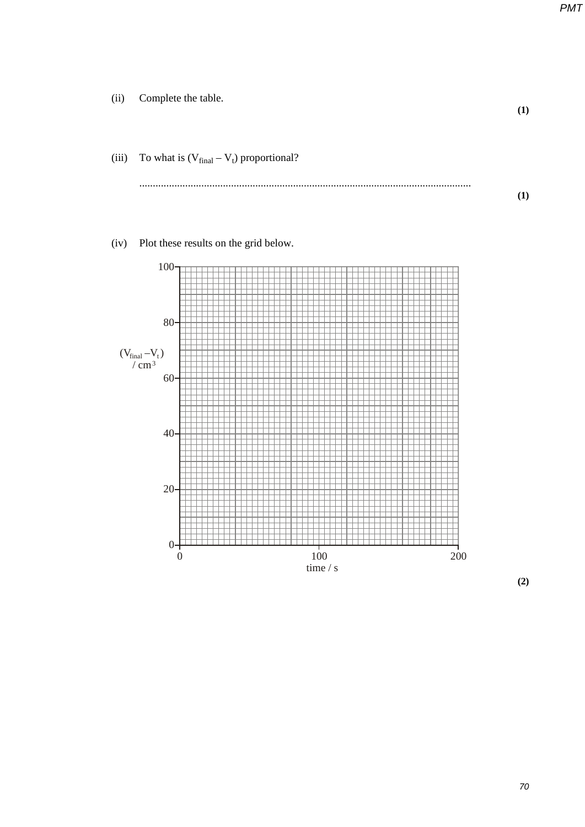*PMT*



0 100 200 time / s

 $0 + 0$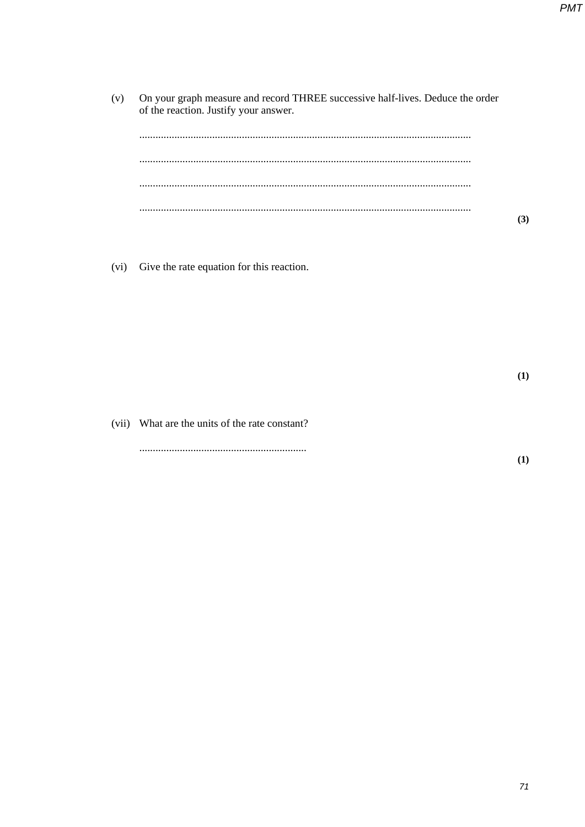On your graph measure and record THREE successive half-lives. Deduce the order of the reaction. Justify your answer.  $(v)$ 

(vi) Give the rate equation for this reaction.

 $(1)$ 

(vii) What are the units of the rate constant?

 $(1)$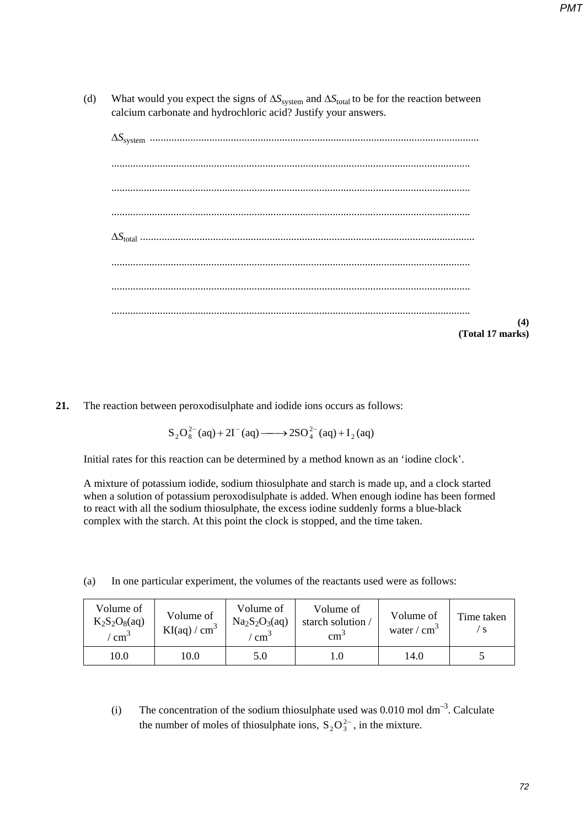(d) What would you expect the signs of ∆*S*<sub>system</sub> and ∆*S*<sub>total</sub> to be for the reaction between calcium carbonate and hydrochloric acid? Justify your answers.

| (4)              |
|------------------|
| (Total 17 marks) |

**21.** The reaction between peroxodisulphate and iodide ions occurs as follows:

 $S_2O_8^{2-}(aq) + 2I^-(aq) \longrightarrow 2SO_4^{2-}(aq) + I_2(aq)$ 

Initial rates for this reaction can be determined by a method known as an 'iodine clock'.

A mixture of potassium iodide, sodium thiosulphate and starch is made up, and a clock started when a solution of potassium peroxodisulphate is added. When enough iodine has been formed to react with all the sodium thiosulphate, the excess iodine suddenly forms a blue-black complex with the starch. At this point the clock is stopped, and the time taken.

(a) In one particular experiment, the volumes of the reactants used were as follows:

| Volume of<br>$K_2S_2O_8(aq)$<br>$\text{cm}^3$ | Volume of<br>KI(aq) / cm <sup>3</sup> | Volume of<br>$Na2S2O3(aq)$<br>$\text{cm}$ <sup>-</sup> | Volume of<br>starch solution /<br>cm <sup>2</sup> | Volume of<br>water $/cm3$ | Time taken |
|-----------------------------------------------|---------------------------------------|--------------------------------------------------------|---------------------------------------------------|---------------------------|------------|
| 10.0                                          | 10.0                                  | 5.0                                                    |                                                   | 14.0                      |            |

(i) The concentration of the sodium thiosulphate used was  $0.010$  mol dm<sup>-3</sup>. Calculate the number of moles of thiosulphate ions,  $S_2O_3^{2-}$ , in the mixture.

**(4)**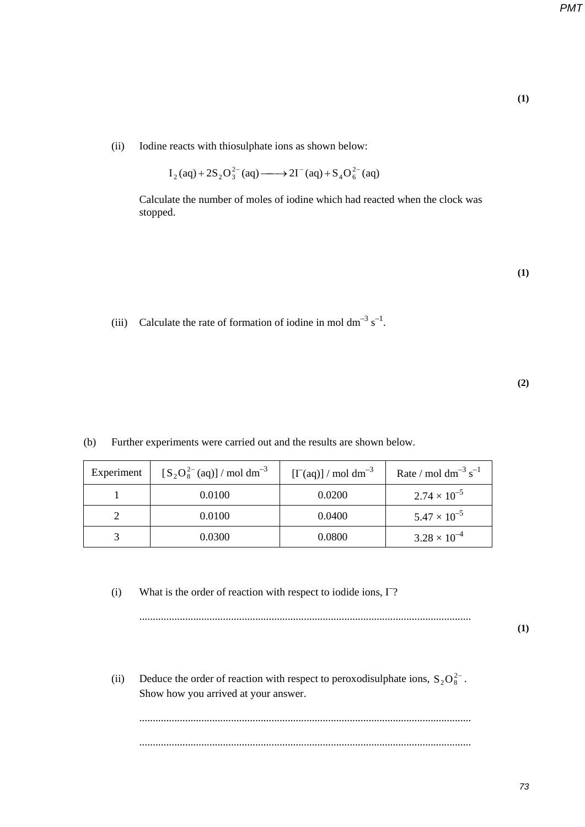(ii) Iodine reacts with thiosulphate ions as shown below:

$$
I_2(aq) + 2S_2O_3^{2-}(aq) \longrightarrow 2I^-(aq) + S_4O_6^{2-}(aq)
$$

Calculate the number of moles of iodine which had reacted when the clock was stopped.

**(1)**

(iii) Calculate the rate of formation of iodine in mol dm<sup>-3</sup> s<sup>-1</sup>.

**(2)**

(b) Further experiments were carried out and the results are shown below.

| Experiment | $[S_2O_8^{2-} (aq)] / \text{mol dm}^{-3}$ | $[I^-(aq)] / \text{mol dm}^{-3}$ | Rate / mol dm <sup>-3</sup> s <sup>-1</sup> |
|------------|-------------------------------------------|----------------------------------|---------------------------------------------|
|            | 0.0100                                    | 0.0200                           | $2.74 \times 10^{-5}$                       |
|            | 0.0100                                    | 0.0400                           | $5.47 \times 10^{-5}$                       |
|            | 0.0300                                    | 0.0800                           | $3.28 \times 10^{-4}$                       |

(i) What is the order of reaction with respect to iodide ions,  $\Gamma$ ?

........................................................................................................................... **(1)**

(ii) Deduce the order of reaction with respect to peroxodisulphate ions,  $S_2O_8^{2-}$ . Show how you arrived at your answer.

........................................................................................................................... ...........................................................................................................................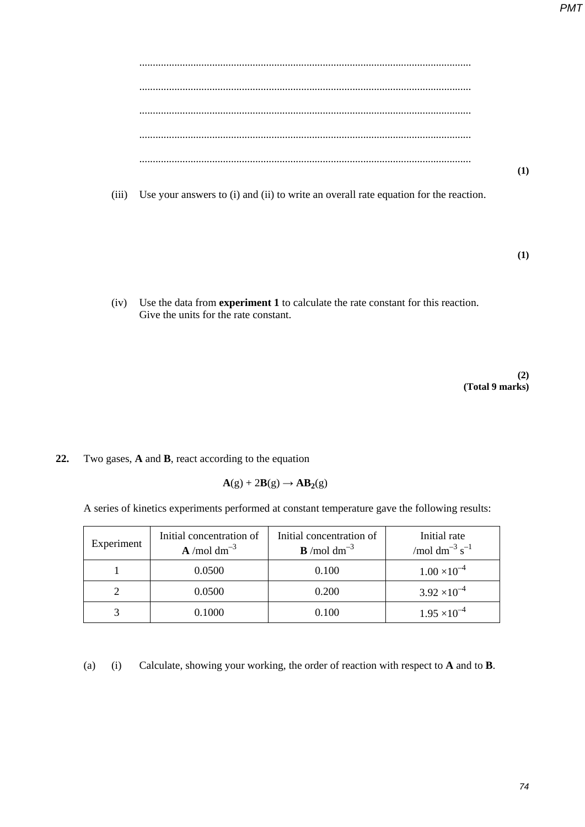(iii) Use your answers to (i) and (ii) to write an overall rate equation for the reaction.

**(1)**

(iv) Use the data from **experiment 1** to calculate the rate constant for this reaction. Give the units for the rate constant.

> **(2) (Total 9 marks)**

**22.** Two gases, **A** and **B**, react according to the equation

$$
A(g) + 2B(g) \to AB_2(g)
$$

A series of kinetics experiments performed at constant temperature gave the following results:

| Experiment | Initial concentration of<br>$\bf{A}$ /mol dm <sup>-3</sup> | Initial concentration of<br>$\mathbf{B}$ /mol dm <sup>-3</sup> | Initial rate<br>/mol dm <sup>-3</sup> s <sup>-1</sup> |
|------------|------------------------------------------------------------|----------------------------------------------------------------|-------------------------------------------------------|
|            | 0.0500                                                     | 0.100                                                          | $1.00 \times 10^{-4}$                                 |
|            | 0.0500                                                     | 0.200                                                          | $3.92 \times 10^{-4}$                                 |
|            | 0.1000                                                     | 0.100                                                          | $1.95 \times 10^{-4}$                                 |

(a) (i) Calculate, showing your working, the order of reaction with respect to **A** and to **B**.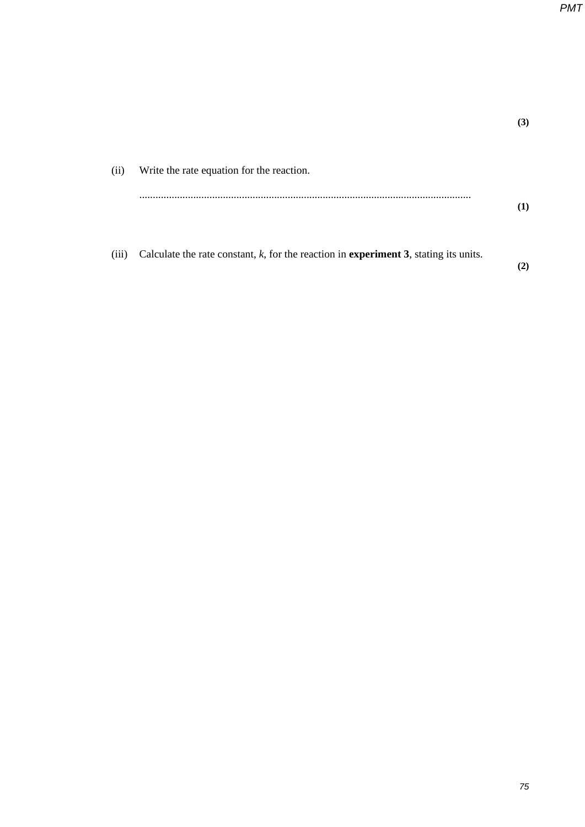|       |                                                                                                 | (3) |
|-------|-------------------------------------------------------------------------------------------------|-----|
| (ii)  | Write the rate equation for the reaction.                                                       |     |
|       |                                                                                                 | (1) |
| (iii) | Calculate the rate constant, $k$ , for the reaction in <b>experiment 3</b> , stating its units. | (2) |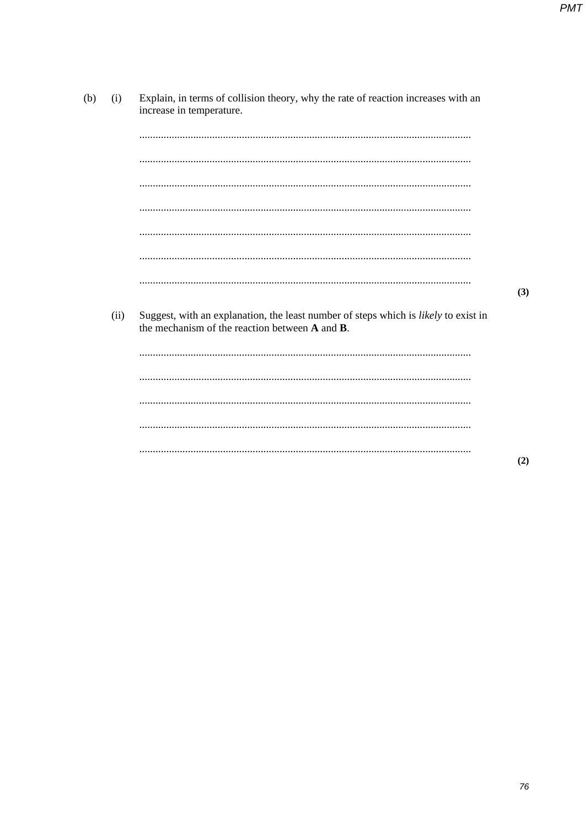| (b) | (i)  | Explain, in terms of collision theory, why the rate of reaction increases with an<br>increase in temperature.                         |     |
|-----|------|---------------------------------------------------------------------------------------------------------------------------------------|-----|
|     |      |                                                                                                                                       |     |
|     |      |                                                                                                                                       |     |
|     |      |                                                                                                                                       |     |
|     |      |                                                                                                                                       |     |
|     |      |                                                                                                                                       |     |
|     |      |                                                                                                                                       |     |
|     |      |                                                                                                                                       | (3) |
|     | (ii) | Suggest, with an explanation, the least number of steps which is likely to exist in<br>the mechanism of the reaction between A and B. |     |
|     |      |                                                                                                                                       |     |
|     |      |                                                                                                                                       |     |
|     |      |                                                                                                                                       |     |
|     |      |                                                                                                                                       |     |
|     |      |                                                                                                                                       | (2) |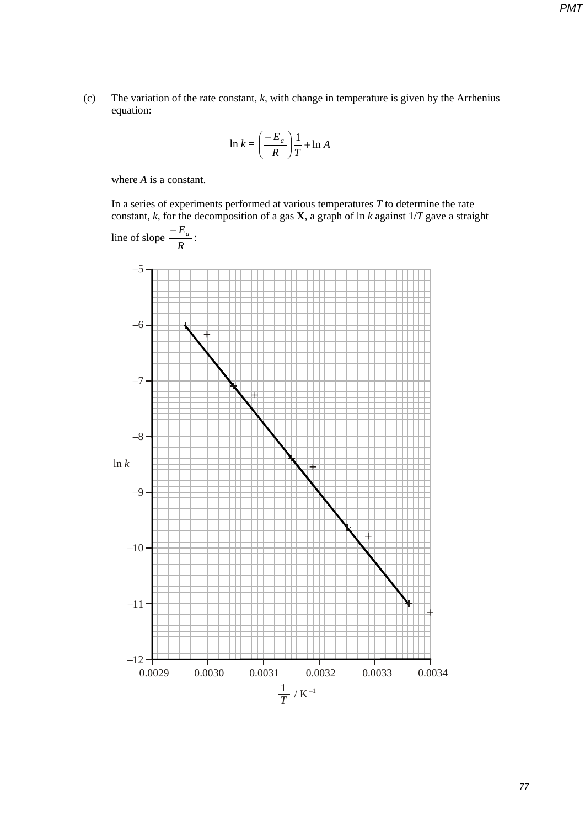(c) The variation of the rate constant, *k*, with change in temperature is given by the Arrhenius equation:

$$
\ln k = \left(\frac{-E_a}{R}\right)\frac{1}{T} + \ln A
$$

where *A* is a constant.

In a series of experiments performed at various temperatures  $T$  to determine the rate constant, *k*, for the decomposition of a gas **X**, a graph of ln *k* against 1/*T* gave a straight



*77*

*PMT*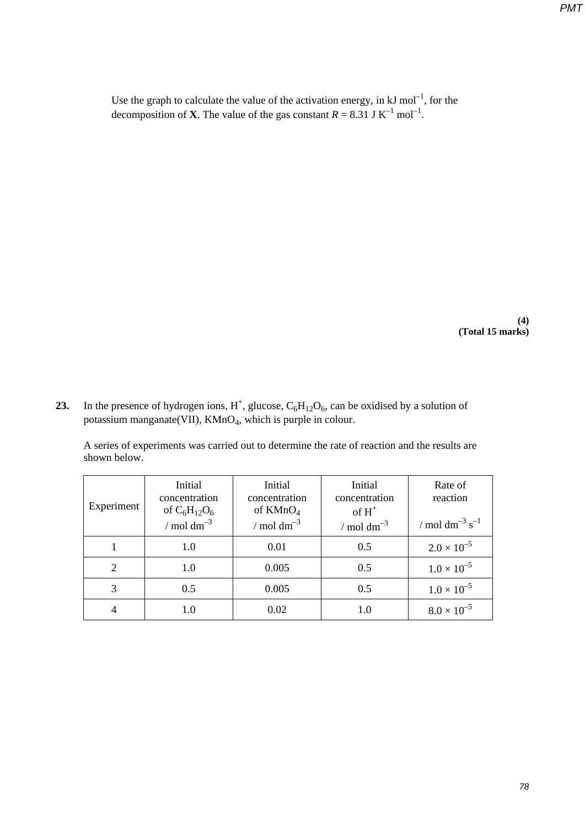Use the graph to calculate the value of the activation energy, in  $kJ$  mol<sup>-1</sup>, for the decomposition of **X**. The value of the gas constant  $R = 8.31$  J K<sup>-1</sup> mol<sup>-1</sup>.

> **(4) (Total 15 marks)**

**23.** In the presence of hydrogen ions,  $H^+$ , glucose,  $C_6H_{12}O_6$ , can be oxidised by a solution of potassium manganate(VII), KMnO<sub>4</sub>, which is purple in colour.

A series of experiments was carried out to determine the rate of reaction and the results are shown below.

| Experiment    | Initial<br>concentration<br>of $C_6H_{12}O_6$<br>/ mol dm <sup>-3</sup> | Initial<br>concentration<br>of $KMnO4$<br>/ mol dm <sup>-3</sup> | Initial<br>concentration<br>$of H+$<br>/ mol $dm^{-3}$ | Rate of<br>reaction<br>/ mol dm <sup>-3</sup> s <sup>-1</sup> |
|---------------|-------------------------------------------------------------------------|------------------------------------------------------------------|--------------------------------------------------------|---------------------------------------------------------------|
|               | 1.0                                                                     | 0.01                                                             | 0.5                                                    | $2.0 \times 10^{-5}$                                          |
| $\mathcal{D}$ | 1.0                                                                     | 0.005                                                            | 0.5                                                    | $1.0 \times 10^{-5}$                                          |
| 3             | 0.5                                                                     | 0.005                                                            | 0.5                                                    | $1.0 \times 10^{-5}$                                          |
|               | 1.0                                                                     | 0.02                                                             | 1.0                                                    | $8.0 \times 10^{-5}$                                          |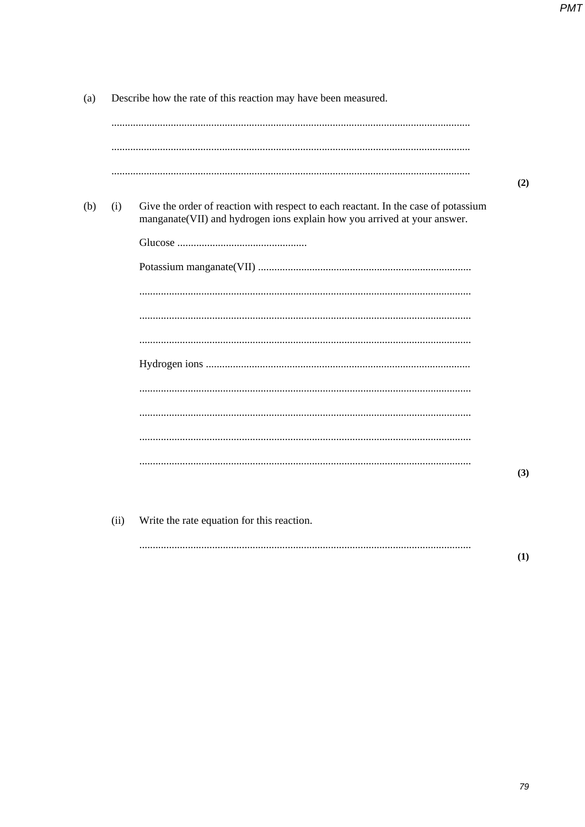|     |      |                                                                                                                                                                | (2) |
|-----|------|----------------------------------------------------------------------------------------------------------------------------------------------------------------|-----|
| (b) | (i)  | Give the order of reaction with respect to each reactant. In the case of potassium<br>manganate(VII) and hydrogen ions explain how you arrived at your answer. |     |
|     |      |                                                                                                                                                                |     |
|     |      |                                                                                                                                                                |     |
|     |      |                                                                                                                                                                |     |
|     |      |                                                                                                                                                                |     |
|     |      |                                                                                                                                                                |     |
|     |      |                                                                                                                                                                |     |
|     |      |                                                                                                                                                                |     |
|     |      |                                                                                                                                                                |     |
|     |      |                                                                                                                                                                |     |
|     |      |                                                                                                                                                                | (3) |
|     | (ii) | Write the rate equation for this reaction.                                                                                                                     |     |

 $(1)$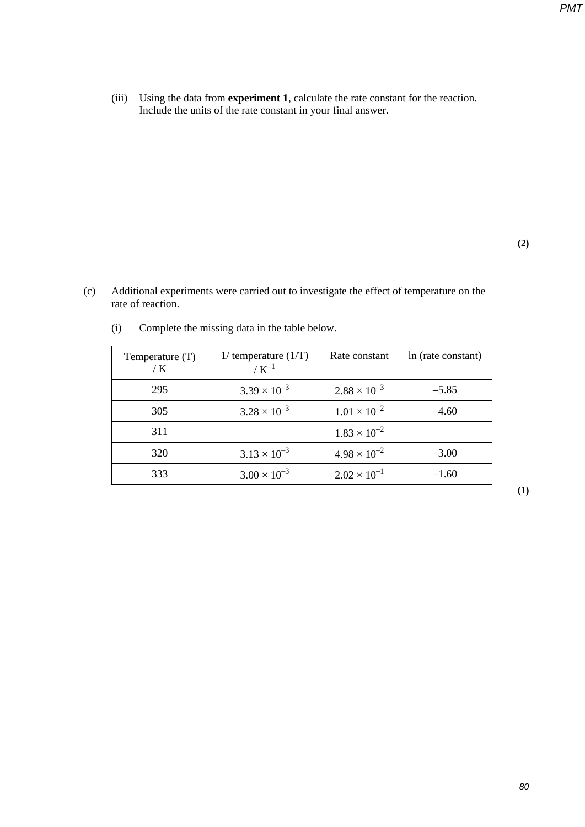(iii) Using the data from **experiment 1**, calculate the rate constant for the reaction. Include the units of the rate constant in your final answer.

(c) Additional experiments were carried out to investigate the effect of temperature on the rate of reaction.

| Temperature $(T)$<br>/ $\rm K$ | $1/$ temperature $(1/T)$<br>/ $K^{-1}$ | Rate constant         | In (rate constant) |
|--------------------------------|----------------------------------------|-----------------------|--------------------|
| 295                            | $3.39 \times 10^{-3}$                  | $2.88 \times 10^{-3}$ | $-5.85$            |
| 305                            | $3.28 \times 10^{-3}$                  | $1.01 \times 10^{-2}$ | $-4.60$            |
| 311                            |                                        | $1.83 \times 10^{-2}$ |                    |
| 320                            | $3.13 \times 10^{-3}$                  | $4.98 \times 10^{-2}$ | $-3.00$            |
| 333                            | $3.00 \times 10^{-3}$                  | $2.02 \times 10^{-1}$ | $-1.60$            |

(i) Complete the missing data in the table below.

**(1)**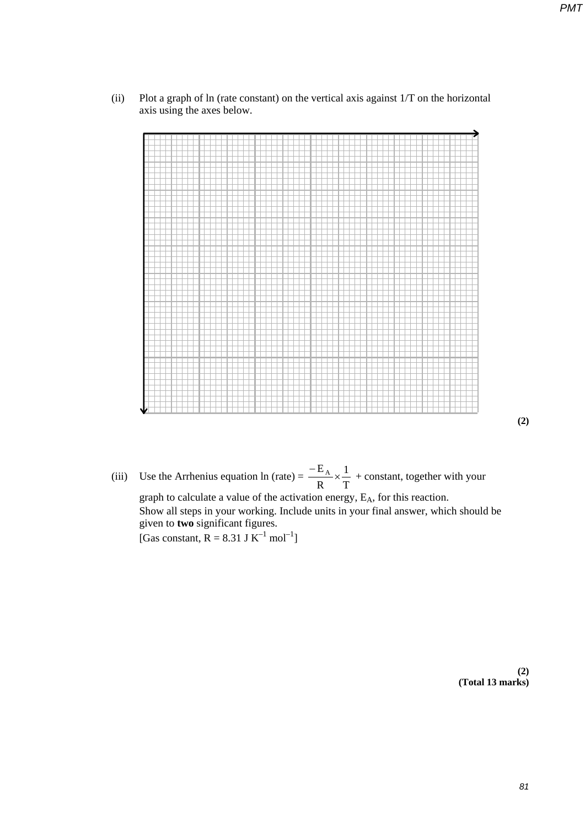- 
- (ii) Plot a graph of ln (rate constant) on the vertical axis against 1/T on the horizontal axis using the axes below.

**(2)**

(iii) Use the Arrhenius equation ln (rate) =  $\frac{-E_A}{R} \times \frac{1}{T}$ R  $\frac{-E_A}{E_A} \times \frac{1}{T}$  + constant, together with your graph to calculate a value of the activation energy,  $E_A$ , for this reaction. Show all steps in your working. Include units in your final answer, which should be given to **two** significant figures. [Gas constant,  $R = 8.31$  J  $K^{-1}$  mol<sup>-1</sup>]

> **(2) (Total 13 marks)**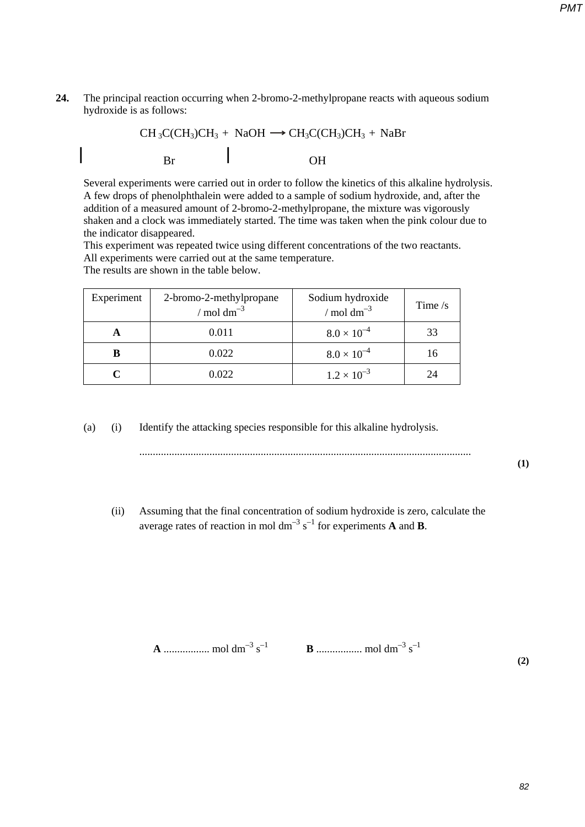**24.** The principal reaction occurring when 2-bromo-2-methylpropane reacts with aqueous sodium hydroxide is as follows:

 $CH_3C(CH_3)CH_3 + NaOH \longrightarrow CH_3C(CH_3)CH_3 + NaBr$ Br OH

Several experiments were carried out in order to follow the kinetics of this alkaline hydrolysis. A few drops of phenolphthalein were added to a sample of sodium hydroxide, and, after the addition of a measured amount of 2-bromo-2-methylpropane, the mixture was vigorously shaken and a clock was immediately started. The time was taken when the pink colour due to the indicator disappeared.

This experiment was repeated twice using different concentrations of the two reactants. All experiments were carried out at the same temperature.

The results are shown in the table below.

| Experiment | 2-bromo-2-methylpropane<br>/ mol dm <sup><math>^{-3}</math></sup> | Sodium hydroxide<br>/ mol $dm^{-3}$ | Time $\sqrt{s}$ |
|------------|-------------------------------------------------------------------|-------------------------------------|-----------------|
| A          | 0.011                                                             | $8.0 \times 10^{-4}$                |                 |
| B          | 0.022                                                             | $8.0 \times 10^{-4}$                |                 |
|            | 0.022                                                             | $1.2 \times 10^{-3}$                |                 |

(a) (i) Identify the attacking species responsible for this alkaline hydrolysis.

...........................................................................................................................

**(1)**

(ii) Assuming that the final concentration of sodium hydroxide is zero, calculate the average rates of reaction in mol dm<sup>-3</sup> s<sup>-1</sup> for experiments **A** and **B**.

**A** ................. mol dm–3 s–1 **B** ................. mol dm–3 s–1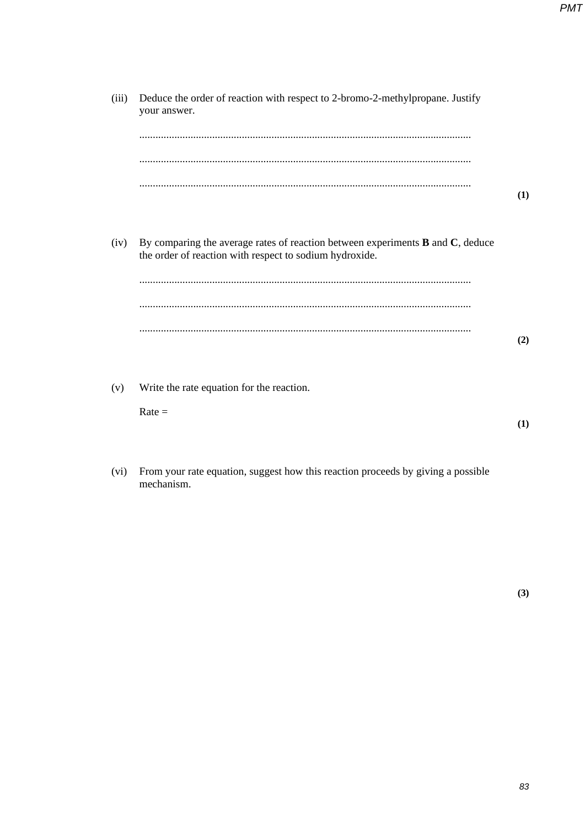| (iii) | Deduce the order of reaction with respect to 2-bromo-2-methylpropane. Justify<br>your answer.                                                  |     |
|-------|------------------------------------------------------------------------------------------------------------------------------------------------|-----|
|       |                                                                                                                                                |     |
|       |                                                                                                                                                |     |
|       |                                                                                                                                                | (1) |
|       |                                                                                                                                                |     |
| (iv)  | By comparing the average rates of reaction between experiments $B$ and $C$ , deduce<br>the order of reaction with respect to sodium hydroxide. |     |
|       |                                                                                                                                                |     |
|       |                                                                                                                                                |     |
|       |                                                                                                                                                | (2) |
| (v)   | Write the rate equation for the reaction.                                                                                                      |     |
|       | $Rate =$                                                                                                                                       | (1) |
|       |                                                                                                                                                |     |

(vi) From your rate equation, suggest how this reaction proceeds by giving a possible mechanism.

 $(3)$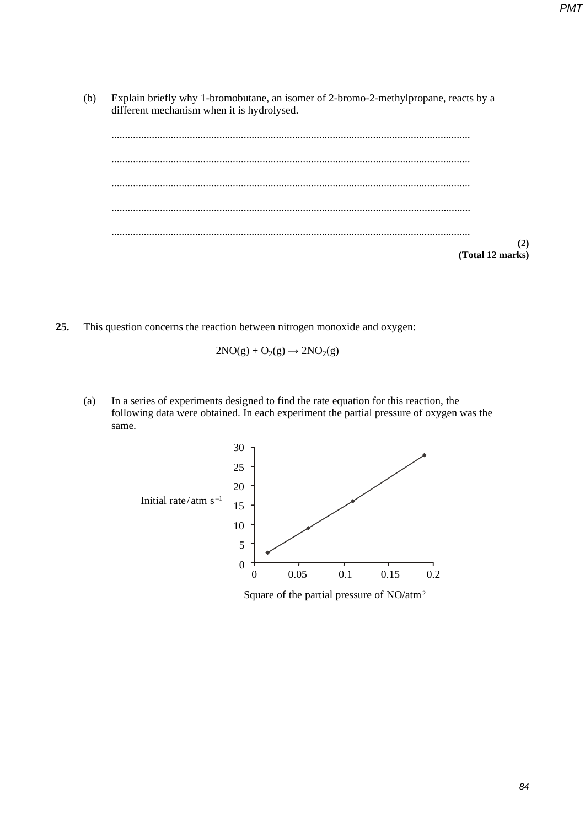(b) Explain briefly why 1-bromobutane, an isomer of 2-bromo-2-methylpropane, reacts by a different mechanism when it is hydrolysed.

..................................................................................................................................... ..................................................................................................................................... ..................................................................................................................................... ..................................................................................................................................... ..................................................................................................................................... **(2) (Total 12 marks)**

**25.** This question concerns the reaction between nitrogen monoxide and oxygen:

 $2NO(g) + O_2(g) \rightarrow 2NO_2(g)$ 

(a) In a series of experiments designed to find the rate equation for this reaction, the following data were obtained. In each experiment the partial pressure of oxygen was the same.



Square of the partial pressure of NO/atm2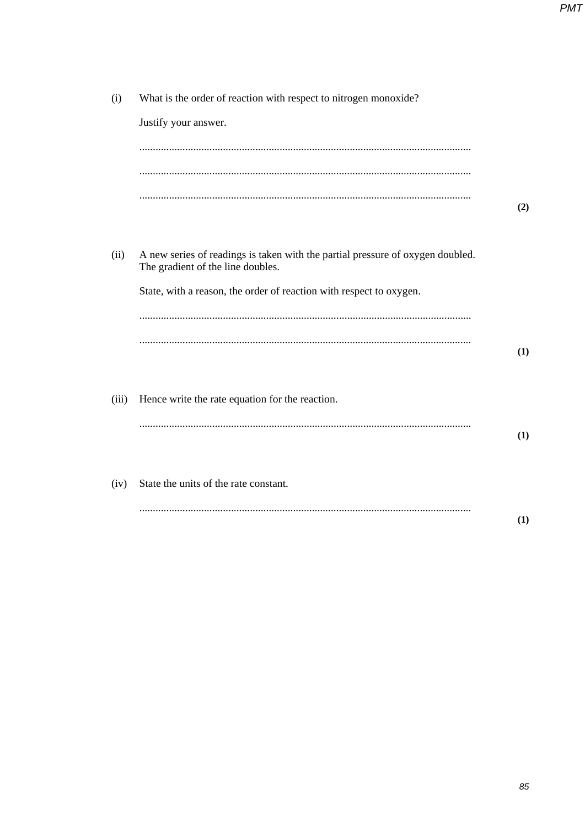| (i)   | What is the order of reaction with respect to nitrogen monoxide?                                                    |     |
|-------|---------------------------------------------------------------------------------------------------------------------|-----|
|       | Justify your answer.                                                                                                |     |
|       |                                                                                                                     |     |
|       |                                                                                                                     |     |
|       |                                                                                                                     | (2) |
|       |                                                                                                                     |     |
| (ii)  | A new series of readings is taken with the partial pressure of oxygen doubled.<br>The gradient of the line doubles. |     |
|       | State, with a reason, the order of reaction with respect to oxygen.                                                 |     |
|       |                                                                                                                     |     |
|       |                                                                                                                     | (1) |
|       |                                                                                                                     |     |
| (iii) | Hence write the rate equation for the reaction.                                                                     |     |
|       |                                                                                                                     |     |
|       |                                                                                                                     | (1) |
| (iv)  | State the units of the rate constant.                                                                               |     |
|       |                                                                                                                     |     |
|       |                                                                                                                     | (1) |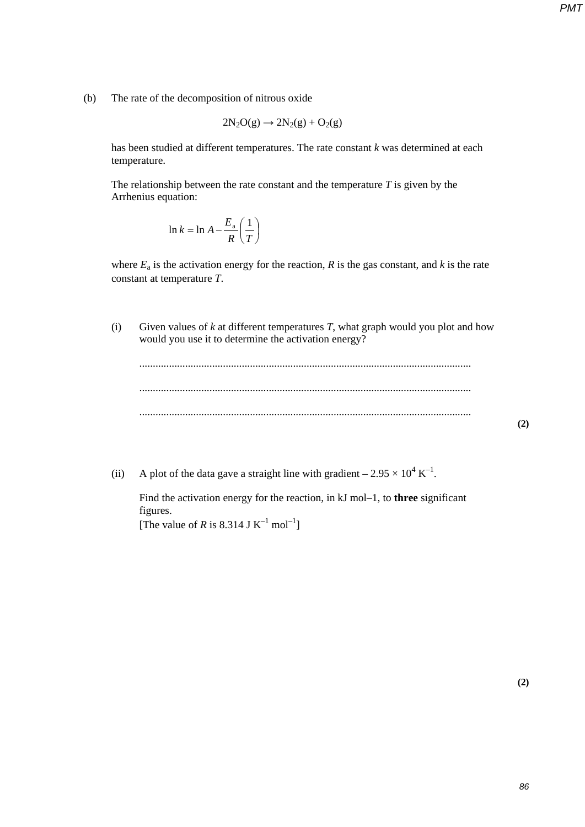(b) The rate of the decomposition of nitrous oxide

$$
2N_2O(g) \rightarrow 2N_2(g) + O_2(g)
$$

has been studied at different temperatures. The rate constant *k* was determined at each temperature.

The relationship between the rate constant and the temperature *T* is given by the Arrhenius equation:

$$
\ln k = \ln A - \frac{E_{\rm a}}{R} \left( \frac{1}{T} \right)
$$

where  $E_a$  is the activation energy for the reaction,  $R$  is the gas constant, and  $k$  is the rate constant at temperature *T*.

(i) Given values of *k* at different temperatures *T*, what graph would you plot and how would you use it to determine the activation energy?



(ii) A plot of the data gave a straight line with gradient  $-2.95 \times 10^4 \text{ K}^{-1}$ .

Find the activation energy for the reaction, in kJ mol–1, to **three** significant figures.

[The value of *R* is 8.314 J  $K^{-1}$  mol<sup>-1</sup>]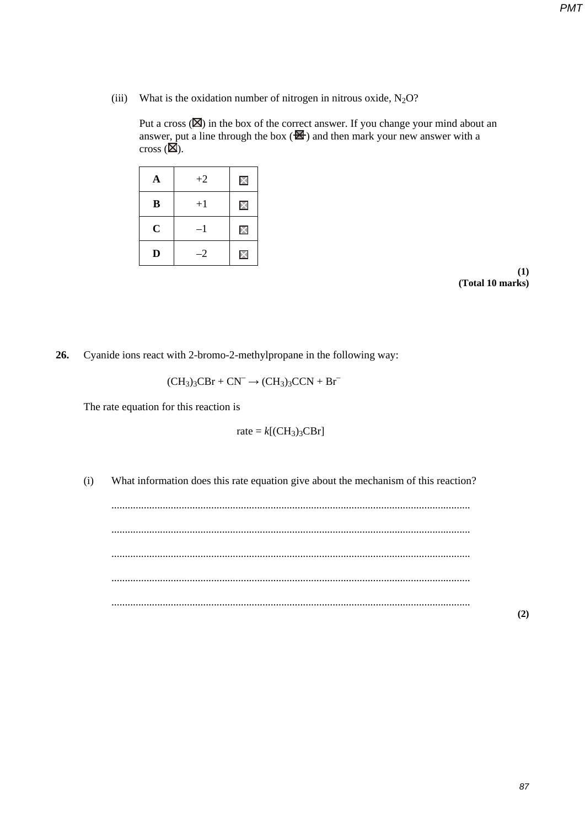(iii) What is the oxidation number of nitrogen in nitrous oxide,  $N_2O$ ?

Put a cross  $(\boxtimes)$  in the box of the correct answer. If you change your mind about an answer, put a line through the box  $(\mathbf{\mathbf{\AA}})$  and then mark your new answer with a cross  $(\overline{\mathbb{Z}})$ .

| A           | $+2$ | $\boldsymbol{\mathsf{X}}$ |
|-------------|------|---------------------------|
| B           | $+1$ | $\boldsymbol{\mathsf{X}}$ |
| $\mathbf C$ | $-1$ | $\pmb{\times}$            |
| D           | $-2$ | $\boxtimes$               |

**(1) (Total 10 marks)**

**26.** Cyanide ions react with 2-bromo-2-methylpropane in the following way:

$$
(CH_3)_3CBr + CN^- \rightarrow (CH_3)_3CCN + Br^-
$$

The rate equation for this reaction is

$$
rate = k[(CH3)3CBr]
$$

(i) What information does this rate equation give about the mechanism of this reaction?

..................................................................................................................................... ..................................................................................................................................... ..................................................................................................................................... ..................................................................................................................................... .....................................................................................................................................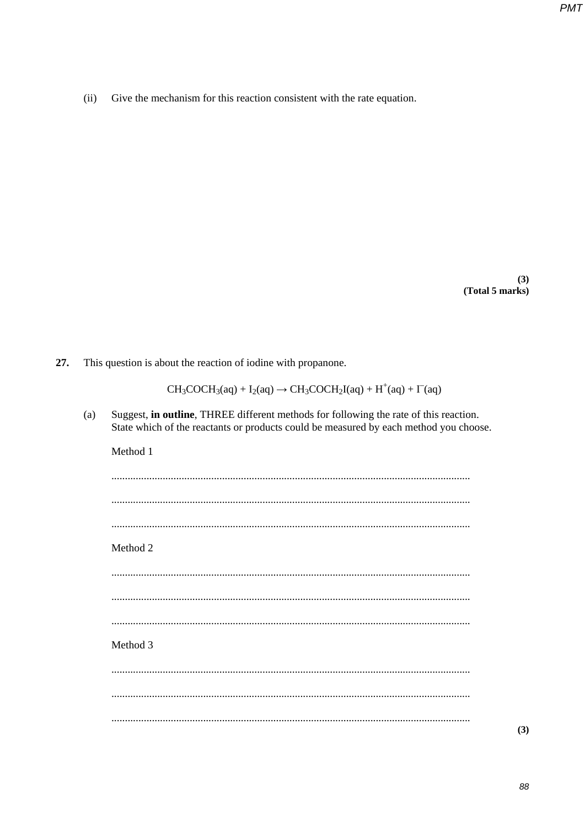Give the mechanism for this reaction consistent with the rate equation.  $(ii)$ 

> $(3)$ (Total 5 marks)

27. This question is about the reaction of iodine with propanone.

 $CH_3COCH_3(aq) + I_2(aq) \rightarrow CH_3COCH_2I(aq) + H^+(aq) + I^-(aq)$ 

Suggest, in outline, THREE different methods for following the rate of this reaction.  $(a)$ State which of the reactants or products could be measured by each method you choose. Method 1 Method 2 Method 3 

 $(3)$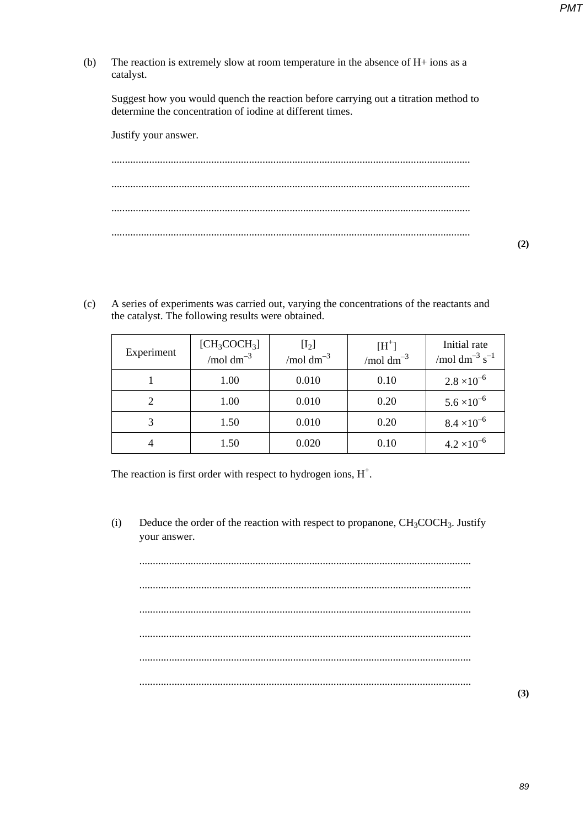(b) The reaction is extremely slow at room temperature in the absence of H+ ions as a catalyst.

Suggest how you would quench the reaction before carrying out a titration method to determine the concentration of iodine at different times.

Justify your answer. ..................................................................................................................................... ..................................................................................................................................... ..................................................................................................................................... .....................................................................................................................................

(c) A series of experiments was carried out, varying the concentrations of the reactants and the catalyst. The following results were obtained.

| Experiment | [CH <sub>3</sub> COCH <sub>3</sub> ]<br>/mol dm <sup>-3</sup> | $[I_2]$<br>$/mol dm^{-3}$ | $[H^+]$<br>$/mol dm^{-3}$ | Initial rate<br>/mol dm <sup>-3</sup> s <sup>-1</sup> |
|------------|---------------------------------------------------------------|---------------------------|---------------------------|-------------------------------------------------------|
|            | 1.00                                                          | 0.010                     | 0.10                      | $2.8 \times 10^{-6}$                                  |
|            | 1.00                                                          | 0.010                     | 0.20                      | $5.6 \times 10^{-6}$                                  |
|            | 1.50                                                          | 0.010                     | 0.20                      | $8.4 \times 10^{-6}$                                  |
|            | 1.50                                                          | 0.020                     | 0.10                      | $4.2 \times 10^{-6}$                                  |

The reaction is first order with respect to hydrogen ions,  $H^+$ .

(i) Deduce the order of the reaction with respect to propanone,  $CH<sub>3</sub>COCH<sub>3</sub>$ . Justify your answer.

........................................................................................................................... ........................................................................................................................... ........................................................................................................................... ........................................................................................................................... ........................................................................................................................... ...........................................................................................................................

**(3)**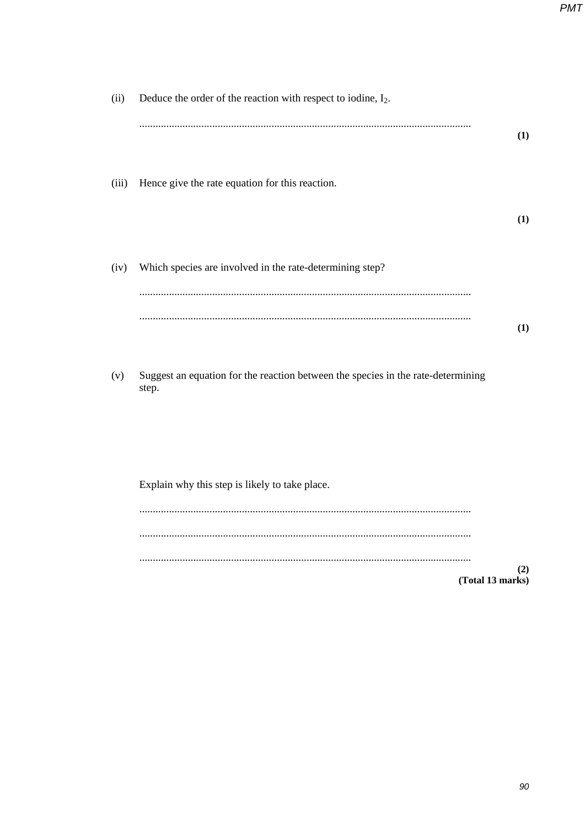| (ii)  | Deduce the order of the reaction with respect to iodine, $I_2$ .                          |     |
|-------|-------------------------------------------------------------------------------------------|-----|
|       |                                                                                           | (1) |
| (iii) | Hence give the rate equation for this reaction.                                           | (1) |
| (iv)  | Which species are involved in the rate-determining step?                                  |     |
|       |                                                                                           | (1) |
| (v)   | Suggest an equation for the reaction between the species in the rate-determining<br>step. |     |
|       |                                                                                           |     |
|       | Explain why this step is likely to take place.                                            |     |
|       |                                                                                           |     |
|       |                                                                                           |     |
|       | (Total 13 marks)                                                                          | (2) |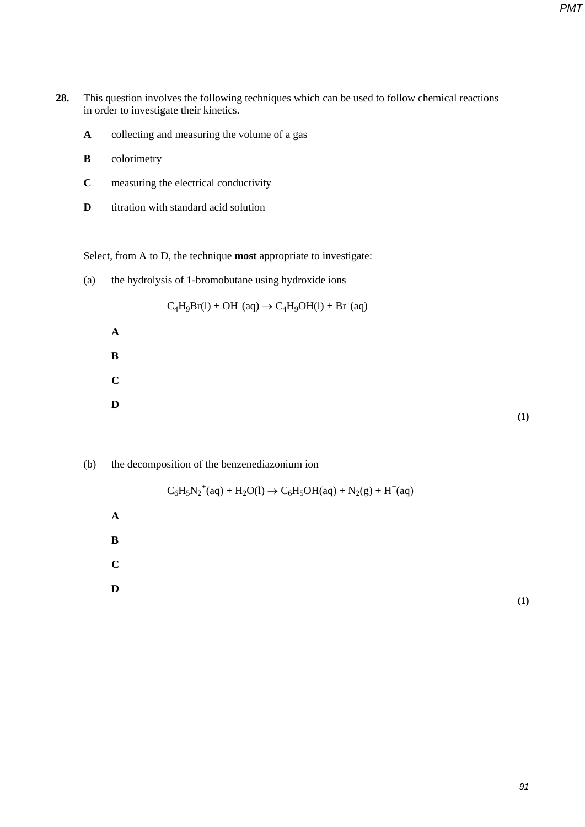- **28.** This question involves the following techniques which can be used to follow chemical reactions in order to investigate their kinetics.
	- **A** collecting and measuring the volume of a gas
	- **B** colorimetry
	- **C** measuring the electrical conductivity
	- **D** titration with standard acid solution

Select, from A to D, the technique **most** appropriate to investigate:

(a) the hydrolysis of 1-bromobutane using hydroxide ions

$$
C_4H_9Br(l) + OH^-(aq) \rightarrow C_4H_9OH(l) + Br^-(aq)
$$



(b) the decomposition of the benzenediazonium ion

 $C_6H_5N_2^+(aq) + H_2O(l) \rightarrow C_6H_5OH(aq) + N_2(g) + H^+(aq)$ 

**A** 

**B** 

**C** 

**D** 

**(1)**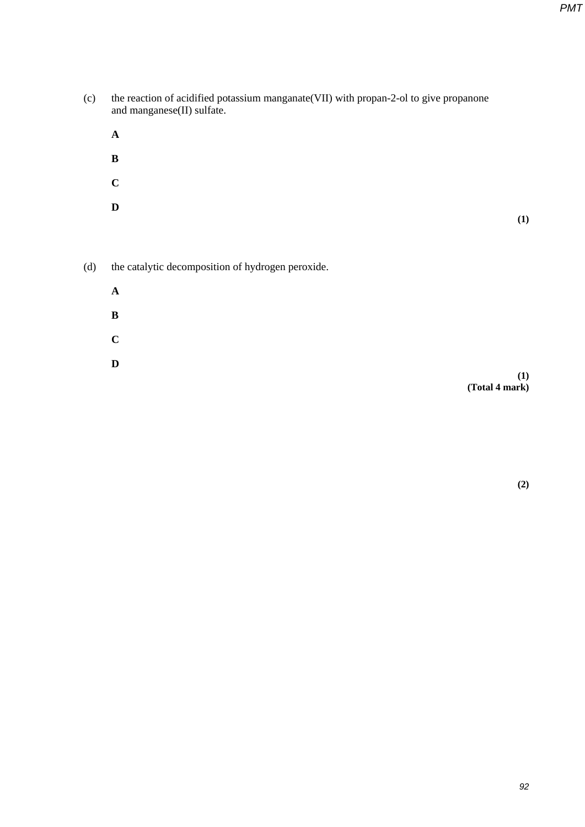- (c) the reaction of acidified potassium manganate(VII) with propan-2-ol to give propanone and manganese(II) sulfate.
	- **A B C D (1)**

(d) the catalytic decomposition of hydrogen peroxide.

- **A B C D** 
	- **(1) (Total 4 mark)**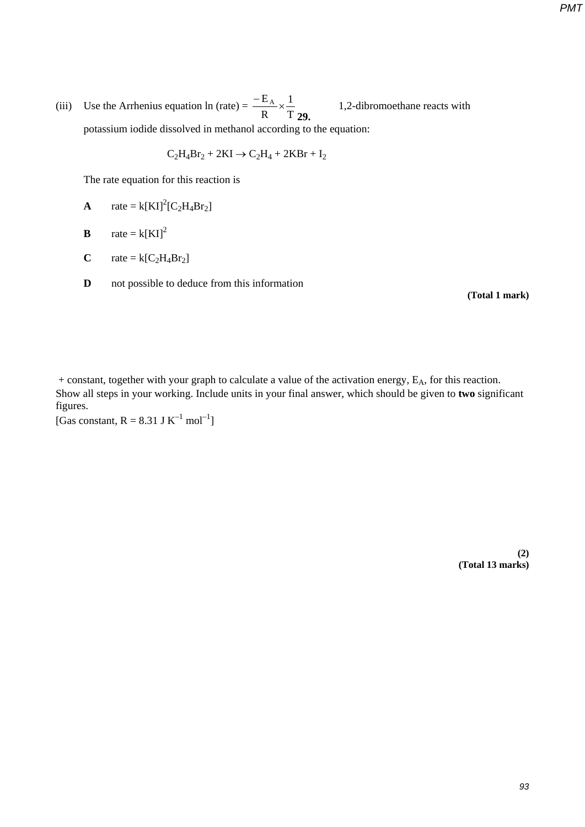(iii) Use the Arrhenius equation ln (rate) =  $\frac{-E_A}{R} \times \frac{1}{T}$ R  $\frac{-E_{A}}{-\frac{1}{2}}$  × **29.** 1,2-dibromoethane reacts with potassium iodide dissolved in methanol according to the equation:

 $C_2H_4Br_2 + 2KI \rightarrow C_2H_4 + 2KBr + I_2$ 

The rate equation for this reaction is

- **A** rate =  $k[KI]^2[C_2H_4Br_2]$
- **B** rate =  $k[KI]^2$
- **C**  $rate = k[C_2H_4Br_2]$
- **D** not possible to deduce from this information

**(Total 1 mark)**

+ constant, together with your graph to calculate a value of the activation energy,  $E_A$ , for this reaction. Show all steps in your working. Include units in your final answer, which should be given to **two** significant figures.

[Gas constant,  $R = 8.31$  J K<sup>-1</sup> mol<sup>-1</sup>]

**(2) (Total 13 marks)**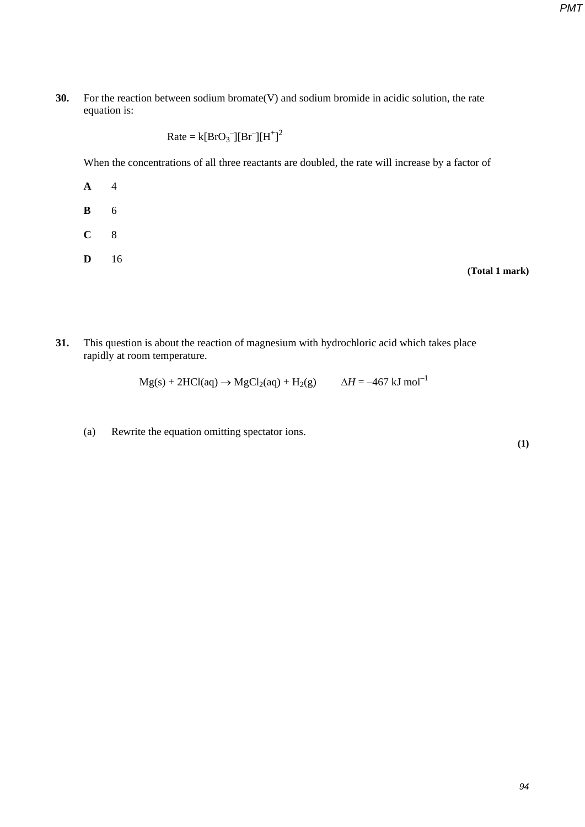**30.** For the reaction between sodium bromate(V) and sodium bromide in acidic solution, the rate equation is:

 $Rate = k[BrO<sub>3</sub>^-][Br^-][H^+]^2$ 

When the concentrations of all three reactants are doubled, the rate will increase by a factor of

**A** 4 **B** 6

- **C** 8
- **D** 16

**(Total 1 mark)**

**31.** This question is about the reaction of magnesium with hydrochloric acid which takes place rapidly at room temperature.

 $Mg(s) + 2HCl(aq)$  →  $MgCl<sub>2</sub>(aq) + H<sub>2</sub>(g)$   $\Delta H = -467$  kJ mol<sup>-1</sup>

(a) Rewrite the equation omitting spectator ions.

**(1)**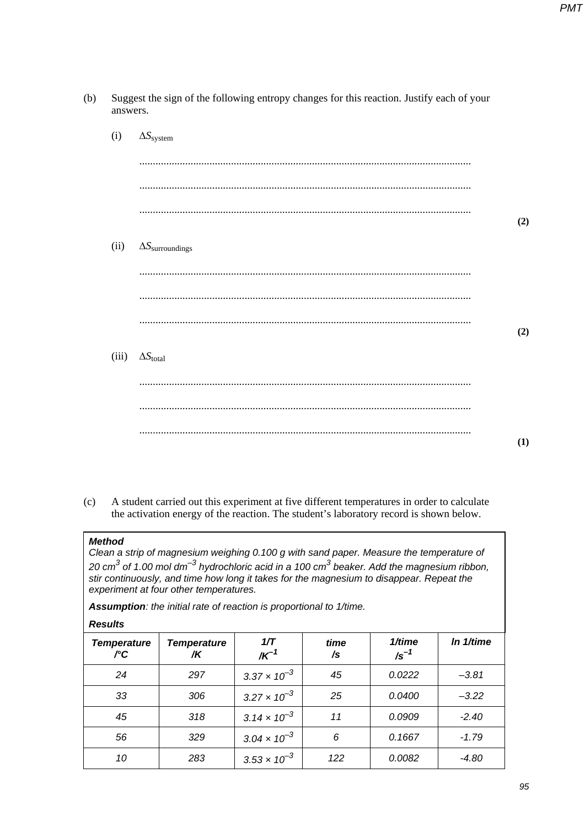answers.  $(i)$   $\Delta S$ <sub>system</sub> ........................................................................................................................... ........................................................................................................................... ........................................................................................................................... **(2)** (ii) ∆*S*surroundings ........................................................................................................................... ........................................................................................................................... ........................................................................................................................... **(2)**  $(iii)$   $\Delta S_{total}$ ........................................................................................................................... ........................................................................................................................... **(1)**

(b) Suggest the sign of the following entropy changes for this reaction. Justify each of your

(c) A student carried out this experiment at five different temperatures in order to calculate the activation energy of the reaction. The student's laboratory record is shown below.

## *Method*

*Clean a strip of magnesium weighing 0.100 g with sand paper. Measure the temperature of 20 cm3 of 1.00 mol dm–3 hydrochloric acid in a 100 cm3 beaker. Add the magnesium ribbon, stir continuously, and time how long it takes for the magnesium to disappear. Repeat the experiment at four other temperatures.*

*Assumption: the initial rate of reaction is proportional to 1/time.*

## *Results*

| <b>Temperature</b><br>$\angle C$ | <b>Temperature</b><br>/K | 1/T<br>$/K^{-1}$               | time<br>/s | 1/time<br>$/s^{-1}$ | In 1/time |
|----------------------------------|--------------------------|--------------------------------|------------|---------------------|-----------|
| 24                               | 297                      | $3.37 \times 10^{-3}$          | 45         | 0.0222              | $-3.81$   |
| 33                               | 306                      | $3.27 \times 10^{-3}$          | 25         | 0.0400              | $-3.22$   |
| 45                               | 318                      | 3.14 $\times$ 10 <sup>-3</sup> | 11         | 0.0909              | $-2.40$   |
| 56                               | 329                      | $3.04 \times 10^{-3}$          | 6          | 0.1667              | $-1.79$   |
| 10                               | 283                      | $3.53 \times 10^{-3}$          | 122        | 0.0082              | $-4.80$   |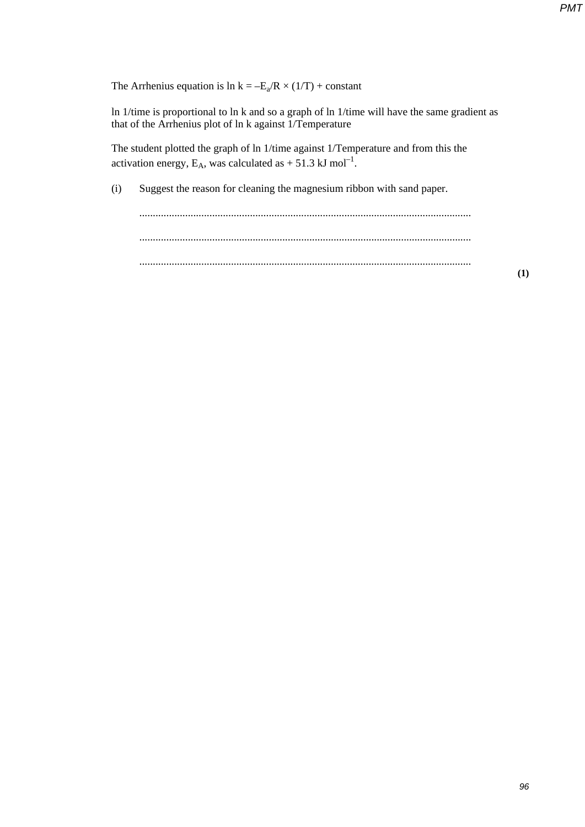**(1)**

The Arrhenius equation is  $\ln k = -E_a/R \times (1/T) + constant$ 

ln 1/time is proportional to ln k and so a graph of ln 1/time will have the same gradient as that of the Arrhenius plot of ln k against 1/Temperature

The student plotted the graph of ln 1/time against 1/Temperature and from this the activation energy,  $E_A$ , was calculated as  $+ 51.3$  kJ mol<sup>-1</sup>.

(i) Suggest the reason for cleaning the magnesium ribbon with sand paper.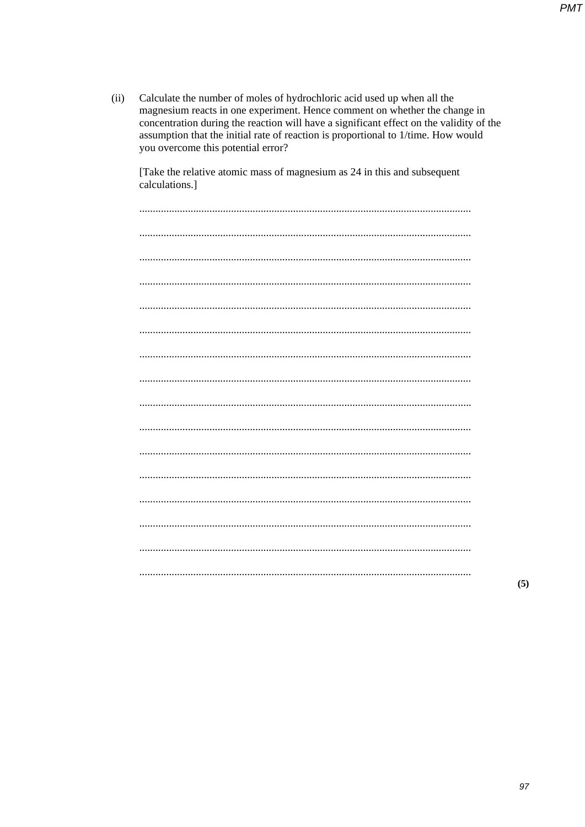Calculate the number of moles of hydrochloric acid used up when all the  $(ii)$ magnesium reacts in one experiment. Hence comment on whether the change in concentration during the reaction will have a significant effect on the validity of the assumption that the initial rate of reaction is proportional to 1/time. How would you overcome this potential error?

[Take the relative atomic mass of magnesium as 24 in this and subsequent calculations.]

| . |
|---|
|   |
|   |
|   |
|   |
|   |
|   |

 $(5)$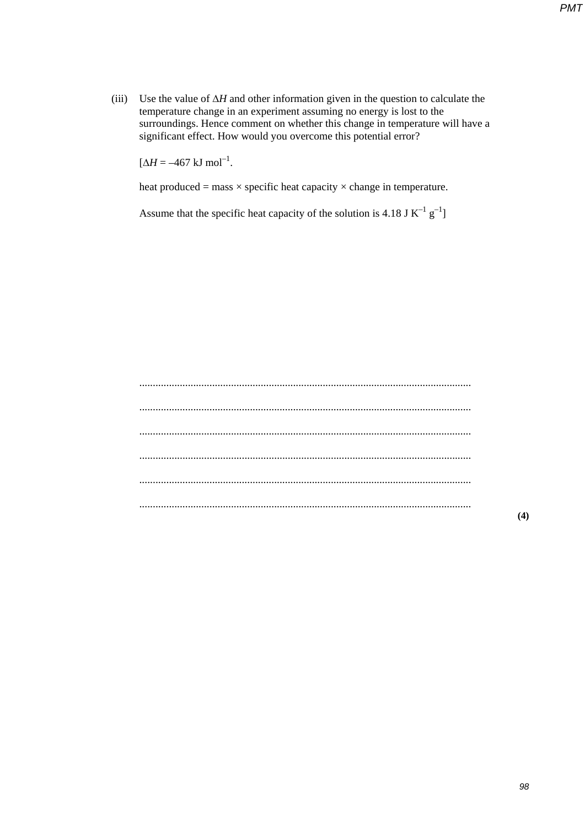(iii) Use the value of ∆*H* and other information given in the question to calculate the temperature change in an experiment assuming no energy is lost to the surroundings. Hence comment on whether this change in temperature will have a significant effect. How would you overcome this potential error?

 $[\Delta H = -467 \text{ kJ mol}^{-1}].$ 

heat produced = mass  $\times$  specific heat capacity  $\times$  change in temperature.

Assume that the specific heat capacity of the solution is 4.18 J  $K^{-1} g^{-1}$ ]

........................................................................................................................... ........................................................................................................................... ........................................................................................................................... ........................................................................................................................... ........................................................................................................................... ...........................................................................................................................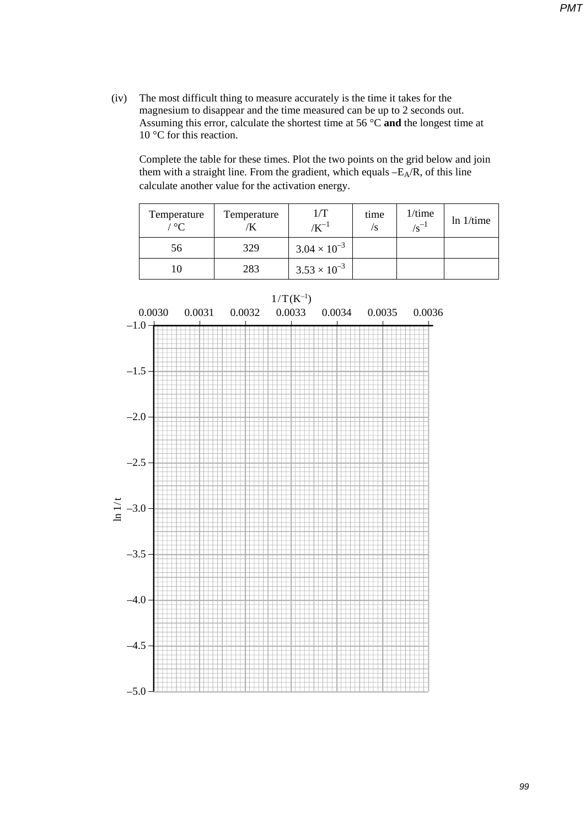(iv) The most difficult thing to measure accurately is the time it takes for the magnesium to disappear and the time measured can be up to 2 seconds out. Assuming this error, calculate the shortest time at 56 °C **and** the longest time at 10 °C for this reaction.

Complete the table for these times. Plot the two points on the grid below and join them with a straight line. From the gradient, which equals  $-E<sub>A</sub>/R$ , of this line calculate another value for the activation energy.

| Temperature<br>$\circ$ C | Temperature | 1/T<br>$/K^{-1}$      | time<br>/S | $1/t$ ime<br>$\sqrt{g^{-1}}$ | $ln 1/t$ ime |
|--------------------------|-------------|-----------------------|------------|------------------------------|--------------|
| 56                       | 329         | $3.04 \times 10^{-3}$ |            |                              |              |
|                          | 283         | $3.53 \times 10^{-3}$ |            |                              |              |

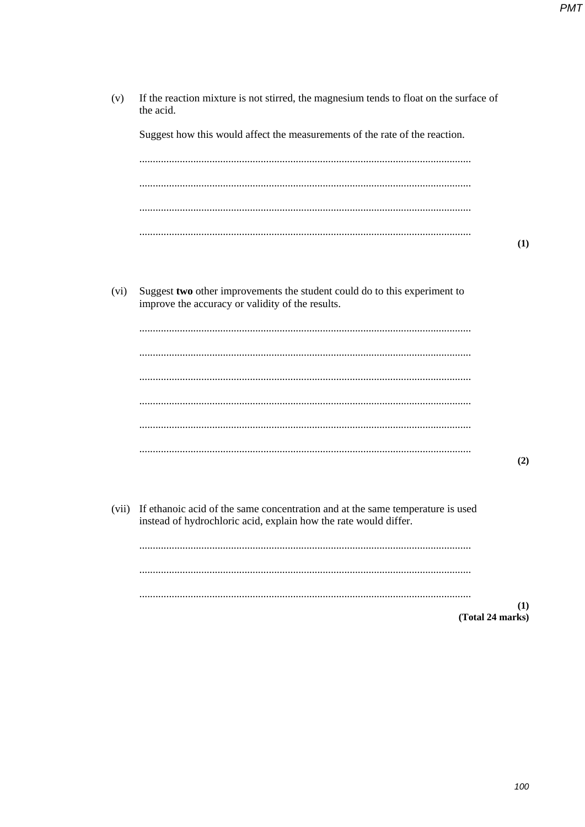If the reaction mixture is not stirred, the magnesium tends to float on the surface of  $(v)$ the acid. Suggest how this would affect the measurements of the rate of the reaction.  $(1)$  $(vi)$ Suggest two other improvements the student could do to this experiment to improve the accuracy or validity of the results.  $(2)$ (vii) If ethanoic acid of the same concentration and at the same temperature is used instead of hydrochloric acid, explain how the rate would differ.  $(1)$ (Total 24 marks)